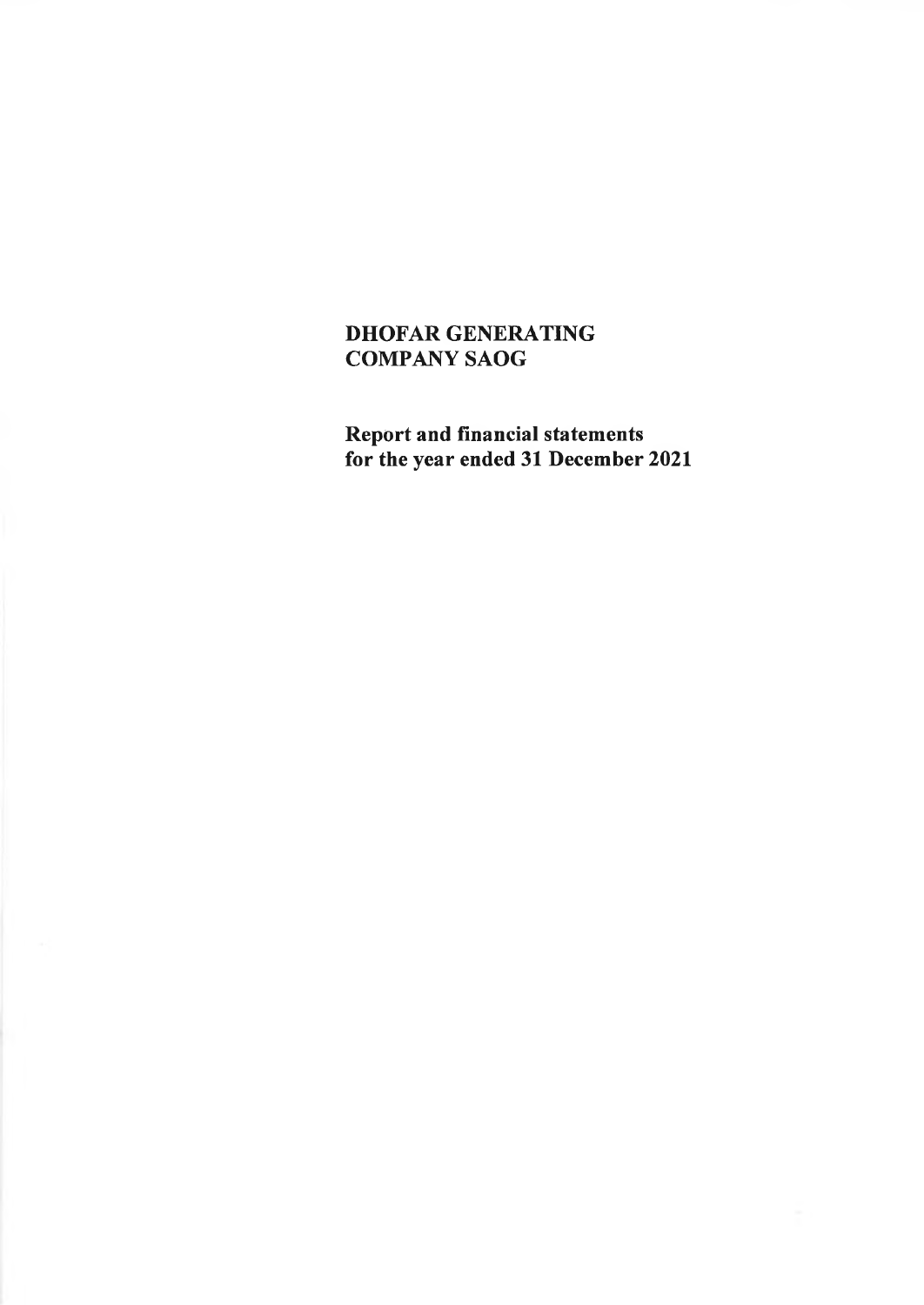Report and financial statements<br>for the year ended 31 December 2021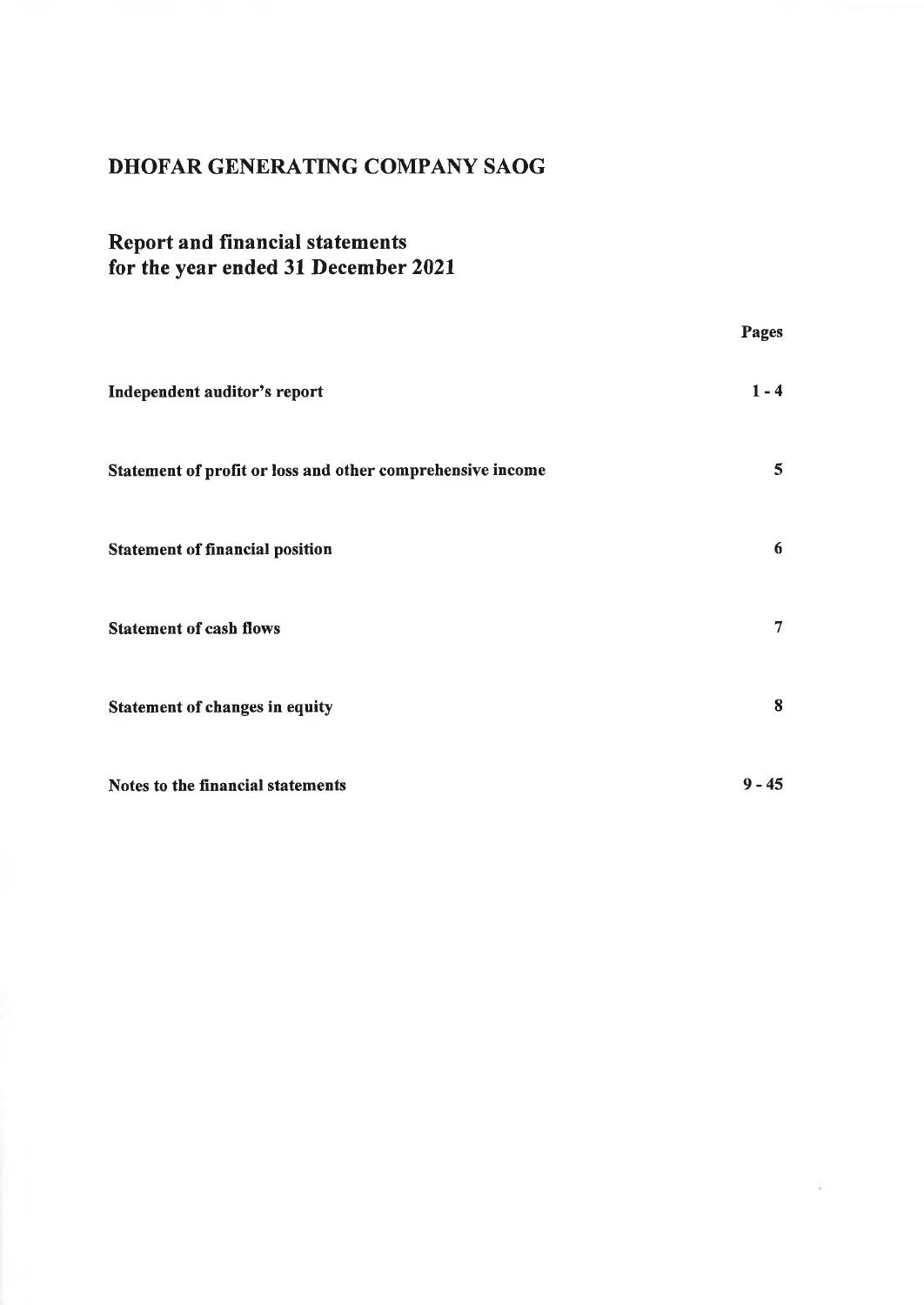## Report and financial statements for the year ended 31 December 2021

|                                                            | Pages    |
|------------------------------------------------------------|----------|
| Independent auditor's report                               | $1 - 4$  |
| Statement of profit or loss and other comprehensive income | 5        |
| <b>Statement of financial position</b>                     | 6        |
| <b>Statement of cash flows</b>                             | 7        |
| <b>Statement of changes in equity</b>                      | 8        |
| Notes to the financial statements                          | $9 - 45$ |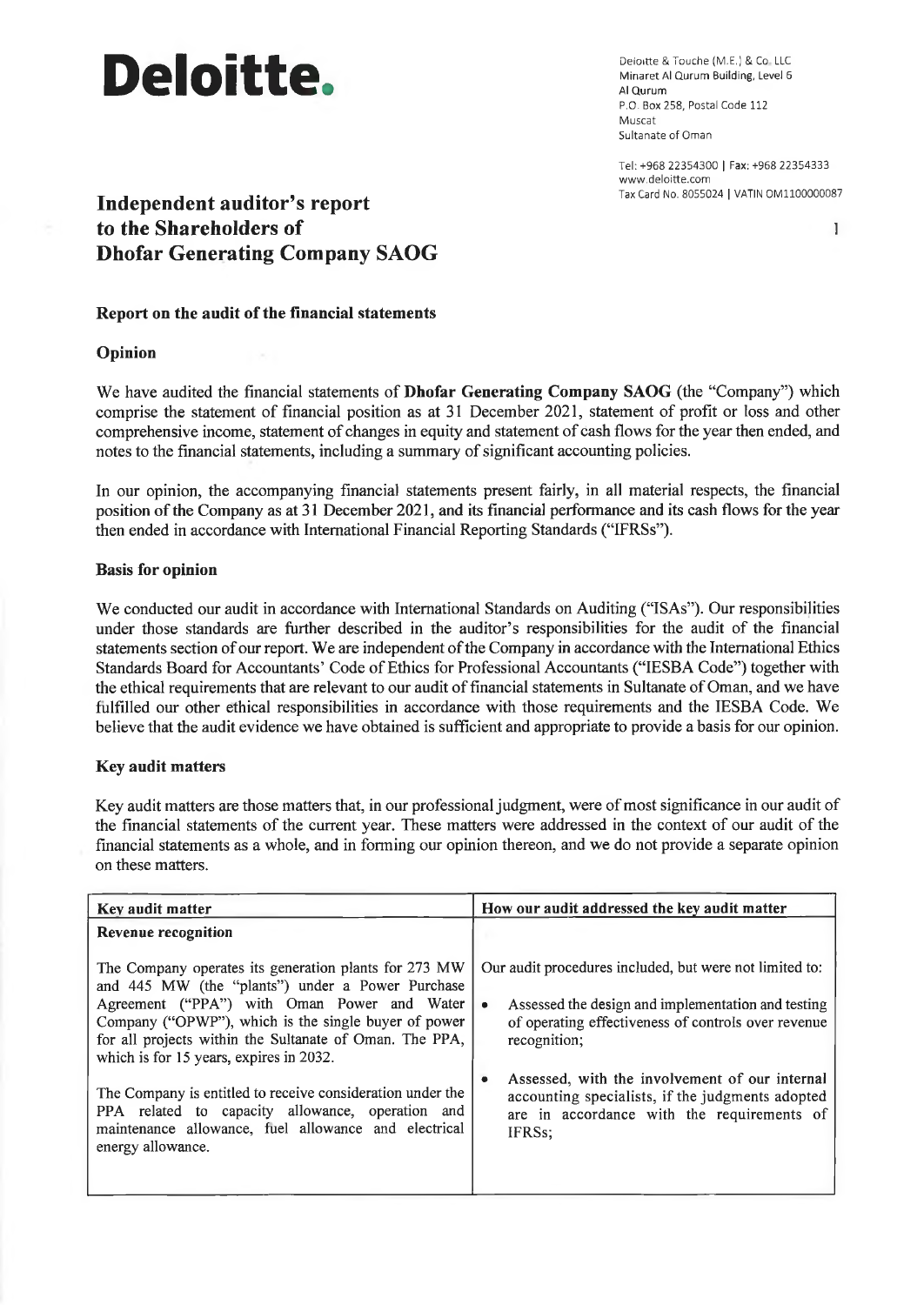

Deioitte & Touche (M.E.) & Co. LLC Minaret Al Qurum Building, Level 6 Al Qurum P.O. Box 258, Postal Code 112 Muscat Sultanate of Oman

Tel: +968 22354300 | Fax: +968 22354333 www.deloitte.com Tax Card No. 8055024 | VATIN OM1100000087

## Independent auditor's report to the Shareholders of **Dhofar Generating Company SAOG**

## Report on the audit of the financial statements

## Opinion

We have audited the financial statements of **Dhofar Generating Company SAOG** (the "Company") which comprise the statement of financial position as at 31 December 2021, statement of profit or loss and other comprehensive income, statement of changes in equity and statement of cash flows for the year then ended, and notes to the financial statements, including a summary of significant accounting policies.

In our opinion, the accompanying financial statements present fairly, in all material respects, the financial position of the Company as at 31 December 2021, and its financial performance and its cash flows for the year then ended in accordance with International Financial Reporting Standards ("IFRSs").

## **Basis for opinion**

We conducted our audit in accordance with International Standards on Auditing ("ISAs"). Our responsibilities under those standards are further described in the auditor's responsibilities for the audit of the financial statements section of our report. We are independent of the Company in accordance with the International Ethics Standards Board for Accountants' Code of Ethics for Professional Accountants ("IESBA Code") together with the ethical requirements that are relevant to our audit of financial statements in Sultanate of Oman, and we have fulfilled our other ethical responsibilities in accordance with those requirements and the IESBA Code. We believe that the audit evidence we have obtained is sufficient and appropriate to provide a basis for our opinion.

## **Key audit matters**

Key audit matters are those matters that, in our professional judgment, were of most significance in our audit of the financial statements of the current year. These matters were addressed in the context of our audit of the financial statements as a whole, and in forming our opinion thereon, and we do not provide a separate opinion on these matters.

| Key audit matter                                                                                                                                                                                                                                                                                                       | How our audit addressed the key audit matter                                                                                                                                         |
|------------------------------------------------------------------------------------------------------------------------------------------------------------------------------------------------------------------------------------------------------------------------------------------------------------------------|--------------------------------------------------------------------------------------------------------------------------------------------------------------------------------------|
| <b>Revenue recognition</b>                                                                                                                                                                                                                                                                                             |                                                                                                                                                                                      |
| The Company operates its generation plants for 273 MW<br>and 445 MW (the "plants") under a Power Purchase<br>Agreement ("PPA") with Oman Power and Water<br>Company ("OPWP"), which is the single buyer of power<br>for all projects within the Sultanate of Oman. The PPA,<br>which is for 15 years, expires in 2032. | Our audit procedures included, but were not limited to:<br>Assessed the design and implementation and testing<br>of operating effectiveness of controls over revenue<br>recognition; |
| The Company is entitled to receive consideration under the<br>PPA related to capacity allowance, operation and<br>maintenance allowance, fuel allowance and electrical<br>energy allowance.                                                                                                                            | Assessed, with the involvement of our internal<br>$\bullet$<br>accounting specialists, if the judgments adopted<br>are in accordance with the requirements of<br>IFRS <sub>s</sub> : |

 $\mathbf{I}$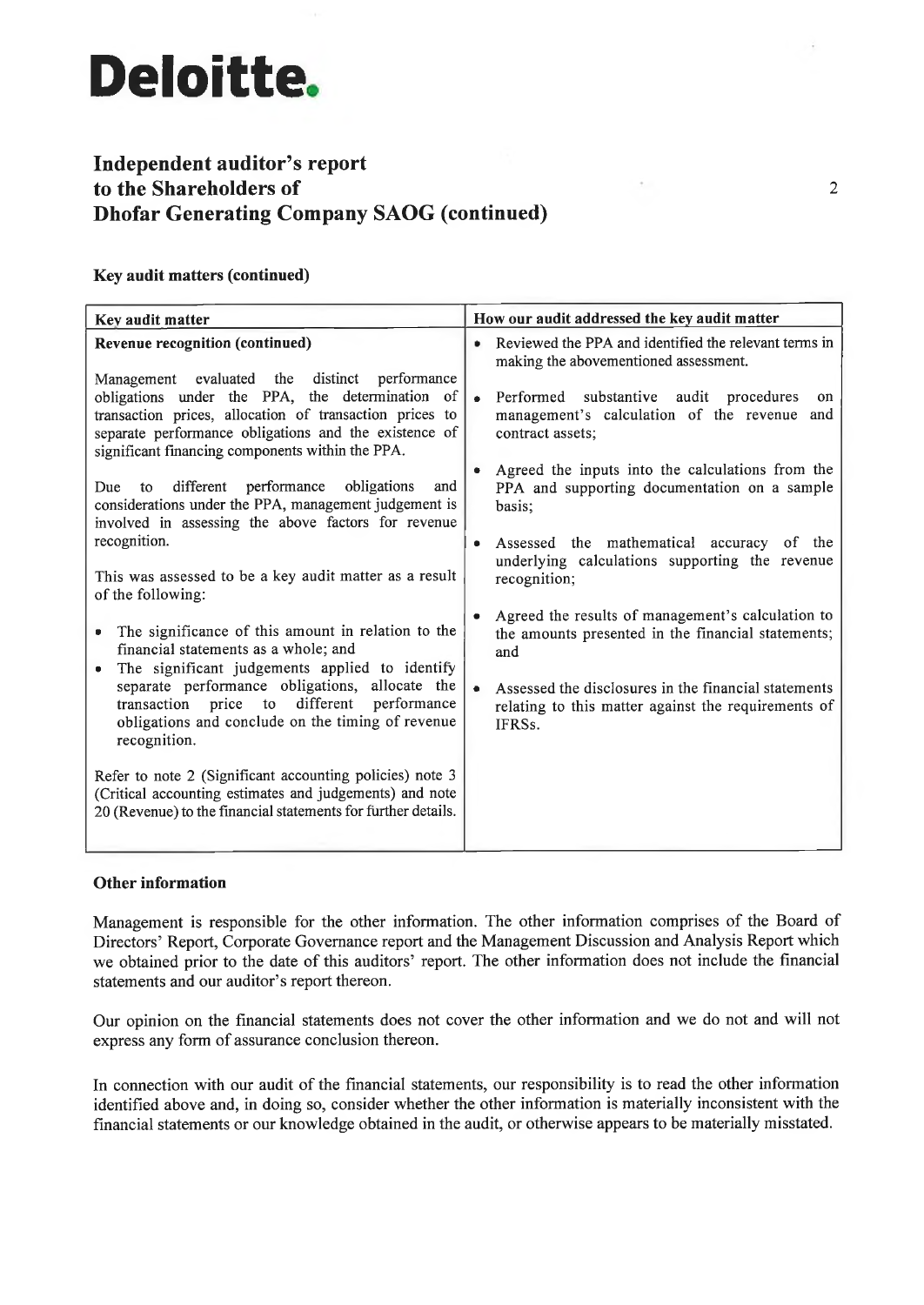# **Deloitte.**

## Independent auditor's report to the Shareholders of **Dhofar Generating Company SAOG (continued)**

## **Key audit matters (continued)**

| Key audit matter                                                                                                                                                                                                                                                                                                                                                                                                                                                                                                                                                                                                                                                                                                                                                                                                                                                                                                                                                                                                                                                                                                   | How our audit addressed the key audit matter                                                                                                                                                                                                                                                                                                                                                                                                                                                                                                                                                                                                                                                                                                |
|--------------------------------------------------------------------------------------------------------------------------------------------------------------------------------------------------------------------------------------------------------------------------------------------------------------------------------------------------------------------------------------------------------------------------------------------------------------------------------------------------------------------------------------------------------------------------------------------------------------------------------------------------------------------------------------------------------------------------------------------------------------------------------------------------------------------------------------------------------------------------------------------------------------------------------------------------------------------------------------------------------------------------------------------------------------------------------------------------------------------|---------------------------------------------------------------------------------------------------------------------------------------------------------------------------------------------------------------------------------------------------------------------------------------------------------------------------------------------------------------------------------------------------------------------------------------------------------------------------------------------------------------------------------------------------------------------------------------------------------------------------------------------------------------------------------------------------------------------------------------------|
| Revenue recognition (continued)<br>Management evaluated the distinct performance<br>obligations under the PPA, the determination of<br>transaction prices, allocation of transaction prices to<br>separate performance obligations and the existence of<br>significant financing components within the PPA.<br>to different performance<br>obligations<br>and<br>Due<br>considerations under the PPA, management judgement is<br>involved in assessing the above factors for revenue<br>recognition.<br>This was assessed to be a key audit matter as a result<br>of the following:<br>The significance of this amount in relation to the<br>$\bullet$<br>financial statements as a whole; and<br>The significant judgements applied to identify<br>۰<br>separate performance obligations, allocate the<br>transaction price to different performance<br>obligations and conclude on the timing of revenue<br>recognition.<br>Refer to note 2 (Significant accounting policies) note 3<br>(Critical accounting estimates and judgements) and note<br>20 (Revenue) to the financial statements for further details. | Reviewed the PPA and identified the relevant terms in<br>making the abovementioned assessment.<br>Performed substantive audit procedures<br>$\bullet$<br><sub>on</sub><br>management's calculation of the revenue and<br>contract assets;<br>Agreed the inputs into the calculations from the<br>PPA and supporting documentation on a sample<br>basis;<br>Assessed the mathematical accuracy of the<br>$\bullet$<br>underlying calculations supporting the revenue<br>recognition;<br>Agreed the results of management's calculation to<br>the amounts presented in the financial statements;<br>and<br>Assessed the disclosures in the financial statements<br>$\bullet$<br>relating to this matter against the requirements of<br>IFRSs. |

## **Other information**

Management is responsible for the other information. The other information comprises of the Board of Directors' Report, Corporate Governance report and the Management Discussion and Analysis Report which we obtained prior to the date of this auditors' report. The other information does not include the financial statements and our auditor's report thereon.

Our opinion on the financial statements does not cover the other information and we do not and will not express any form of assurance conclusion thereon.

In connection with our audit of the financial statements, our responsibility is to read the other information identified above and, in doing so, consider whether the other information is materially inconsistent with the financial statements or our knowledge obtained in the audit, or otherwise appears to be materially misstated.

 $\overline{2}$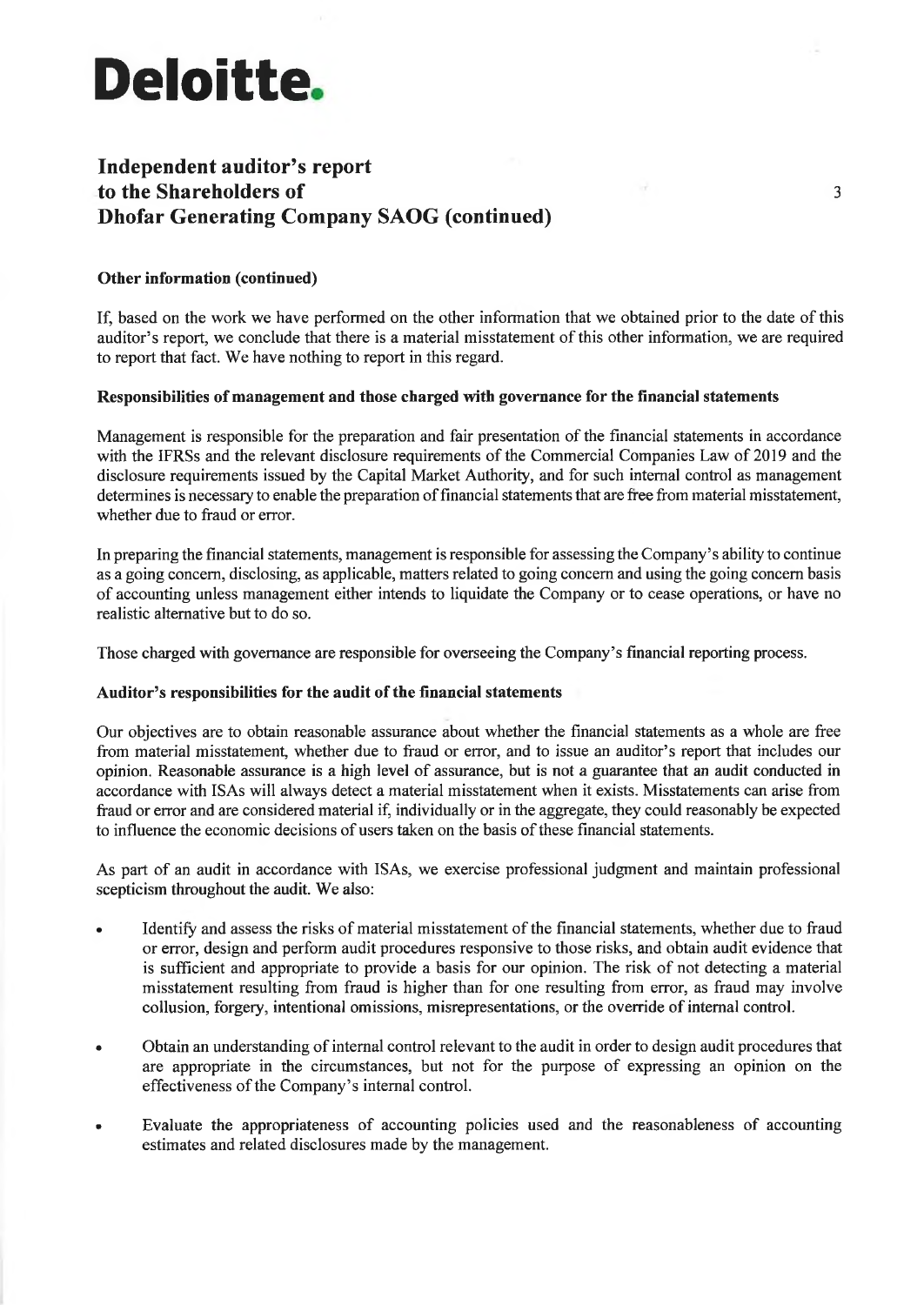# Deloitte.

## Independent auditor's report to the Shareholders of **Dhofar Generating Company SAOG (continued)**

## Other information (continued)

If, based on the work we have performed on the other information that we obtained prior to the date of this auditor's report, we conclude that there is a material misstatement of this other information, we are required to report that fact. We have nothing to report in this regard.

## Responsibilities of management and those charged with governance for the financial statements

Management is responsible for the preparation and fair presentation of the financial statements in accordance with the IFRSs and the relevant disclosure requirements of the Commercial Companies Law of 2019 and the disclosure requirements issued by the Capital Market Authority, and for such internal control as management determines is necessary to enable the preparation of financial statements that are free from material misstatement, whether due to fraud or error.

In preparing the financial statements, management is responsible for assessing the Company's ability to continue as a going concern, disclosing, as applicable, matters related to going concern and using the going concern basis of accounting unless management either intends to liquidate the Company or to cease operations, or have no realistic alternative but to do so.

Those charged with governance are responsible for overseeing the Company's financial reporting process.

## Auditor's responsibilities for the audit of the financial statements

Our objectives are to obtain reasonable assurance about whether the financial statements as a whole are free from material misstatement, whether due to fraud or error, and to issue an auditor's report that includes our opinion. Reasonable assurance is a high level of assurance, but is not a guarantee that an audit conducted in accordance with ISAs will always detect a material misstatement when it exists. Misstatements can arise from fraud or error and are considered material if, individually or in the aggregate, they could reasonably be expected to influence the economic decisions of users taken on the basis of these financial statements.

As part of an audit in accordance with ISAs, we exercise professional judgment and maintain professional scepticism throughout the audit. We also:

- Identify and assess the risks of material misstatement of the financial statements, whether due to fraud or error, design and perform audit procedures responsive to those risks, and obtain audit evidence that is sufficient and appropriate to provide a basis for our opinion. The risk of not detecting a material misstatement resulting from fraud is higher than for one resulting from error, as fraud may involve collusion, forgery, intentional omissions, misrepresentations, or the override of internal control.
- Obtain an understanding of internal control relevant to the audit in order to design audit procedures that  $\bullet$ are appropriate in the circumstances, but not for the purpose of expressing an opinion on the effectiveness of the Company's internal control.
- Evaluate the appropriateness of accounting policies used and the reasonableness of accounting estimates and related disclosures made by the management.

3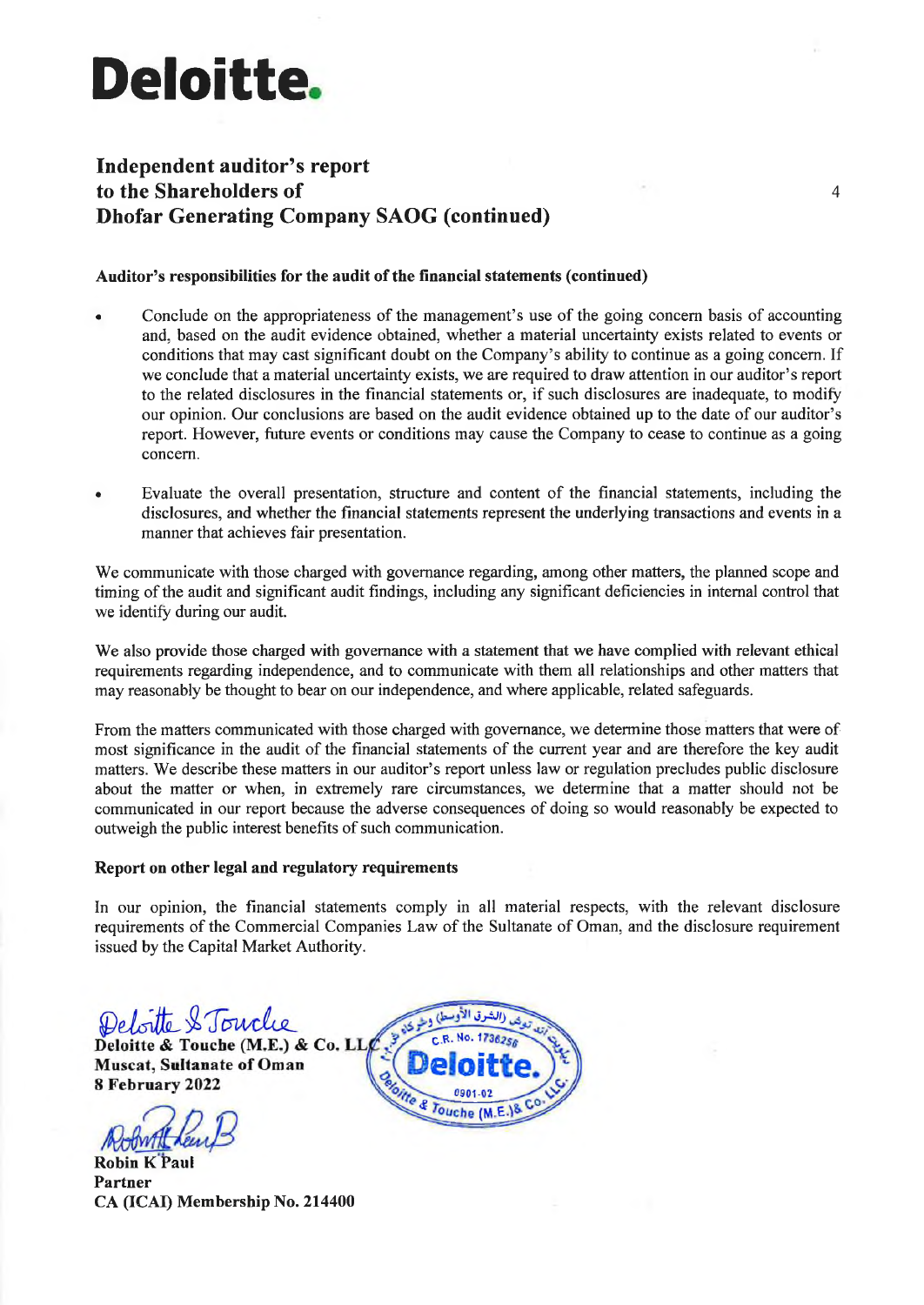# **Deloitte**.

## Independent auditor's report to the Shareholders of **Dhofar Generating Company SAOG (continued)**

## Auditor's responsibilities for the audit of the financial statements (continued)

- Conclude on the appropriateness of the management's use of the going concern basis of accounting and, based on the audit evidence obtained, whether a material uncertainty exists related to events or conditions that may cast significant doubt on the Company's ability to continue as a going concern. If we conclude that a material uncertainty exists, we are required to draw attention in our auditor's report to the related disclosures in the financial statements or, if such disclosures are inadequate, to modify our opinion. Our conclusions are based on the audit evidence obtained up to the date of our auditor's report. However, future events or conditions may cause the Company to cease to continue as a going concern.
- Evaluate the overall presentation, structure and content of the financial statements, including the disclosures, and whether the financial statements represent the underlying transactions and events in a manner that achieves fair presentation.

We communicate with those charged with governance regarding, among other matters, the planned scope and timing of the audit and significant audit findings, including any significant deficiencies in internal control that we identify during our audit.

We also provide those charged with governance with a statement that we have complied with relevant ethical requirements regarding independence, and to communicate with them all relationships and other matters that may reasonably be thought to bear on our independence, and where applicable, related safeguards.

From the matters communicated with those charged with governance, we determine those matters that were of most significance in the audit of the financial statements of the current year and are therefore the key audit matters. We describe these matters in our auditor's report unless law or regulation precludes public disclosure about the matter or when, in extremely rare circumstances, we determine that a matter should not be communicated in our report because the adverse consequences of doing so would reasonably be expected to outweigh the public interest benefits of such communication.

## Report on other legal and regulatory requirements

In our opinion, the financial statements comply in all material respects, with the relevant disclosure requirements of the Commercial Companies Law of the Sultanate of Oman, and the disclosure requirement issued by the Capital Market Authority.

Deloite & Touche

Deloitte & Touche (M.E.) & Co. LI **Muscat, Sultanate of Oman** 8 February 2022

**Robin K Paul** Partner CA (ICAI) Membership No. 214400

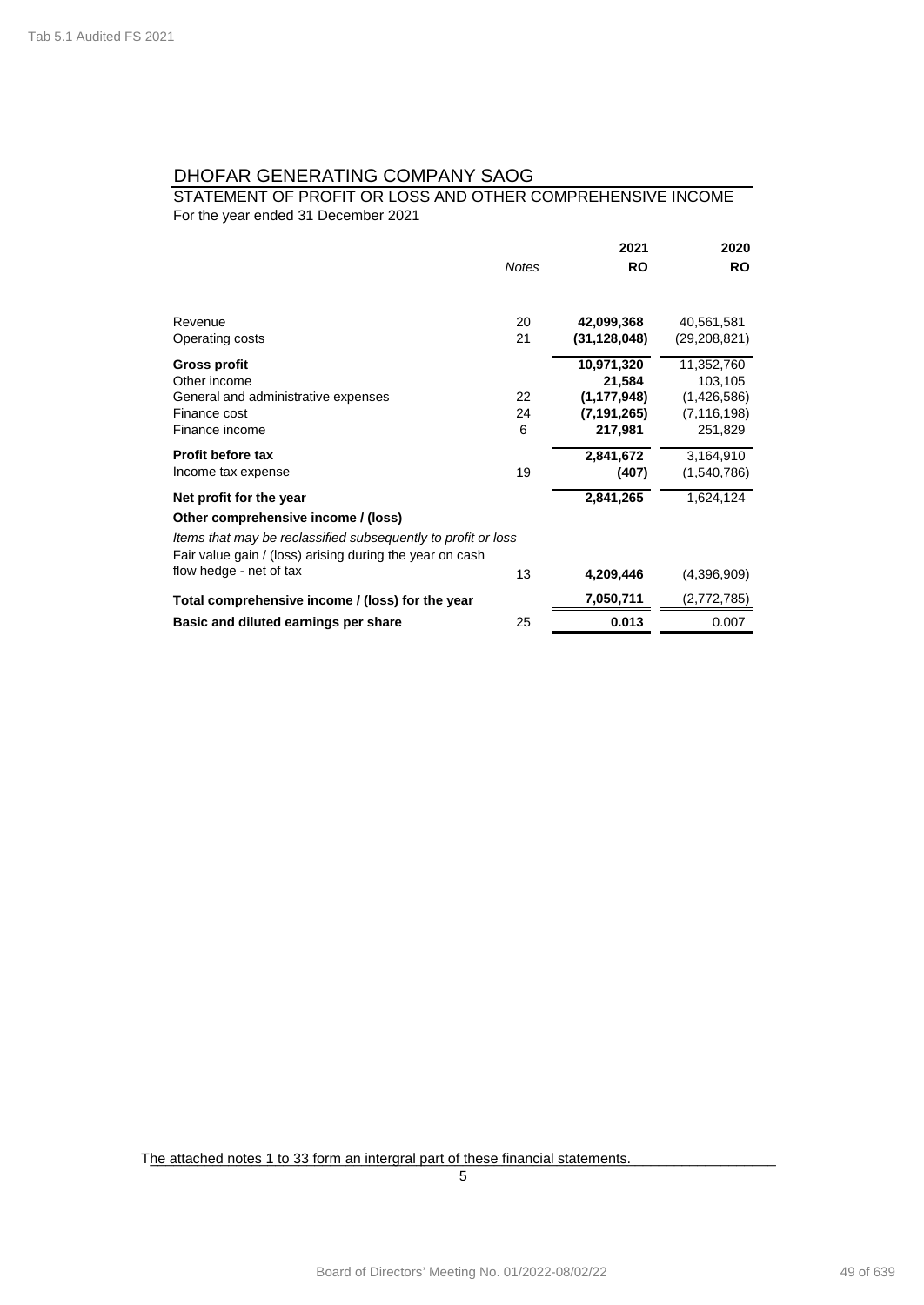## For the year ended 31 December 2021 STATEMENT OF PROFIT OR LOSS AND OTHER COMPREHENSIVE INCOME

|                                                                                                                           |              | 2021                     | 2020                     |
|---------------------------------------------------------------------------------------------------------------------------|--------------|--------------------------|--------------------------|
|                                                                                                                           | <b>Notes</b> | RO                       | <b>RO</b>                |
| Revenue                                                                                                                   | 20           | 42,099,368               | 40,561,581               |
| Operating costs                                                                                                           | 21           | (31, 128, 048)           | (29,208,821)             |
| <b>Gross profit</b><br>Other income                                                                                       |              | 10,971,320<br>21,584     | 11,352,760<br>103,105    |
| General and administrative expenses                                                                                       | 22           | (1, 177, 948)            | (1,426,586)              |
| Finance cost<br>Finance income                                                                                            | 24<br>6      | (7, 191, 265)<br>217,981 | (7, 116, 198)<br>251,829 |
| <b>Profit before tax</b><br>Income tax expense                                                                            | 19           | 2,841,672<br>(407)       | 3,164,910<br>(1,540,786) |
| Net profit for the year                                                                                                   |              | 2,841,265                | 1,624,124                |
| Other comprehensive income / (loss)                                                                                       |              |                          |                          |
| Items that may be reclassified subsequently to profit or loss<br>Fair value gain / (loss) arising during the year on cash |              |                          |                          |
| flow hedge - net of tax                                                                                                   | 13           | 4,209,446                | (4,396,909)              |
| Total comprehensive income / (loss) for the year                                                                          |              | 7,050,711                | (2,772,785)              |
| Basic and diluted earnings per share                                                                                      | 25           | 0.013                    | 0.007                    |
|                                                                                                                           |              |                          |                          |

The attached notes 1 to 33 form an intergral part of these financial statements.

5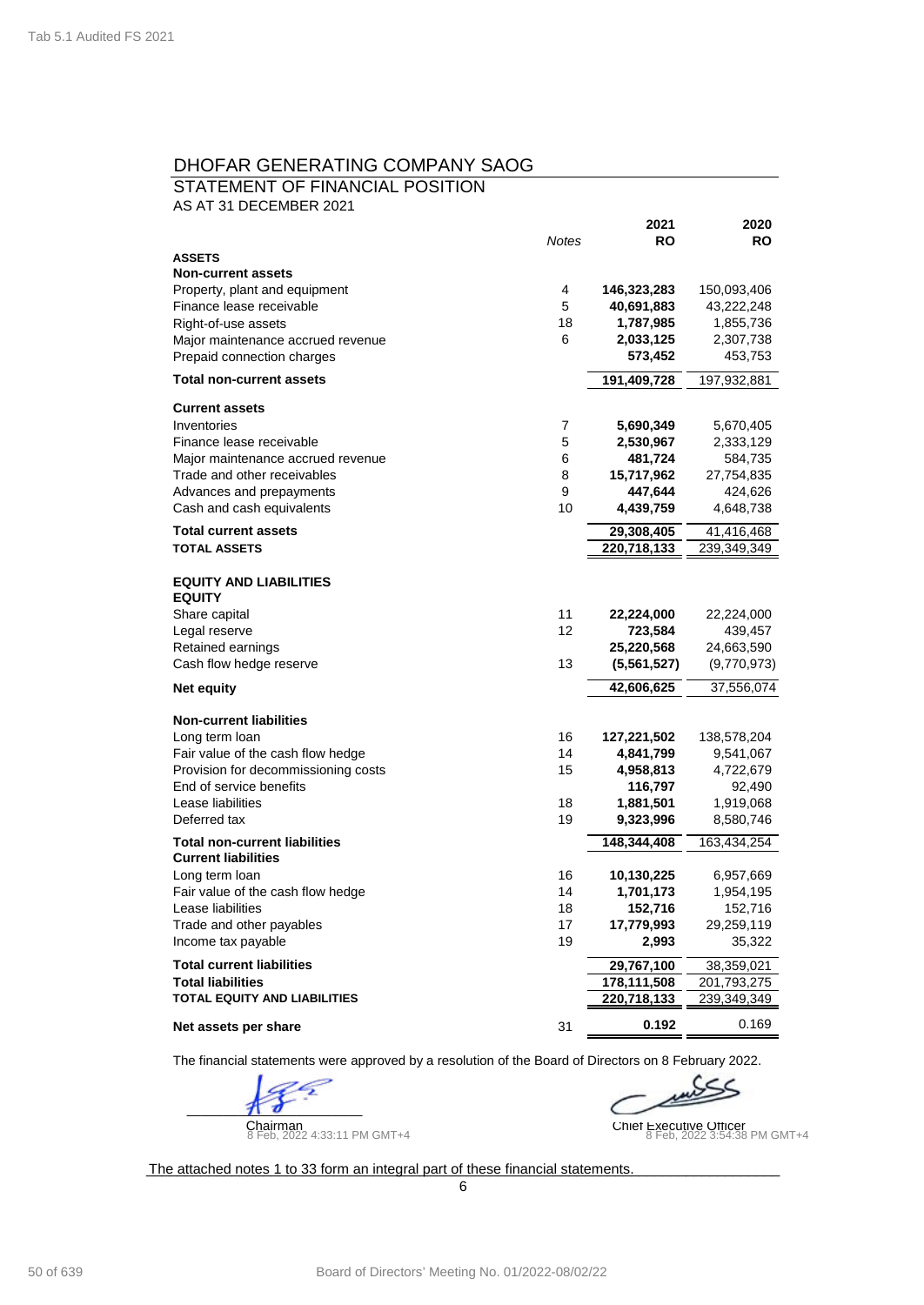STATEMENT OF FINANCIAL POSITION AS AT 31 DECEMBER 2021

|                                                |              | 2021        | 2020        |
|------------------------------------------------|--------------|-------------|-------------|
|                                                | <b>Notes</b> | RO          | <b>RO</b>   |
| <b>ASSETS</b><br><b>Non-current assets</b>     |              |             |             |
| Property, plant and equipment                  | 4            | 146,323,283 | 150,093,406 |
| Finance lease receivable                       | 5            | 40,691,883  | 43,222,248  |
| Right-of-use assets                            | 18           | 1,787,985   | 1,855,736   |
|                                                | 6            | 2,033,125   | 2,307,738   |
| Major maintenance accrued revenue              |              | 573,452     |             |
| Prepaid connection charges                     |              |             | 453,753     |
| <b>Total non-current assets</b>                |              | 191,409,728 | 197,932,881 |
| <b>Current assets</b>                          |              |             |             |
| Inventories                                    | 7            | 5,690,349   | 5,670,405   |
| Finance lease receivable                       | 5            | 2,530,967   | 2,333,129   |
| Major maintenance accrued revenue              | 6            | 481,724     | 584,735     |
| Trade and other receivables                    | 8            | 15,717,962  | 27,754,835  |
| Advances and prepayments                       | 9            | 447,644     | 424,626     |
| Cash and cash equivalents                      | 10           | 4,439,759   | 4,648,738   |
| <b>Total current assets</b>                    |              | 29,308,405  | 41,416,468  |
| <b>TOTAL ASSETS</b>                            |              | 220,718,133 | 239,349,349 |
|                                                |              |             |             |
| <b>EQUITY AND LIABILITIES</b><br><b>EQUITY</b> |              |             |             |
| Share capital                                  | 11           | 22,224,000  | 22,224,000  |
| Legal reserve                                  | 12           | 723,584     | 439,457     |
| Retained earnings                              |              | 25,220,568  | 24,663,590  |
| Cash flow hedge reserve                        | 13           | (5,561,527) | (9,770,973) |
| <b>Net equity</b>                              |              | 42,606,625  | 37,556,074  |
| <b>Non-current liabilities</b>                 |              |             |             |
| Long term loan                                 | 16           | 127,221,502 | 138,578,204 |
| Fair value of the cash flow hedge              | 14           | 4,841,799   | 9,541,067   |
| Provision for decommissioning costs            | 15           | 4,958,813   | 4,722,679   |
| End of service benefits                        |              | 116,797     | 92,490      |
| Lease liabilities                              | 18           | 1,881,501   | 1,919,068   |
| Deferred tax                                   | 19           | 9,323,996   | 8,580,746   |
| <b>Total non-current liabilities</b>           |              | 148,344,408 | 163,434,254 |
| <b>Current liabilities</b>                     |              |             |             |
| Long term loan                                 | 16           | 10,130,225  | 6,957,669   |
| Fair value of the cash flow hedge              | 14           | 1,701,173   | 1,954,195   |
| Lease liabilities                              | 18           | 152,716     | 152,716     |
| Trade and other payables                       | 17           | 17,779,993  | 29,259,119  |
| Income tax payable                             | 19           | 2,993       | 35,322      |
| <b>Total current liabilities</b>               |              | 29,767,100  | 38,359,021  |
| <b>Total liabilities</b>                       |              | 178,111,508 | 201,793,275 |
| TOTAL EQUITY AND LIABILITIES                   |              | 220,718,133 | 239,349,349 |
| Net assets per share                           | 31           | 0.192       | 0.169       |

The financial statements were approved by a resolution of the Board of Directors on 8 February 2022.

 $\overline{H}$ 

 $\overline{\text{Chairman}}$ <br>8 Feb, 2022 4:33:11 PM GMT+4

**Chief Executive Officer**<br>**Chief Executive Officer**<br>3:54:38 PM GMT+4

The attached notes 1 to 33 form an integral part of these financial statements.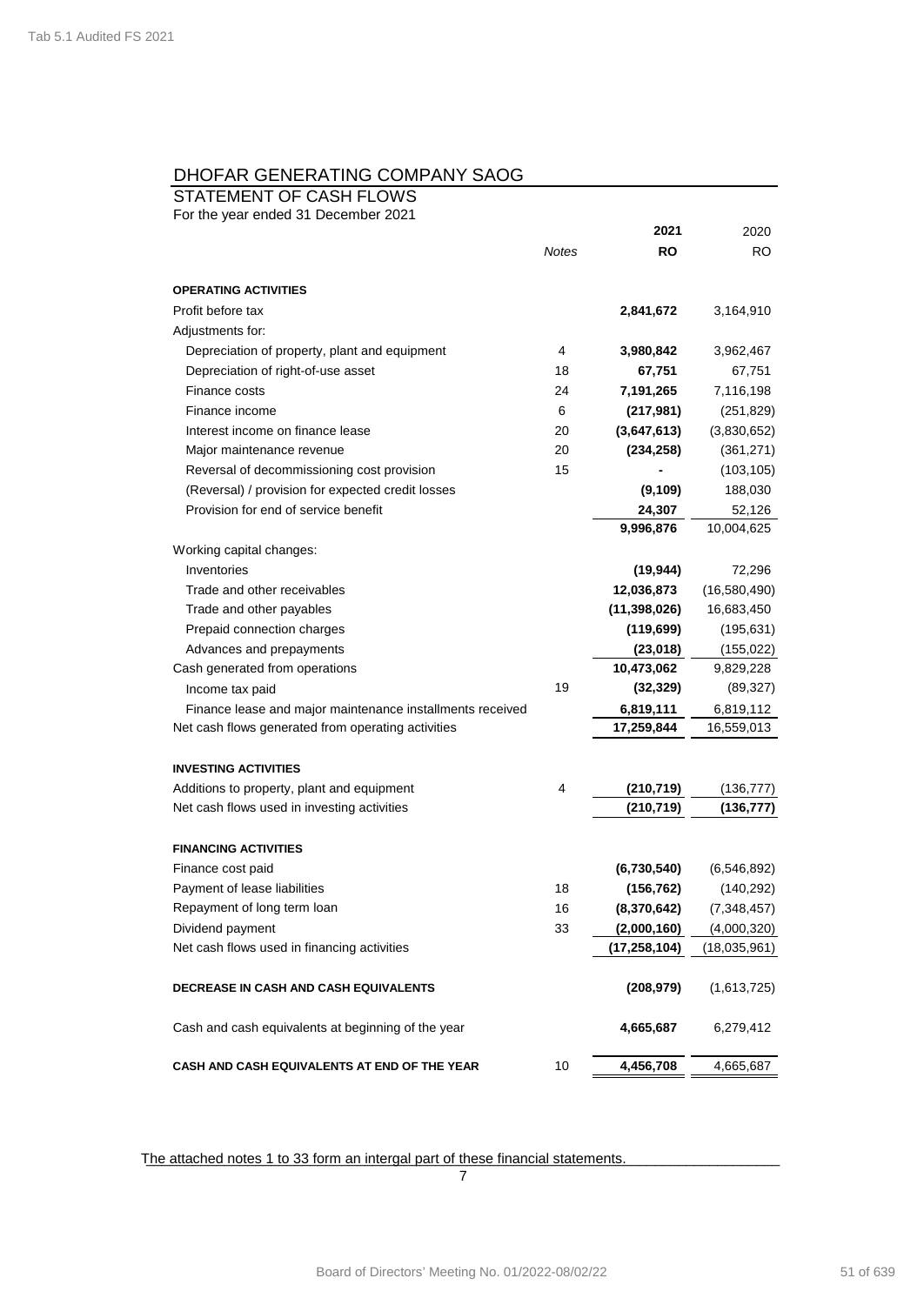STATEMENT OF CASH FLOWS For the year ended 31 December 2021

|                                                           |              | 2021           | 2020          |
|-----------------------------------------------------------|--------------|----------------|---------------|
|                                                           | <b>Notes</b> | RO             | RO            |
|                                                           |              |                |               |
| <b>OPERATING ACTIVITIES</b>                               |              |                |               |
| Profit before tax                                         |              | 2,841,672      | 3,164,910     |
| Adjustments for:                                          |              |                |               |
| Depreciation of property, plant and equipment             | 4            | 3,980,842      | 3,962,467     |
| Depreciation of right-of-use asset                        | 18           | 67,751         | 67,751        |
| Finance costs                                             | 24           | 7,191,265      | 7,116,198     |
| Finance income                                            | 6            | (217, 981)     | (251, 829)    |
| Interest income on finance lease                          | 20           | (3,647,613)    | (3,830,652)   |
| Major maintenance revenue                                 | 20           | (234, 258)     | (361, 271)    |
| Reversal of decommissioning cost provision                | 15           |                | (103, 105)    |
| (Reversal) / provision for expected credit losses         |              | (9, 109)       | 188,030       |
| Provision for end of service benefit                      |              | 24,307         | 52,126        |
|                                                           |              | 9,996,876      | 10,004,625    |
| Working capital changes:                                  |              |                |               |
| Inventories                                               |              | (19, 944)      | 72,296        |
| Trade and other receivables                               |              | 12,036,873     | (16,580,490)  |
| Trade and other payables                                  |              | (11, 398, 026) | 16,683,450    |
| Prepaid connection charges                                |              | (119, 699)     | (195, 631)    |
| Advances and prepayments                                  |              | (23, 018)      | (155, 022)    |
| Cash generated from operations                            |              | 10,473,062     | 9,829,228     |
| Income tax paid                                           | 19           | (32, 329)      | (89, 327)     |
| Finance lease and major maintenance installments received |              | 6,819,111      | 6,819,112     |
| Net cash flows generated from operating activities        |              | 17,259,844     | 16,559,013    |
|                                                           |              |                |               |
| <b>INVESTING ACTIVITIES</b>                               |              |                |               |
| Additions to property, plant and equipment                | 4            | (210,719)      | (136, 777)    |
| Net cash flows used in investing activities               |              | (210, 719)     | (136, 777)    |
| <b>FINANCING ACTIVITIES</b>                               |              |                |               |
| Finance cost paid                                         |              | (6,730,540)    | (6, 546, 892) |
| Payment of lease liabilities                              | 18           | (156, 762)     | (140, 292)    |
| Repayment of long term loan                               | 16           | (8,370,642)    | (7, 348, 457) |
| Dividend payment                                          | 33           | (2,000,160)    | (4,000,320)   |
| Net cash flows used in financing activities               |              | (17, 258, 104) | (18,035,961)  |
|                                                           |              |                |               |
| DECREASE IN CASH AND CASH EQUIVALENTS                     |              | (208, 979)     | (1,613,725)   |
| Cash and cash equivalents at beginning of the year        |              | 4,665,687      | 6,279,412     |
| CASH AND CASH EQUIVALENTS AT END OF THE YEAR              | 10           | 4,456,708      | 4,665,687     |

The attached notes 1 to 33 form an intergal part of these financial statements.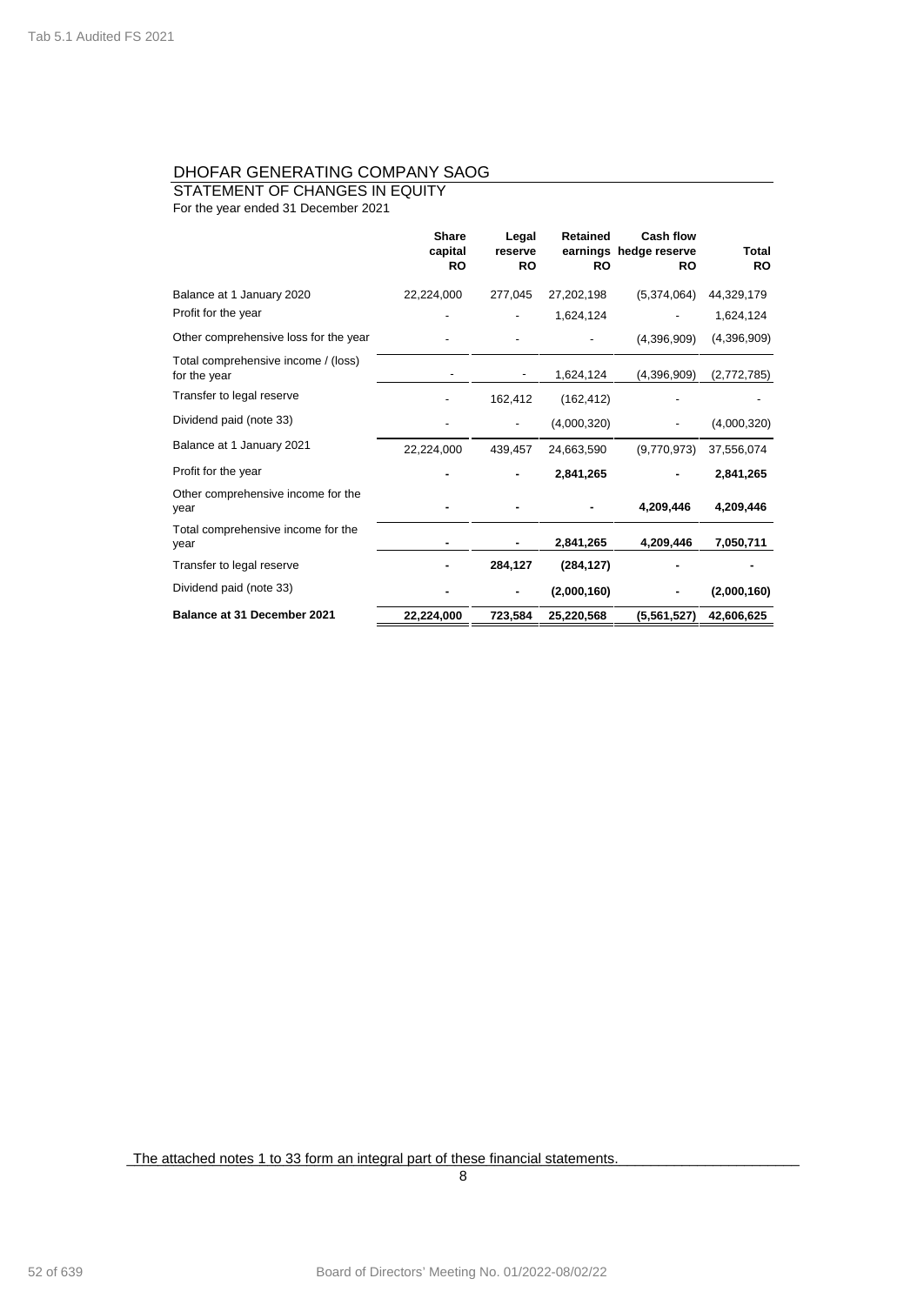STATEMENT OF CHANGES IN EQUITY For the year ended 31 December 2021

|                                                     | <b>Share</b><br>capital<br><b>RO</b> | Legal<br>reserve<br>RO | <b>Retained</b><br><b>RO</b> | Cash flow<br>earnings hedge reserve<br><b>RO</b> | <b>Total</b><br><b>RO</b> |
|-----------------------------------------------------|--------------------------------------|------------------------|------------------------------|--------------------------------------------------|---------------------------|
| Balance at 1 January 2020                           | 22,224,000                           | 277,045                | 27,202,198                   | (5,374,064)                                      | 44,329,179                |
| Profit for the year                                 |                                      |                        | 1,624,124                    |                                                  | 1,624,124                 |
| Other comprehensive loss for the year               |                                      |                        |                              | (4,396,909)                                      | (4,396,909)               |
| Total comprehensive income / (loss)<br>for the year |                                      |                        | 1,624,124                    | (4,396,909)                                      | (2,772,785)               |
| Transfer to legal reserve                           |                                      | 162,412                | (162, 412)                   |                                                  |                           |
| Dividend paid (note 33)                             |                                      |                        | (4,000,320)                  |                                                  | (4,000,320)               |
| Balance at 1 January 2021                           | 22,224,000                           | 439,457                | 24,663,590                   | (9,770,973)                                      | 37,556,074                |
| Profit for the year                                 |                                      |                        | 2,841,265                    |                                                  | 2,841,265                 |
| Other comprehensive income for the<br>year          |                                      |                        |                              | 4,209,446                                        | 4,209,446                 |
| Total comprehensive income for the<br>year          |                                      |                        | 2,841,265                    | 4,209,446                                        | 7,050,711                 |
| Transfer to legal reserve                           |                                      | 284,127                | (284, 127)                   |                                                  |                           |
| Dividend paid (note 33)                             |                                      |                        | (2,000,160)                  |                                                  | (2,000,160)               |
| <b>Balance at 31 December 2021</b>                  | 22,224,000                           | 723,584                | 25,220,568                   | (5,561,527)                                      | 42,606,625                |

The attached notes 1 to 33 form an integral part of these financial statements.

8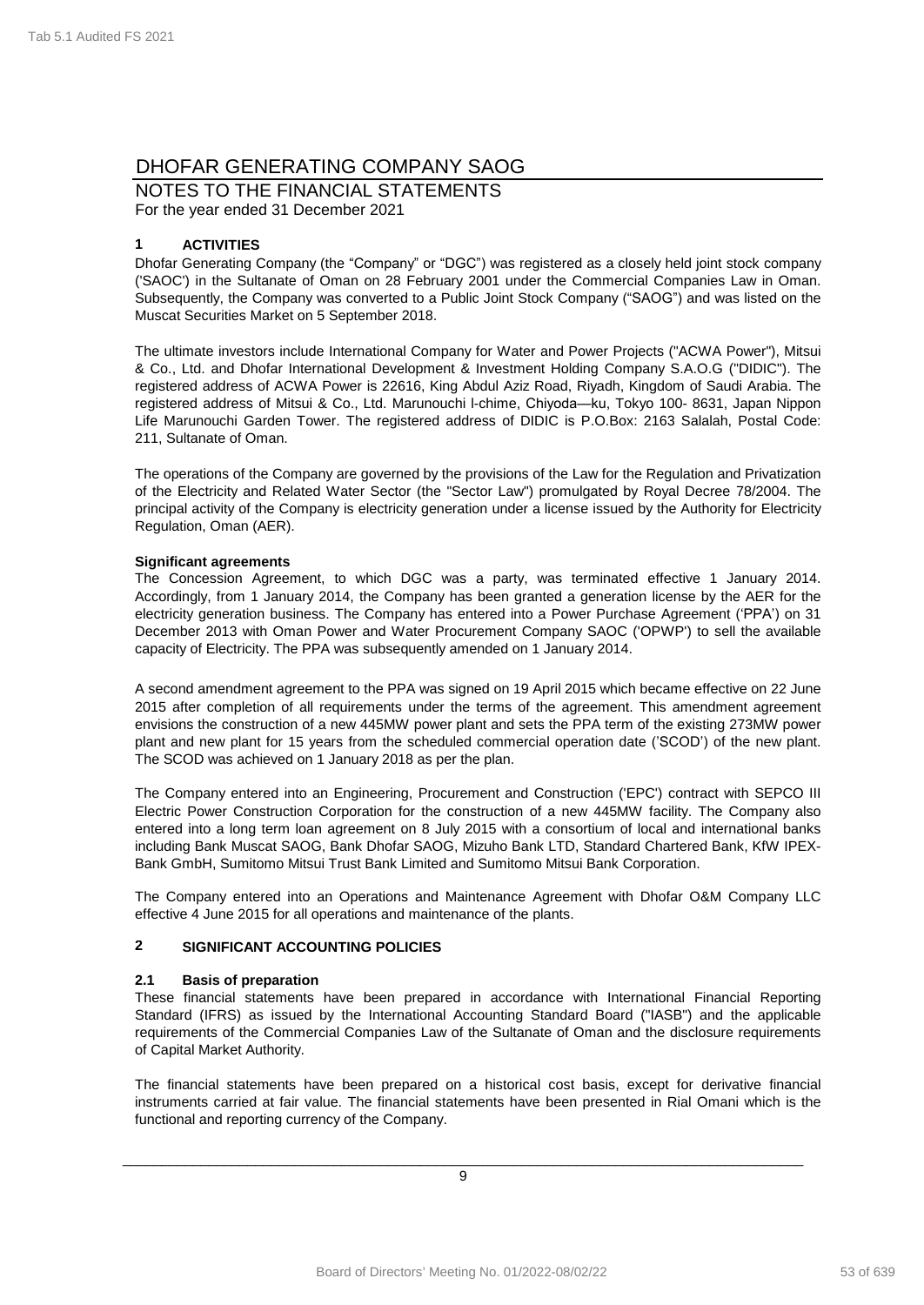NOTES TO THE FINANCIAL STATEMENTS

For the year ended 31 December 2021

## **1 ACTIVITIES**

Dhofar Generating Company (the "Company" or "DGC") was registered as a closely held joint stock company ('SAOC') in the Sultanate of Oman on 28 February 2001 under the Commercial Companies Law in Oman. Subsequently, the Company was converted to a Public Joint Stock Company ("SAOG") and was listed on the Muscat Securities Market on 5 September 2018.

The ultimate investors include International Company for Water and Power Projects ("ACWA Power"), Mitsui & Co., Ltd. and Dhofar International Development & Investment Holding Company S.A.O.G ("DIDIC"). The registered address of ACWA Power is 22616, King Abdul Aziz Road, Riyadh, Kingdom of Saudi Arabia. The registered address of Mitsui & Co., Ltd. Marunouchi l-chime, Chiyoda—ku, Tokyo 100- 8631, Japan Nippon Life Marunouchi Garden Tower. The registered address of DIDIC is P.O.Box: 2163 Salalah, Postal Code: 211, Sultanate of Oman.

The operations of the Company are governed by the provisions of the Law for the Regulation and Privatization of the Electricity and Related Water Sector (the "Sector Law") promulgated by Royal Decree 78/2004. The principal activity of the Company is electricity generation under a license issued by the Authority for Electricity Regulation, Oman (AER).

## **Significant agreements**

The Concession Agreement, to which DGC was a party, was terminated effective 1 January 2014. Accordingly, from 1 January 2014, the Company has been granted a generation license by the AER for the electricity generation business. The Company has entered into a Power Purchase Agreement ('PPA') on 31 December 2013 with Oman Power and Water Procurement Company SAOC ('OPWP') to sell the available capacity of Electricity. The PPA was subsequently amended on 1 January 2014.

A second amendment agreement to the PPA was signed on 19 April 2015 which became effective on 22 June 2015 after completion of all requirements under the terms of the agreement. This amendment agreement envisions the construction of a new 445MW power plant and sets the PPA term of the existing 273MW power plant and new plant for 15 years from the scheduled commercial operation date ('SCOD') of the new plant. The SCOD was achieved on 1 January 2018 as per the plan.

The Company entered into an Engineering, Procurement and Construction ('EPC') contract with SEPCO III Electric Power Construction Corporation for the construction of a new 445MW facility. The Company also entered into a long term loan agreement on 8 July 2015 with a consortium of local and international banks including Bank Muscat SAOG, Bank Dhofar SAOG, Mizuho Bank LTD, Standard Chartered Bank, KfW IPEX-Bank GmbH, Sumitomo Mitsui Trust Bank Limited and Sumitomo Mitsui Bank Corporation.

The Company entered into an Operations and Maintenance Agreement with Dhofar O&M Company LLC effective 4 June 2015 for all operations and maintenance of the plants.

## **2 SIGNIFICANT ACCOUNTING POLICIES**

## **2.1 Basis of preparation**

These financial statements have been prepared in accordance with International Financial Reporting Standard (IFRS) as issued by the International Accounting Standard Board ("IASB") and the applicable requirements of the Commercial Companies Law of the Sultanate of Oman and the disclosure requirements of Capital Market Authority.

The financial statements have been prepared on a historical cost basis, except for derivative financial instruments carried at fair value. The financial statements have been presented in Rial Omani which is the functional and reporting currency of the Company.

\_\_\_\_\_\_\_\_\_\_\_\_\_\_\_\_\_\_\_\_\_\_\_\_\_\_\_\_\_\_\_\_\_\_\_\_\_\_\_\_\_\_\_\_\_\_\_\_\_\_\_\_\_\_\_\_\_\_\_\_\_\_\_\_\_\_\_\_\_\_\_\_\_\_\_\_\_\_\_\_\_\_\_\_\_\_\_ 9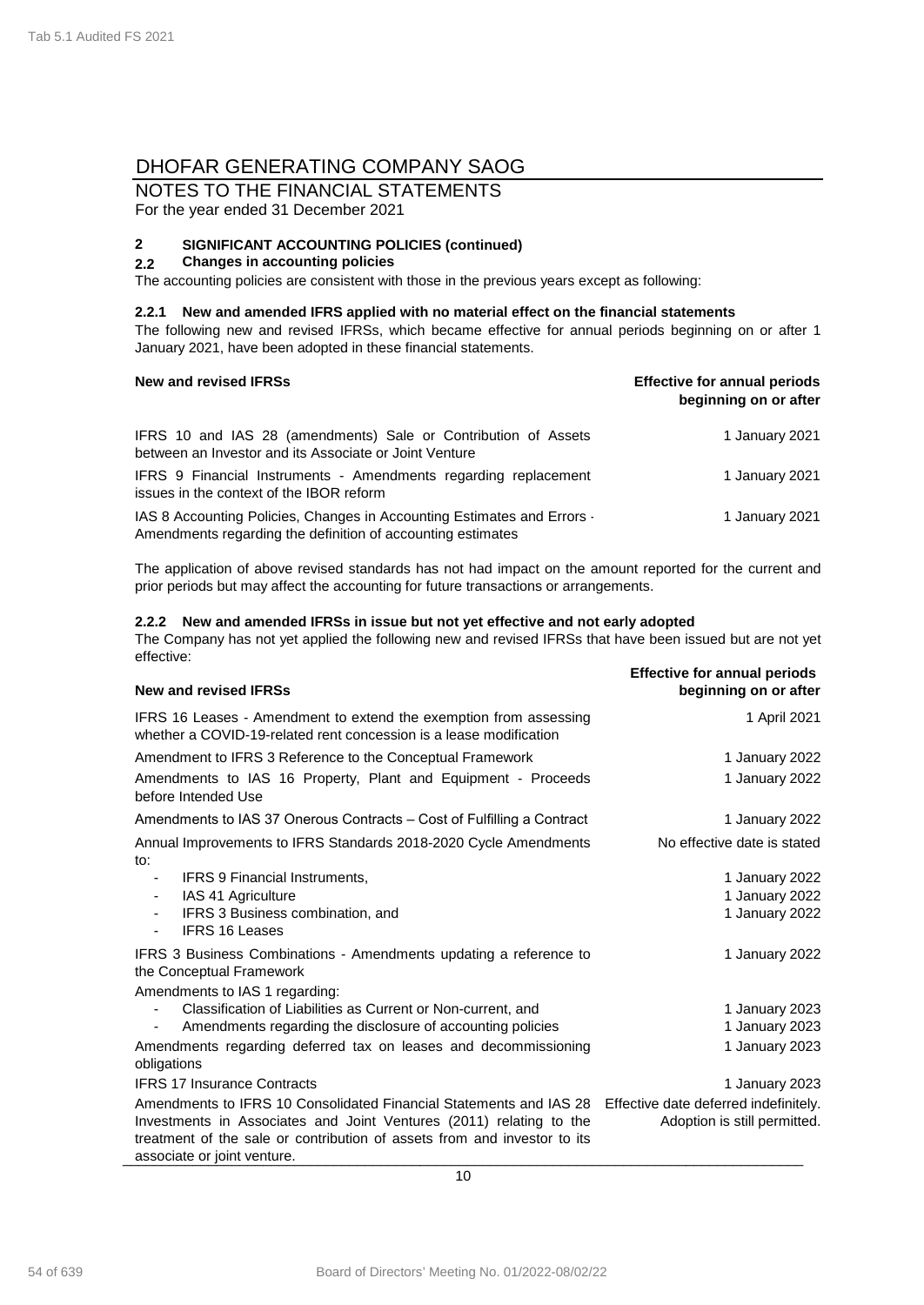NOTES TO THE FINANCIAL STATEMENTS

For the year ended 31 December 2021

## **2 SIGNIFICANT ACCOUNTING POLICIES (continued)**

## **2.2 Changes in accounting policies**

The accounting policies are consistent with those in the previous years except as following:

## **2.2.1 New and amended IFRS applied with no material effect on the financial statements**

The following new and revised IFRSs, which became effective for annual periods beginning on or after 1 January 2021, have been adopted in these financial statements.

| New and revised IFRSs                                                                                                                  | <b>Effective for annual periods</b><br>beginning on or after |
|----------------------------------------------------------------------------------------------------------------------------------------|--------------------------------------------------------------|
| IFRS 10 and IAS 28 (amendments) Sale or Contribution of Assets<br>between an Investor and its Associate or Joint Venture               | 1 January 2021                                               |
| IFRS 9 Financial Instruments - Amendments regarding replacement<br>issues in the context of the IBOR reform                            | 1 January 2021                                               |
| IAS 8 Accounting Policies, Changes in Accounting Estimates and Errors ·<br>Amendments regarding the definition of accounting estimates | 1 January 2021                                               |

The application of above revised standards has not had impact on the amount reported for the current and prior periods but may affect the accounting for future transactions or arrangements.

## **2.2.2 New and amended IFRSs in issue but not yet effective and not early adopted**

The Company has not yet applied the following new and revised IFRSs that have been issued but are not yet effective:

| New and revised IFRSs                                                                                                                                                                                                 | <b>Effective for annual periods</b><br>beginning on or after          |
|-----------------------------------------------------------------------------------------------------------------------------------------------------------------------------------------------------------------------|-----------------------------------------------------------------------|
| IFRS 16 Leases - Amendment to extend the exemption from assessing<br>whether a COVID-19-related rent concession is a lease modification                                                                               | 1 April 2021                                                          |
| Amendment to IFRS 3 Reference to the Conceptual Framework                                                                                                                                                             | 1 January 2022                                                        |
| Amendments to IAS 16 Property, Plant and Equipment - Proceeds<br>before Intended Use                                                                                                                                  | 1 January 2022                                                        |
| Amendments to IAS 37 Onerous Contracts – Cost of Fulfilling a Contract                                                                                                                                                | 1 January 2022                                                        |
| Annual Improvements to IFRS Standards 2018-2020 Cycle Amendments<br>to:                                                                                                                                               | No effective date is stated                                           |
| <b>IFRS 9 Financial Instruments,</b><br>$\overline{\phantom{a}}$                                                                                                                                                      | 1 January 2022                                                        |
| IAS 41 Agriculture<br>$\overline{\phantom{a}}$                                                                                                                                                                        | 1 January 2022                                                        |
| IFRS 3 Business combination, and<br><b>IFRS 16 Leases</b><br>$\blacksquare$                                                                                                                                           | 1 January 2022                                                        |
| IFRS 3 Business Combinations - Amendments updating a reference to<br>the Conceptual Framework                                                                                                                         | 1 January 2022                                                        |
| Amendments to IAS 1 regarding:                                                                                                                                                                                        |                                                                       |
| Classification of Liabilities as Current or Non-current, and<br>Amendments regarding the disclosure of accounting policies                                                                                            | 1 January 2023<br>1 January 2023                                      |
| Amendments regarding deferred tax on leases and decommissioning                                                                                                                                                       | 1 January 2023                                                        |
| obligations                                                                                                                                                                                                           |                                                                       |
| <b>IFRS 17 Insurance Contracts</b>                                                                                                                                                                                    | 1 January 2023                                                        |
| Amendments to IFRS 10 Consolidated Financial Statements and IAS 28<br>Investments in Associates and Joint Ventures (2011) relating to the<br>treatment of the sale or contribution of assets from and investor to its | Effective date deferred indefinitely.<br>Adoption is still permitted. |
| associate or joint venture.                                                                                                                                                                                           |                                                                       |

10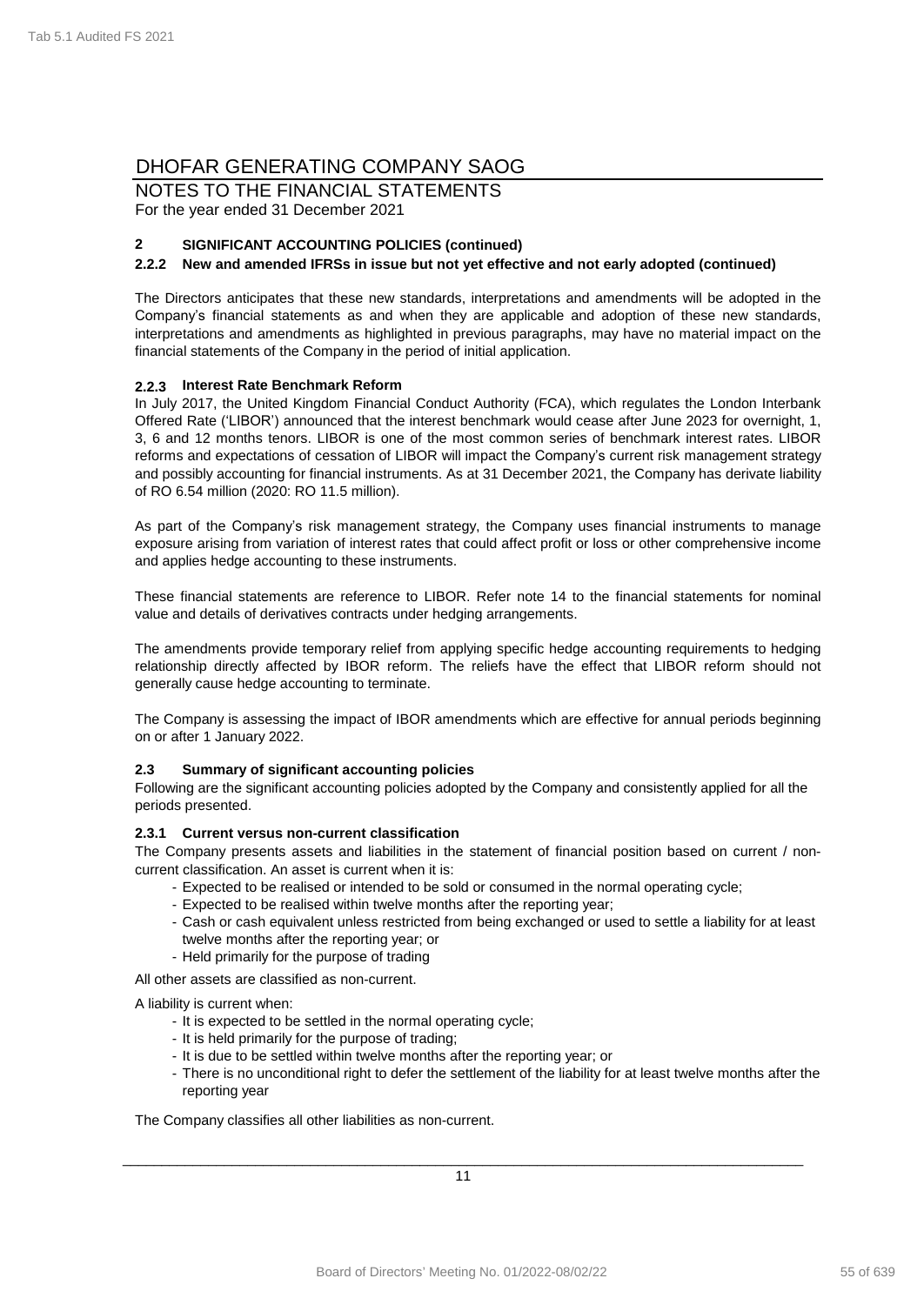NOTES TO THE FINANCIAL STATEMENTS For the year ended 31 December 2021

## **2 SIGNIFICANT ACCOUNTING POLICIES (continued)**

## **2.2.2 New and amended IFRSs in issue but not yet effective and not early adopted (continued)**

The Directors anticipates that these new standards, interpretations and amendments will be adopted in the Company's financial statements as and when they are applicable and adoption of these new standards, interpretations and amendments as highlighted in previous paragraphs, may have no material impact on the financial statements of the Company in the period of initial application.

## **2.2.3 Interest Rate Benchmark Reform**

In July 2017, the United Kingdom Financial Conduct Authority (FCA), which regulates the London Interbank Offered Rate ('LIBOR') announced that the interest benchmark would cease after June 2023 for overnight, 1, 3, 6 and 12 months tenors. LIBOR is one of the most common series of benchmark interest rates. LIBOR reforms and expectations of cessation of LIBOR will impact the Company's current risk management strategy and possibly accounting for financial instruments. As at 31 December 2021, the Company has derivate liability of RO 6.54 million (2020: RO 11.5 million).

As part of the Company's risk management strategy, the Company uses financial instruments to manage exposure arising from variation of interest rates that could affect profit or loss or other comprehensive income and applies hedge accounting to these instruments.

These financial statements are reference to LIBOR. Refer note 14 to the financial statements for nominal value and details of derivatives contracts under hedging arrangements.

The amendments provide temporary relief from applying specific hedge accounting requirements to hedging relationship directly affected by IBOR reform. The reliefs have the effect that LIBOR reform should not generally cause hedge accounting to terminate.

The Company is assessing the impact of IBOR amendments which are effective for annual periods beginning on or after 1 January 2022.

## **2.3 Summary of significant accounting policies**

Following are the significant accounting policies adopted by the Company and consistently applied for all the periods presented.

## **2.3.1 Current versus non-current classification**

The Company presents assets and liabilities in the statement of financial position based on current / noncurrent classification. An asset is current when it is:

- Expected to be realised or intended to be sold or consumed in the normal operating cycle;
- Expected to be realised within twelve months after the reporting year;
- Cash or cash equivalent unless restricted from being exchanged or used to settle a liability for at least twelve months after the reporting year; or
- Held primarily for the purpose of trading

All other assets are classified as non-current.

A liability is current when:

- It is expected to be settled in the normal operating cycle;
- It is held primarily for the purpose of trading;
- It is due to be settled within twelve months after the reporting year; or
- There is no unconditional right to defer the settlement of the liability for at least twelve months after the reporting year

The Company classifies all other liabilities as non-current.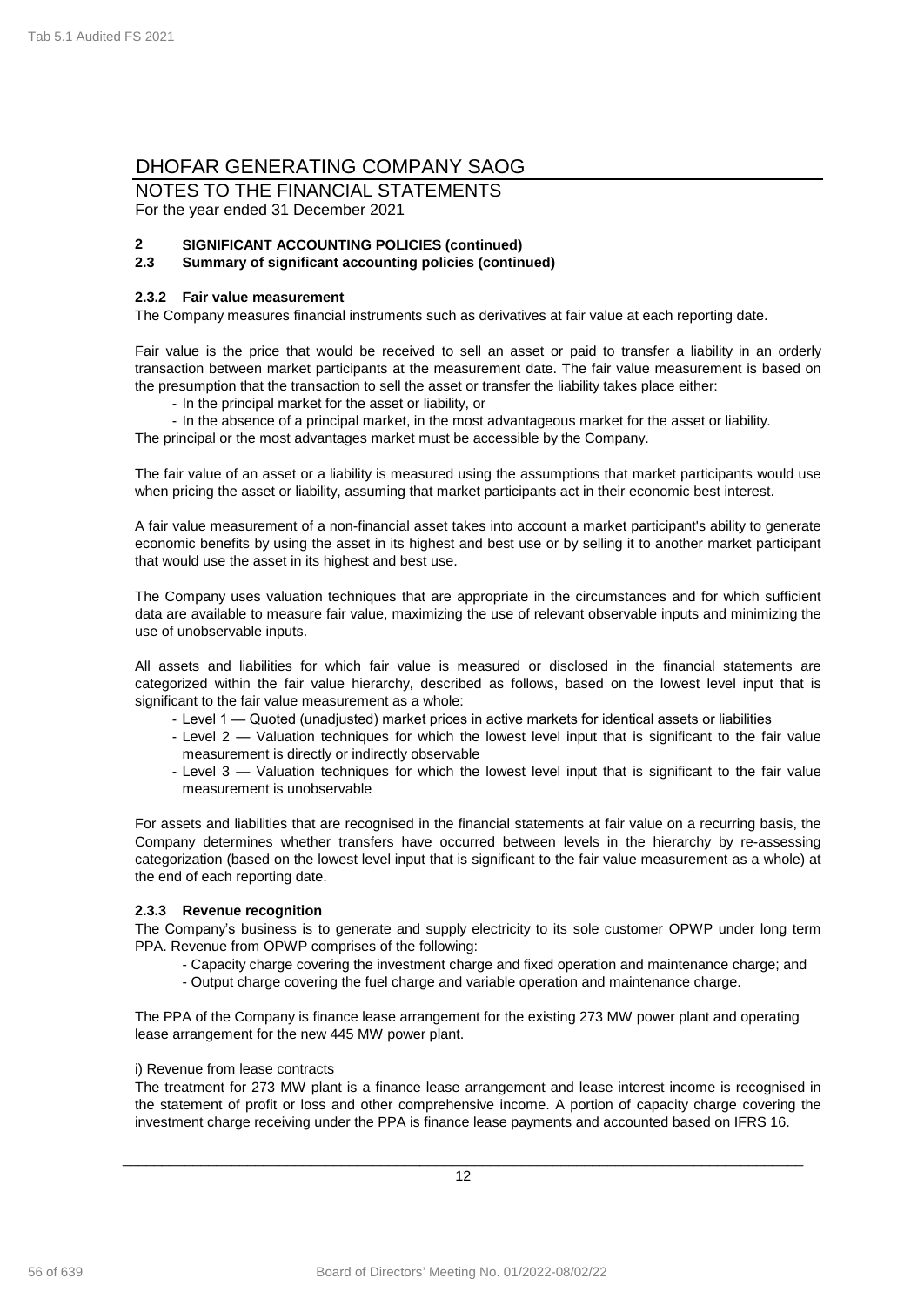NOTES TO THE FINANCIAL STATEMENTS For the year ended 31 December 2021

# **2 SIGNIFICANT ACCOUNTING POLICIES (continued)**

## **2.3 Summary of significant accounting policies (continued)**

## **2.3.2 Fair value measurement**

The Company measures financial instruments such as derivatives at fair value at each reporting date.

Fair value is the price that would be received to sell an asset or paid to transfer a liability in an orderly transaction between market participants at the measurement date. The fair value measurement is based on the presumption that the transaction to sell the asset or transfer the liability takes place either:

- In the principal market for the asset or liability, or
- In the absence of a principal market, in the most advantageous market for the asset or liability.

The principal or the most advantages market must be accessible by the Company.

The fair value of an asset or a liability is measured using the assumptions that market participants would use when pricing the asset or liability, assuming that market participants act in their economic best interest.

A fair value measurement of a non-financial asset takes into account a market participant's ability to generate economic benefits by using the asset in its highest and best use or by selling it to another market participant that would use the asset in its highest and best use.

The Company uses valuation techniques that are appropriate in the circumstances and for which sufficient data are available to measure fair value, maximizing the use of relevant observable inputs and minimizing the use of unobservable inputs.

All assets and liabilities for which fair value is measured or disclosed in the financial statements are categorized within the fair value hierarchy, described as follows, based on the lowest level input that is significant to the fair value measurement as a whole:

- Level 1 Quoted (unadjusted) market prices in active markets for identical assets or liabilities
- Level 2 Valuation techniques for which the lowest level input that is significant to the fair value measurement is directly or indirectly observable
- Level 3 Valuation techniques for which the lowest level input that is significant to the fair value measurement is unobservable

For assets and liabilities that are recognised in the financial statements at fair value on a recurring basis, the Company determines whether transfers have occurred between levels in the hierarchy by re-assessing categorization (based on the lowest level input that is significant to the fair value measurement as a whole) at the end of each reporting date.

## **2.3.3 Revenue recognition**

The Company's business is to generate and supply electricity to its sole customer OPWP under long term PPA. Revenue from OPWP comprises of the following:

- Capacity charge covering the investment charge and fixed operation and maintenance charge; and
- Output charge covering the fuel charge and variable operation and maintenance charge.

The PPA of the Company is finance lease arrangement for the existing 273 MW power plant and operating lease arrangement for the new 445 MW power plant.

### i) Revenue from lease contracts

The treatment for 273 MW plant is a finance lease arrangement and lease interest income is recognised in the statement of profit or loss and other comprehensive income. A portion of capacity charge covering the investment charge receiving under the PPA is finance lease payments and accounted based on IFRS 16.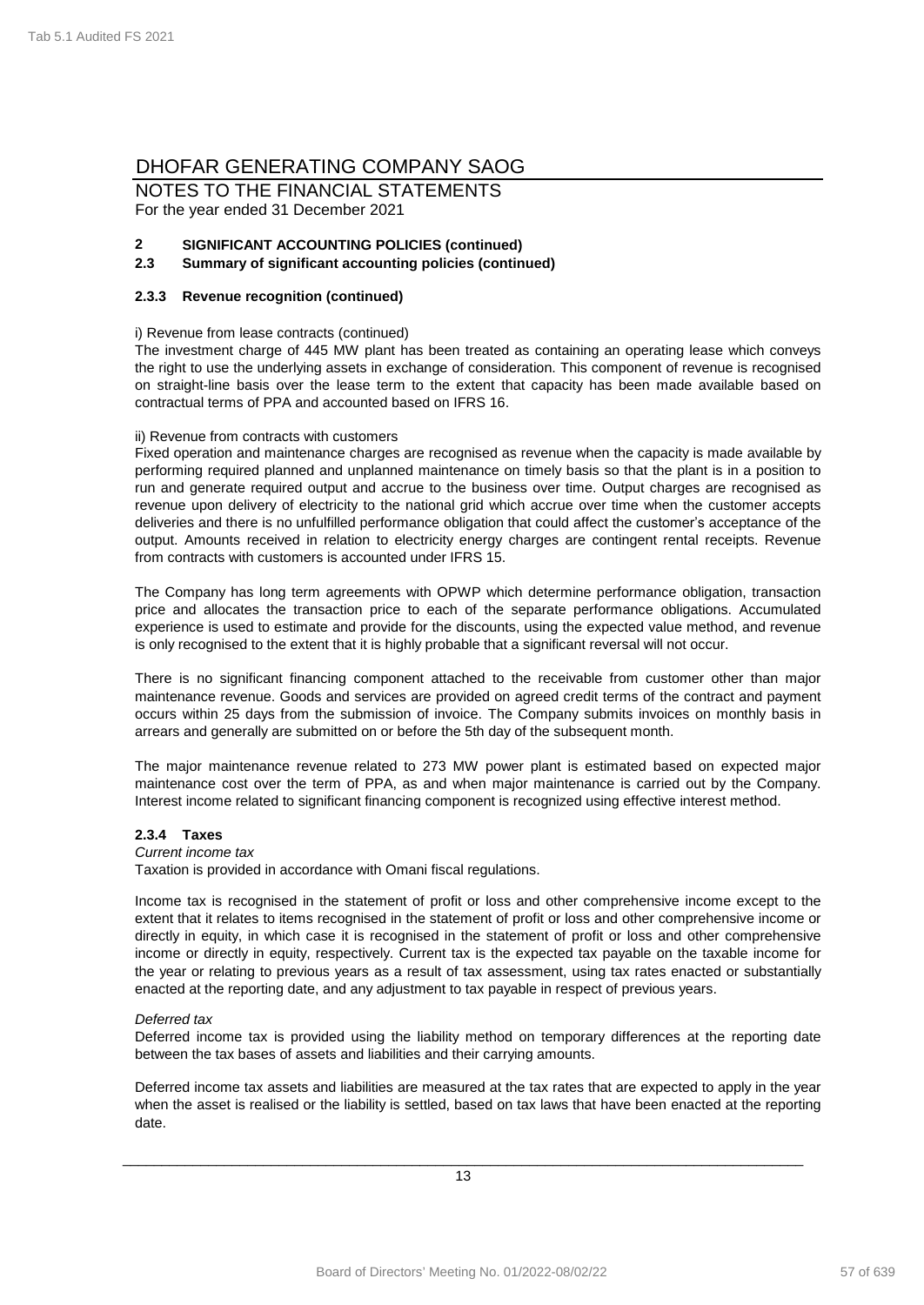NOTES TO THE FINANCIAL STATEMENTS For the year ended 31 December 2021

# **2 SIGNIFICANT ACCOUNTING POLICIES (continued)**

## **2.3 Summary of significant accounting policies (continued)**

## **2.3.3 Revenue recognition (continued)**

## i) Revenue from lease contracts (continued)

The investment charge of 445 MW plant has been treated as containing an operating lease which conveys the right to use the underlying assets in exchange of consideration. This component of revenue is recognised on straight-line basis over the lease term to the extent that capacity has been made available based on contractual terms of PPA and accounted based on IFRS 16.

## ii) Revenue from contracts with customers

Fixed operation and maintenance charges are recognised as revenue when the capacity is made available by performing required planned and unplanned maintenance on timely basis so that the plant is in a position to run and generate required output and accrue to the business over time. Output charges are recognised as revenue upon delivery of electricity to the national grid which accrue over time when the customer accepts deliveries and there is no unfulfilled performance obligation that could affect the customer's acceptance of the output. Amounts received in relation to electricity energy charges are contingent rental receipts. Revenue from contracts with customers is accounted under IFRS 15.

The Company has long term agreements with OPWP which determine performance obligation, transaction price and allocates the transaction price to each of the separate performance obligations. Accumulated experience is used to estimate and provide for the discounts, using the expected value method, and revenue is only recognised to the extent that it is highly probable that a significant reversal will not occur.

There is no significant financing component attached to the receivable from customer other than major maintenance revenue. Goods and services are provided on agreed credit terms of the contract and payment occurs within 25 days from the submission of invoice. The Company submits invoices on monthly basis in arrears and generally are submitted on or before the 5th day of the subsequent month.

The major maintenance revenue related to 273 MW power plant is estimated based on expected major maintenance cost over the term of PPA, as and when major maintenance is carried out by the Company. Interest income related to significant financing component is recognized using effective interest method.

## **2.3.4 Taxes**

### *Current income tax*

Taxation is provided in accordance with Omani fiscal regulations.

Income tax is recognised in the statement of profit or loss and other comprehensive income except to the extent that it relates to items recognised in the statement of profit or loss and other comprehensive income or directly in equity, in which case it is recognised in the statement of profit or loss and other comprehensive income or directly in equity, respectively. Current tax is the expected tax payable on the taxable income for the year or relating to previous years as a result of tax assessment, using tax rates enacted or substantially enacted at the reporting date, and any adjustment to tax payable in respect of previous years.

### *Deferred tax*

Deferred income tax is provided using the liability method on temporary differences at the reporting date between the tax bases of assets and liabilities and their carrying amounts.

Deferred income tax assets and liabilities are measured at the tax rates that are expected to apply in the year when the asset is realised or the liability is settled, based on tax laws that have been enacted at the reporting date.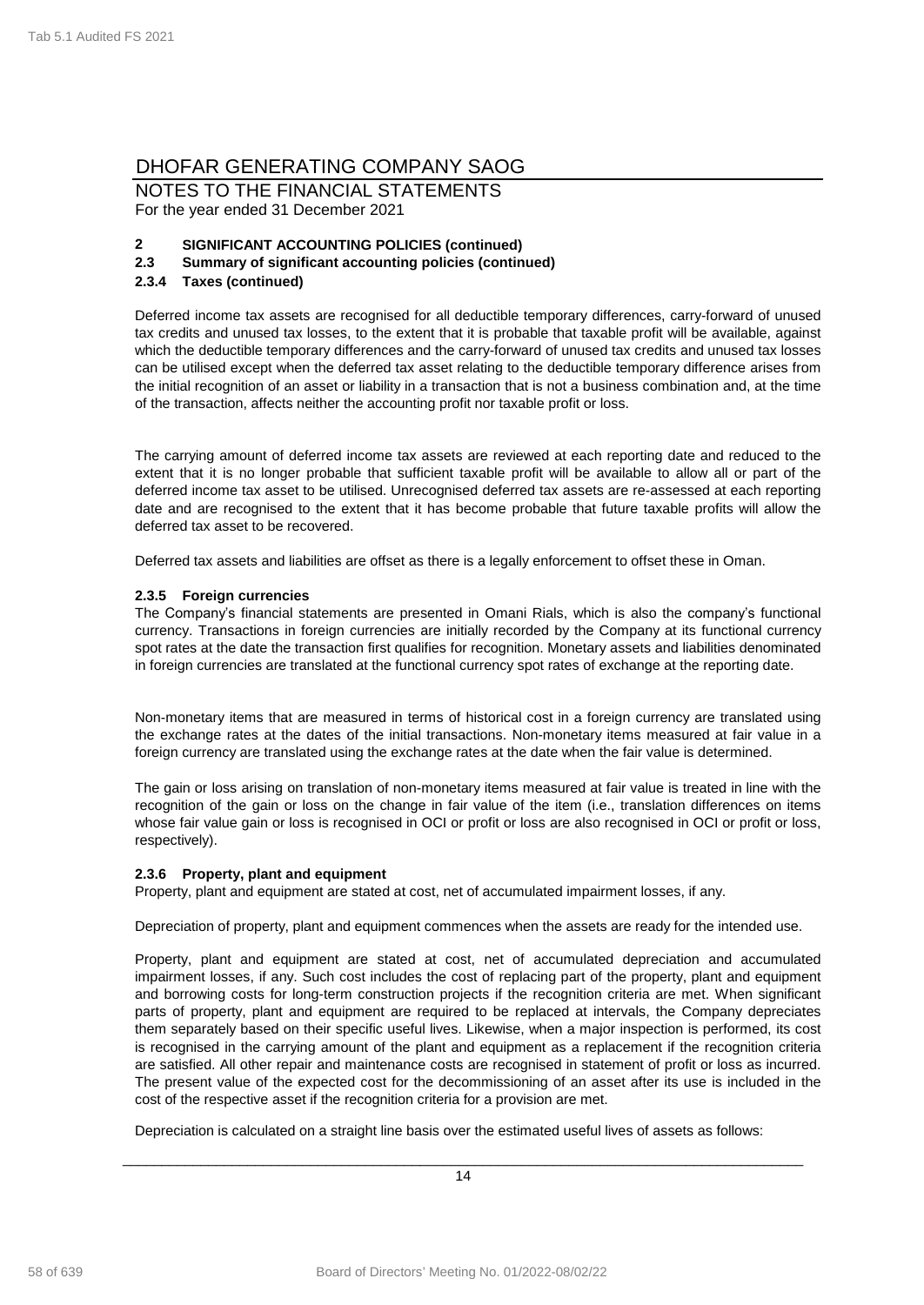NOTES TO THE FINANCIAL STATEMENTS For the year ended 31 December 2021

## **2 SIGNIFICANT ACCOUNTING POLICIES (continued)**

**2.3 Summary of significant accounting policies (continued)**

## **2.3.4 Taxes (continued)**

Deferred income tax assets are recognised for all deductible temporary differences, carry-forward of unused tax credits and unused tax losses, to the extent that it is probable that taxable profit will be available, against which the deductible temporary differences and the carry-forward of unused tax credits and unused tax losses can be utilised except when the deferred tax asset relating to the deductible temporary difference arises from the initial recognition of an asset or liability in a transaction that is not a business combination and, at the time of the transaction, affects neither the accounting profit nor taxable profit or loss.

The carrying amount of deferred income tax assets are reviewed at each reporting date and reduced to the extent that it is no longer probable that sufficient taxable profit will be available to allow all or part of the deferred income tax asset to be utilised. Unrecognised deferred tax assets are re-assessed at each reporting date and are recognised to the extent that it has become probable that future taxable profits will allow the deferred tax asset to be recovered.

Deferred tax assets and liabilities are offset as there is a legally enforcement to offset these in Oman.

## **2.3.5 Foreign currencies**

The Company's financial statements are presented in Omani Rials, which is also the company's functional currency. Transactions in foreign currencies are initially recorded by the Company at its functional currency spot rates at the date the transaction first qualifies for recognition. Monetary assets and liabilities denominated in foreign currencies are translated at the functional currency spot rates of exchange at the reporting date.

Non-monetary items that are measured in terms of historical cost in a foreign currency are translated using the exchange rates at the dates of the initial transactions. Non-monetary items measured at fair value in a foreign currency are translated using the exchange rates at the date when the fair value is determined.

The gain or loss arising on translation of non-monetary items measured at fair value is treated in line with the recognition of the gain or loss on the change in fair value of the item (i.e., translation differences on items whose fair value gain or loss is recognised in OCI or profit or loss are also recognised in OCI or profit or loss, respectively).

## **2.3.6 Property, plant and equipment**

Property, plant and equipment are stated at cost, net of accumulated impairment losses, if any.

Depreciation of property, plant and equipment commences when the assets are ready for the intended use.

Property, plant and equipment are stated at cost, net of accumulated depreciation and accumulated impairment losses, if any. Such cost includes the cost of replacing part of the property, plant and equipment and borrowing costs for long-term construction projects if the recognition criteria are met. When significant parts of property, plant and equipment are required to be replaced at intervals, the Company depreciates them separately based on their specific useful lives. Likewise, when a major inspection is performed, its cost is recognised in the carrying amount of the plant and equipment as a replacement if the recognition criteria are satisfied. All other repair and maintenance costs are recognised in statement of profit or loss as incurred. The present value of the expected cost for the decommissioning of an asset after its use is included in the cost of the respective asset if the recognition criteria for a provision are met.

Depreciation is calculated on a straight line basis over the estimated useful lives of assets as follows:

\_\_\_\_\_\_\_\_\_\_\_\_\_\_\_\_\_\_\_\_\_\_\_\_\_\_\_\_\_\_\_\_\_\_\_\_\_\_\_\_\_\_\_\_\_\_\_\_\_\_\_\_\_\_\_\_\_\_\_\_\_\_\_\_\_\_\_\_\_\_\_\_\_\_\_\_\_\_\_\_\_\_\_\_\_\_\_ 14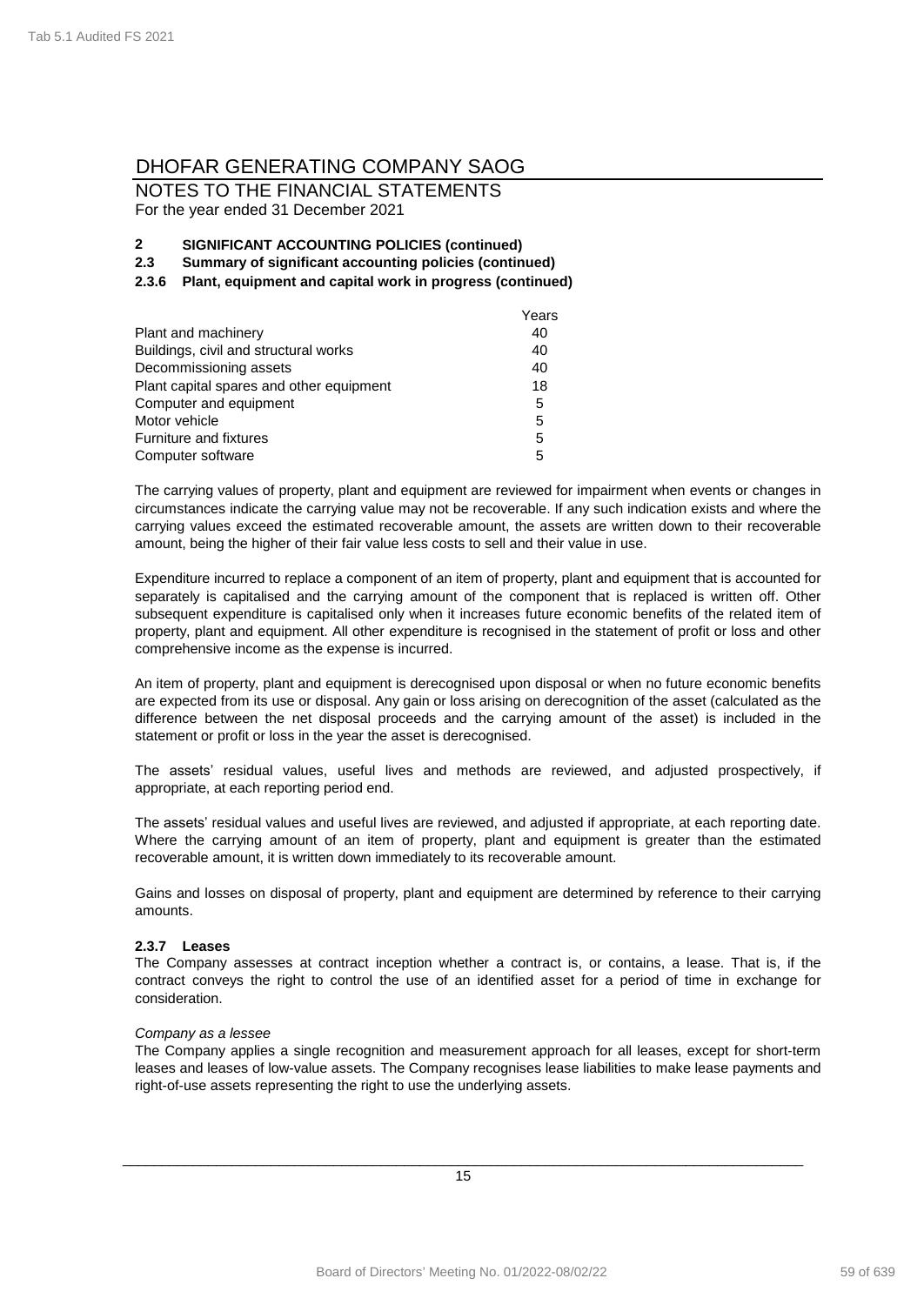NOTES TO THE FINANCIAL STATEMENTS For the year ended 31 December 2021

## **2 SIGNIFICANT ACCOUNTING POLICIES (continued)**

- **2.3 Summary of significant accounting policies (continued)**
- **2.3.6 Plant, equipment and capital work in progress (continued)**

|                                          | Years |
|------------------------------------------|-------|
| Plant and machinery                      | 40    |
| Buildings, civil and structural works    | 40    |
| Decommissioning assets                   | 40    |
| Plant capital spares and other equipment | 18    |
| Computer and equipment                   | 5     |
| Motor vehicle                            | 5     |
| Furniture and fixtures                   | 5     |
| Computer software                        | 5     |

The carrying values of property, plant and equipment are reviewed for impairment when events or changes in circumstances indicate the carrying value may not be recoverable. If any such indication exists and where the carrying values exceed the estimated recoverable amount, the assets are written down to their recoverable amount, being the higher of their fair value less costs to sell and their value in use.

Expenditure incurred to replace a component of an item of property, plant and equipment that is accounted for separately is capitalised and the carrying amount of the component that is replaced is written off. Other subsequent expenditure is capitalised only when it increases future economic benefits of the related item of property, plant and equipment. All other expenditure is recognised in the statement of profit or loss and other comprehensive income as the expense is incurred.

An item of property, plant and equipment is derecognised upon disposal or when no future economic benefits are expected from its use or disposal. Any gain or loss arising on derecognition of the asset (calculated as the difference between the net disposal proceeds and the carrying amount of the asset) is included in the statement or profit or loss in the year the asset is derecognised.

The assets' residual values, useful lives and methods are reviewed, and adjusted prospectively, if appropriate, at each reporting period end.

The assets' residual values and useful lives are reviewed, and adjusted if appropriate, at each reporting date. Where the carrying amount of an item of property, plant and equipment is greater than the estimated recoverable amount, it is written down immediately to its recoverable amount.

Gains and losses on disposal of property, plant and equipment are determined by reference to their carrying amounts.

## **2.3.7 Leases**

The Company assesses at contract inception whether a contract is, or contains, a lease. That is, if the contract conveys the right to control the use of an identified asset for a period of time in exchange for consideration.

### *Company as a lessee*

The Company applies a single recognition and measurement approach for all leases, except for short-term leases and leases of low-value assets. The Company recognises lease liabilities to make lease payments and right-of-use assets representing the right to use the underlying assets.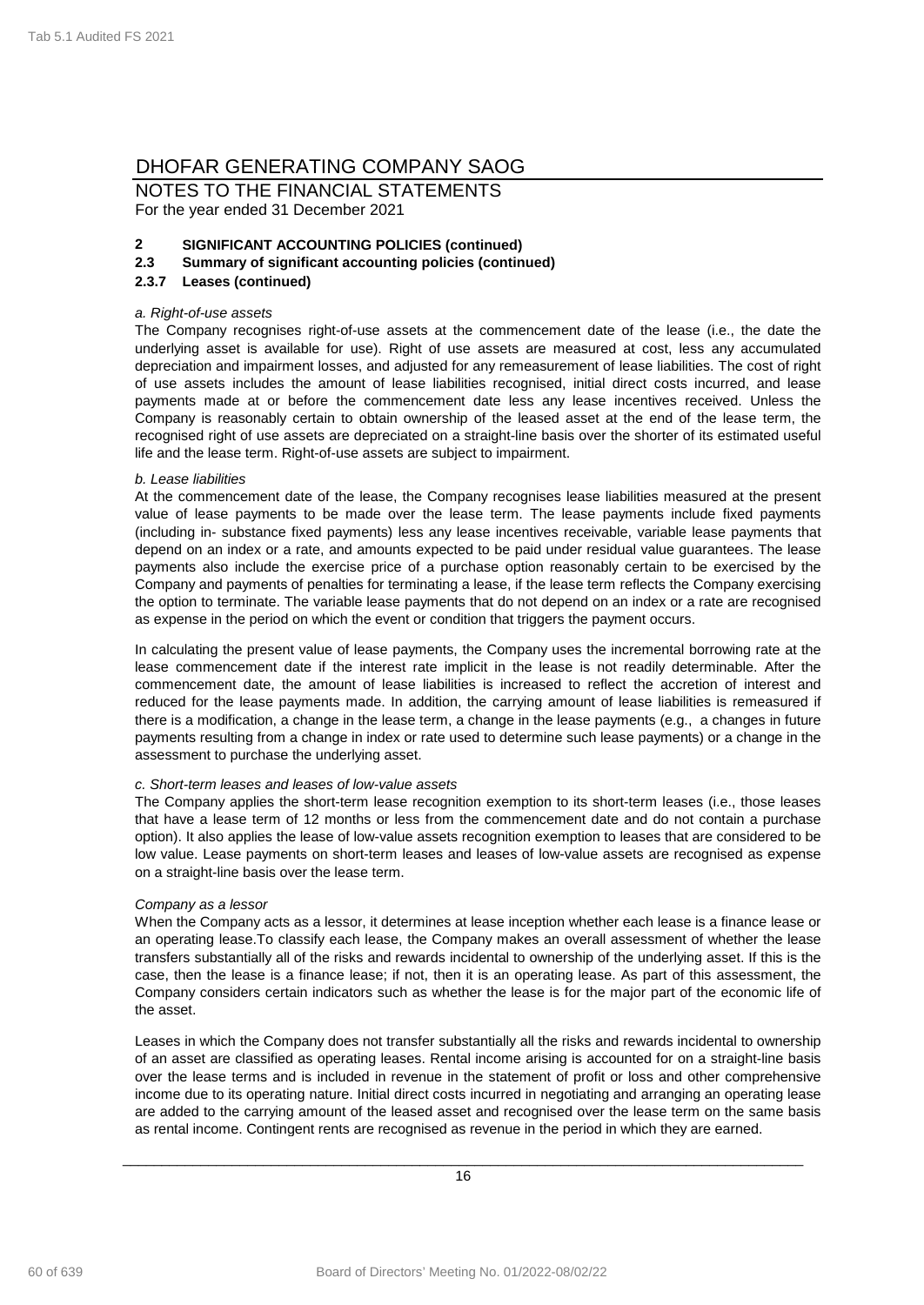NOTES TO THE FINANCIAL STATEMENTS For the year ended 31 December 2021

## **2 SIGNIFICANT ACCOUNTING POLICIES (continued)**

**2.3 Summary of significant accounting policies (continued)**

## **2.3.7 Leases (continued)**

## *a. Right-of-use assets*

The Company recognises right-of-use assets at the commencement date of the lease (i.e., the date the underlying asset is available for use). Right of use assets are measured at cost, less any accumulated depreciation and impairment losses, and adjusted for any remeasurement of lease liabilities. The cost of right of use assets includes the amount of lease liabilities recognised, initial direct costs incurred, and lease payments made at or before the commencement date less any lease incentives received. Unless the Company is reasonably certain to obtain ownership of the leased asset at the end of the lease term, the recognised right of use assets are depreciated on a straight-line basis over the shorter of its estimated useful life and the lease term. Right-of-use assets are subject to impairment.

## *b. Lease liabilities*

At the commencement date of the lease, the Company recognises lease liabilities measured at the present value of lease payments to be made over the lease term. The lease payments include fixed payments (including in- substance fixed payments) less any lease incentives receivable, variable lease payments that depend on an index or a rate, and amounts expected to be paid under residual value guarantees. The lease payments also include the exercise price of a purchase option reasonably certain to be exercised by the Company and payments of penalties for terminating a lease, if the lease term reflects the Company exercising the option to terminate. The variable lease payments that do not depend on an index or a rate are recognised as expense in the period on which the event or condition that triggers the payment occurs.

In calculating the present value of lease payments, the Company uses the incremental borrowing rate at the lease commencement date if the interest rate implicit in the lease is not readily determinable. After the commencement date, the amount of lease liabilities is increased to reflect the accretion of interest and reduced for the lease payments made. In addition, the carrying amount of lease liabilities is remeasured if there is a modification, a change in the lease term, a change in the lease payments (e.g., a changes in future payments resulting from a change in index or rate used to determine such lease payments) or a change in the assessment to purchase the underlying asset.

## *c. Short-term leases and leases of low-value assets*

The Company applies the short-term lease recognition exemption to its short-term leases (i.e., those leases that have a lease term of 12 months or less from the commencement date and do not contain a purchase option). It also applies the lease of low-value assets recognition exemption to leases that are considered to be low value. Lease payments on short-term leases and leases of low-value assets are recognised as expense on a straight-line basis over the lease term.

## *Company as a lessor*

When the Company acts as a lessor, it determines at lease inception whether each lease is a finance lease or an operating lease.To classify each lease, the Company makes an overall assessment of whether the lease transfers substantially all of the risks and rewards incidental to ownership of the underlying asset. If this is the case, then the lease is a finance lease; if not, then it is an operating lease. As part of this assessment, the Company considers certain indicators such as whether the lease is for the major part of the economic life of the asset.

Leases in which the Company does not transfer substantially all the risks and rewards incidental to ownership of an asset are classified as operating leases. Rental income arising is accounted for on a straight-line basis over the lease terms and is included in revenue in the statement of profit or loss and other comprehensive income due to its operating nature. Initial direct costs incurred in negotiating and arranging an operating lease are added to the carrying amount of the leased asset and recognised over the lease term on the same basis as rental income. Contingent rents are recognised as revenue in the period in which they are earned.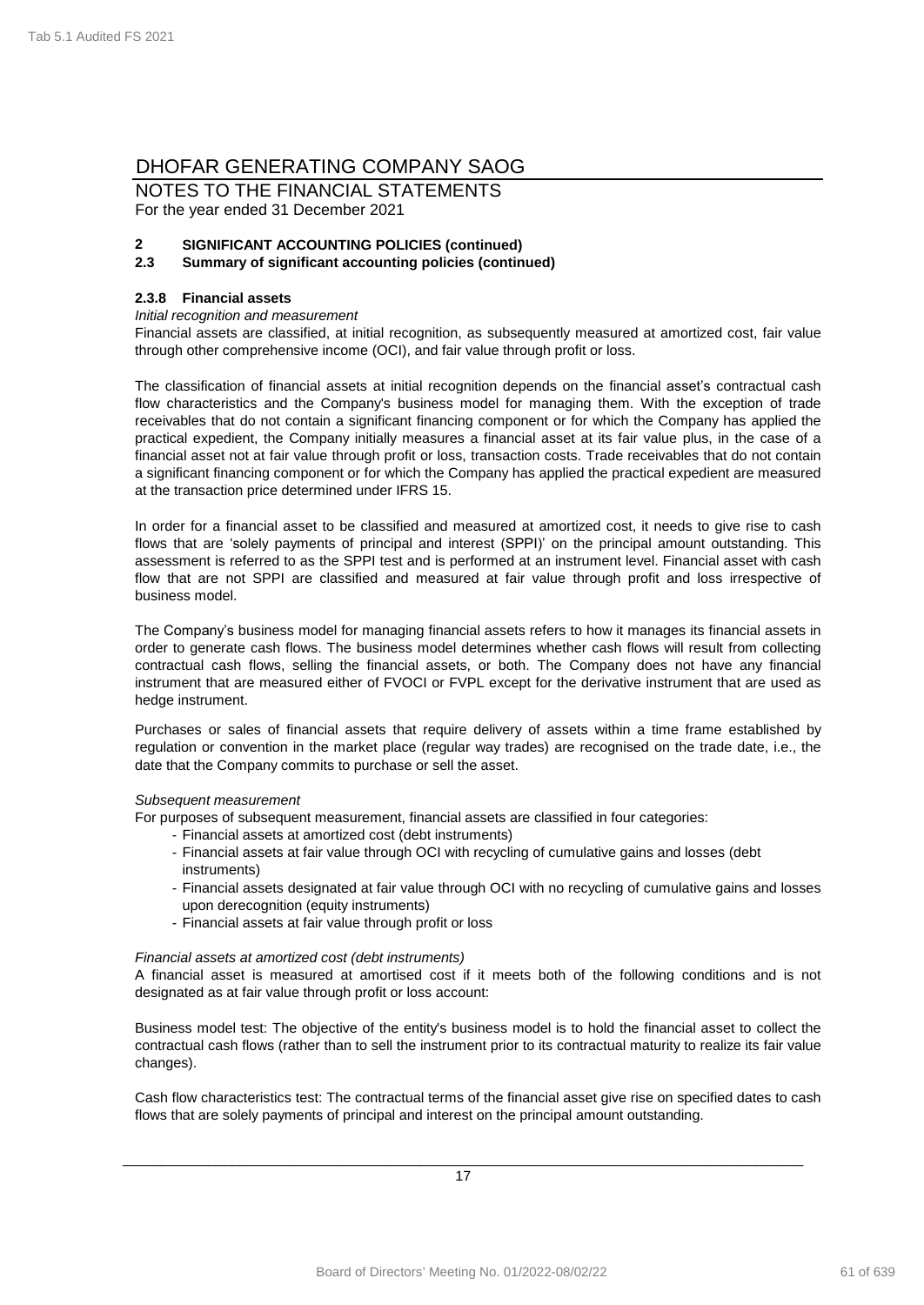NOTES TO THE FINANCIAL STATEMENTS For the year ended 31 December 2021

## **2 SIGNIFICANT ACCOUNTING POLICIES (continued)**

## **2.3 Summary of significant accounting policies (continued)**

## **2.3.8 Financial assets**

## *Initial recognition and measurement*

Financial assets are classified, at initial recognition, as subsequently measured at amortized cost, fair value through other comprehensive income (OCI), and fair value through profit or loss.

The classification of financial assets at initial recognition depends on the financial asset's contractual cash flow characteristics and the Company's business model for managing them. With the exception of trade receivables that do not contain a significant financing component or for which the Company has applied the practical expedient, the Company initially measures a financial asset at its fair value plus, in the case of a financial asset not at fair value through profit or loss, transaction costs. Trade receivables that do not contain a significant financing component or for which the Company has applied the practical expedient are measured at the transaction price determined under IFRS 15.

In order for a financial asset to be classified and measured at amortized cost, it needs to give rise to cash flows that are 'solely payments of principal and interest (SPPI)' on the principal amount outstanding. This assessment is referred to as the SPPI test and is performed at an instrument level. Financial asset with cash flow that are not SPPI are classified and measured at fair value through profit and loss irrespective of business model.

The Company's business model for managing financial assets refers to how it manages its financial assets in order to generate cash flows. The business model determines whether cash flows will result from collecting contractual cash flows, selling the financial assets, or both. The Company does not have any financial instrument that are measured either of FVOCI or FVPL except for the derivative instrument that are used as hedge instrument.

Purchases or sales of financial assets that require delivery of assets within a time frame established by regulation or convention in the market place (regular way trades) are recognised on the trade date, i.e., the date that the Company commits to purchase or sell the asset.

## *Subsequent measurement*

For purposes of subsequent measurement, financial assets are classified in four categories:

- Financial assets at amortized cost (debt instruments)
- Financial assets at fair value through OCI with recycling of cumulative gains and losses (debt instruments)
- Financial assets designated at fair value through OCI with no recycling of cumulative gains and losses upon derecognition (equity instruments)
- Financial assets at fair value through profit or loss

## *Financial assets at amortized cost (debt instruments)*

A financial asset is measured at amortised cost if it meets both of the following conditions and is not designated as at fair value through profit or loss account:

Business model test: The objective of the entity's business model is to hold the financial asset to collect the contractual cash flows (rather than to sell the instrument prior to its contractual maturity to realize its fair value changes).

Cash flow characteristics test: The contractual terms of the financial asset give rise on specified dates to cash flows that are solely payments of principal and interest on the principal amount outstanding.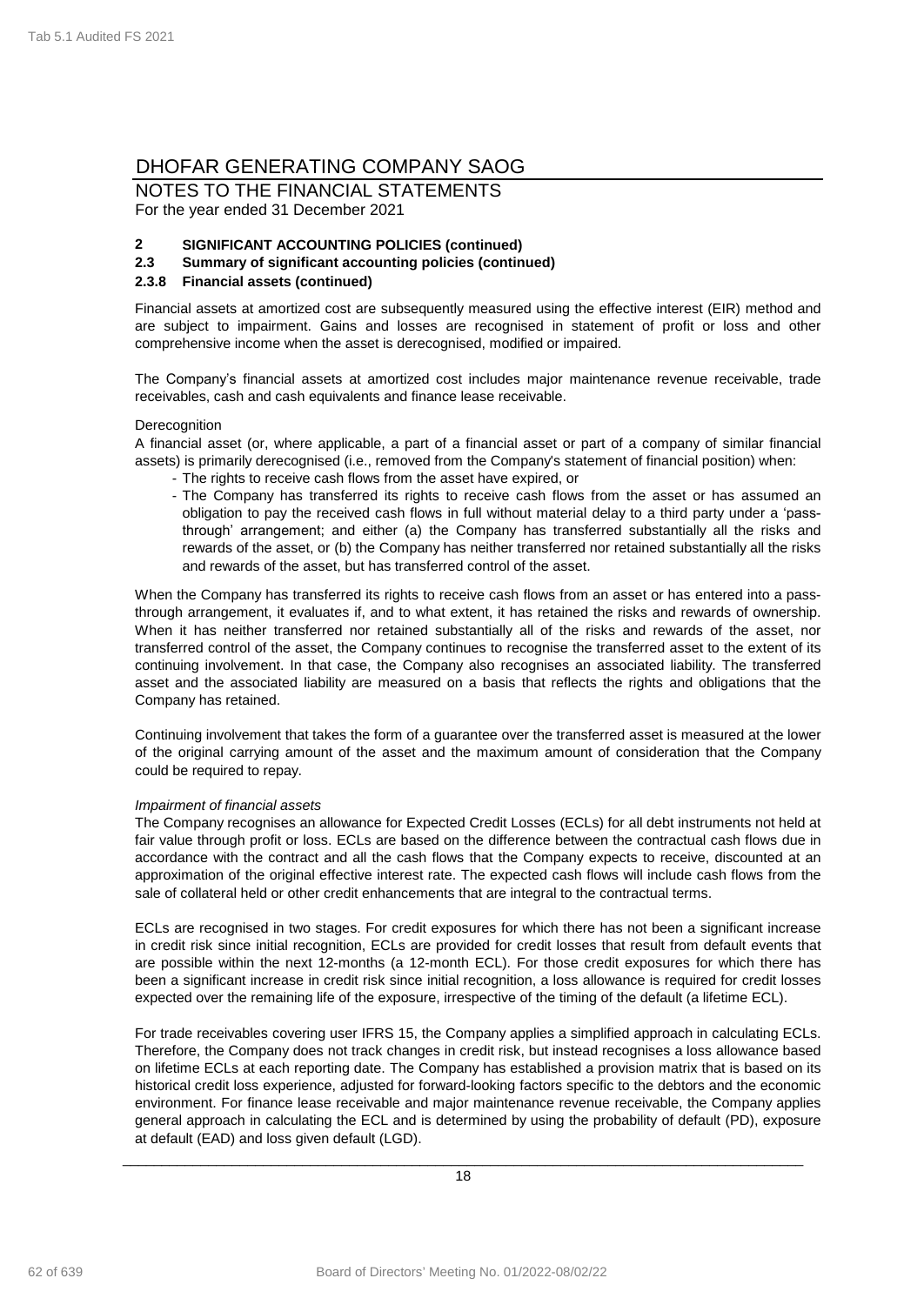NOTES TO THE FINANCIAL STATEMENTS For the year ended 31 December 2021

## **2 SIGNIFICANT ACCOUNTING POLICIES (continued)**

**2.3 Summary of significant accounting policies (continued)**

## **2.3.8 Financial assets (continued)**

Financial assets at amortized cost are subsequently measured using the effective interest (EIR) method and are subject to impairment. Gains and losses are recognised in statement of profit or loss and other comprehensive income when the asset is derecognised, modified or impaired.

The Company's financial assets at amortized cost includes major maintenance revenue receivable, trade receivables, cash and cash equivalents and finance lease receivable.

## **Derecognition**

A financial asset (or, where applicable, a part of a financial asset or part of a company of similar financial assets) is primarily derecognised (i.e., removed from the Company's statement of financial position) when:

- The rights to receive cash flows from the asset have expired, or
- The Company has transferred its rights to receive cash flows from the asset or has assumed an obligation to pay the received cash flows in full without material delay to a third party under a 'passthrough' arrangement; and either (a) the Company has transferred substantially all the risks and rewards of the asset, or (b) the Company has neither transferred nor retained substantially all the risks and rewards of the asset, but has transferred control of the asset.

When the Company has transferred its rights to receive cash flows from an asset or has entered into a passthrough arrangement, it evaluates if, and to what extent, it has retained the risks and rewards of ownership. When it has neither transferred nor retained substantially all of the risks and rewards of the asset, nor transferred control of the asset, the Company continues to recognise the transferred asset to the extent of its continuing involvement. In that case, the Company also recognises an associated liability. The transferred asset and the associated liability are measured on a basis that reflects the rights and obligations that the Company has retained.

Continuing involvement that takes the form of a guarantee over the transferred asset is measured at the lower of the original carrying amount of the asset and the maximum amount of consideration that the Company could be required to repay.

### *Impairment of financial assets*

The Company recognises an allowance for Expected Credit Losses (ECLs) for all debt instruments not held at fair value through profit or loss. ECLs are based on the difference between the contractual cash flows due in accordance with the contract and all the cash flows that the Company expects to receive, discounted at an approximation of the original effective interest rate. The expected cash flows will include cash flows from the sale of collateral held or other credit enhancements that are integral to the contractual terms.

ECLs are recognised in two stages. For credit exposures for which there has not been a significant increase in credit risk since initial recognition, ECLs are provided for credit losses that result from default events that are possible within the next 12-months (a 12-month ECL). For those credit exposures for which there has been a significant increase in credit risk since initial recognition, a loss allowance is required for credit losses expected over the remaining life of the exposure, irrespective of the timing of the default (a lifetime ECL).

For trade receivables covering user IFRS 15, the Company applies a simplified approach in calculating ECLs. Therefore, the Company does not track changes in credit risk, but instead recognises a loss allowance based on lifetime ECLs at each reporting date. The Company has established a provision matrix that is based on its historical credit loss experience, adjusted for forward-looking factors specific to the debtors and the economic environment. For finance lease receivable and major maintenance revenue receivable, the Company applies general approach in calculating the ECL and is determined by using the probability of default (PD), exposure at default (EAD) and loss given default (LGD).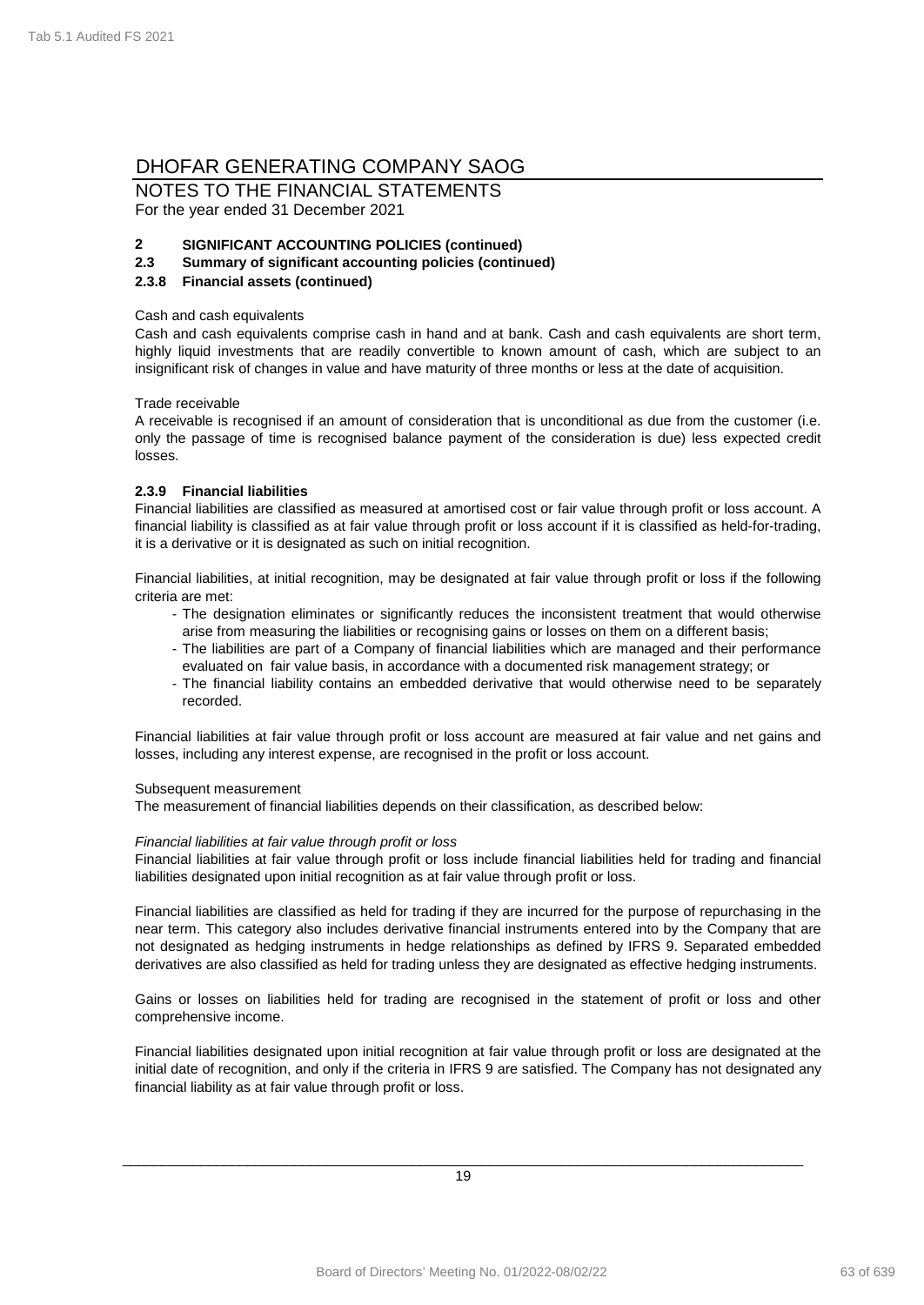NOTES TO THE FINANCIAL STATEMENTS For the year ended 31 December 2021

## **2 SIGNIFICANT ACCOUNTING POLICIES (continued)**

- **2.3 Summary of significant accounting policies (continued)**
- **2.3.8 Financial assets (continued)**

## Cash and cash equivalents

Cash and cash equivalents comprise cash in hand and at bank. Cash and cash equivalents are short term, highly liquid investments that are readily convertible to known amount of cash, which are subject to an insignificant risk of changes in value and have maturity of three months or less at the date of acquisition.

## Trade receivable

A receivable is recognised if an amount of consideration that is unconditional as due from the customer (i.e. only the passage of time is recognised balance payment of the consideration is due) less expected credit losses.

## **2.3.9 Financial liabilities**

Financial liabilities are classified as measured at amortised cost or fair value through profit or loss account. A financial liability is classified as at fair value through profit or loss account if it is classified as held-for-trading, it is a derivative or it is designated as such on initial recognition.

Financial liabilities, at initial recognition, may be designated at fair value through profit or loss if the following criteria are met:

- The designation eliminates or significantly reduces the inconsistent treatment that would otherwise arise from measuring the liabilities or recognising gains or losses on them on a different basis;
- The liabilities are part of a Company of financial liabilities which are managed and their performance evaluated on fair value basis, in accordance with a documented risk management strategy; or
- The financial liability contains an embedded derivative that would otherwise need to be separately recorded.

Financial liabilities at fair value through profit or loss account are measured at fair value and net gains and losses, including any interest expense, are recognised in the profit or loss account.

### Subsequent measurement

The measurement of financial liabilities depends on their classification, as described below:

## *Financial liabilities at fair value through profit or loss*

Financial liabilities at fair value through profit or loss include financial liabilities held for trading and financial liabilities designated upon initial recognition as at fair value through profit or loss.

Financial liabilities are classified as held for trading if they are incurred for the purpose of repurchasing in the near term. This category also includes derivative financial instruments entered into by the Company that are not designated as hedging instruments in hedge relationships as defined by IFRS 9. Separated embedded derivatives are also classified as held for trading unless they are designated as effective hedging instruments.

Gains or losses on liabilities held for trading are recognised in the statement of profit or loss and other comprehensive income.

Financial liabilities designated upon initial recognition at fair value through profit or loss are designated at the initial date of recognition, and only if the criteria in IFRS 9 are satisfied. The Company has not designated any financial liability as at fair value through profit or loss.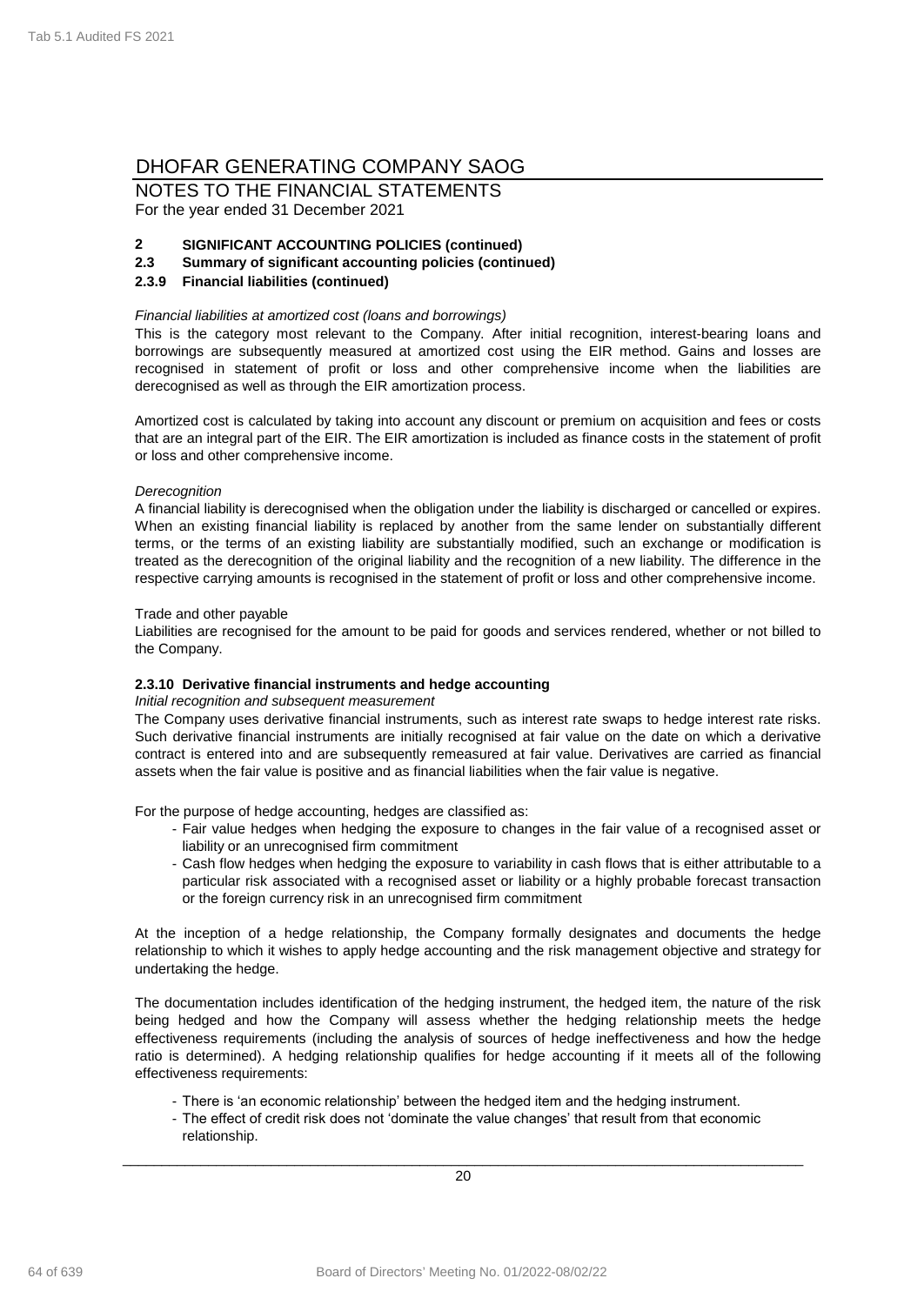NOTES TO THE FINANCIAL STATEMENTS For the year ended 31 December 2021

## **2 SIGNIFICANT ACCOUNTING POLICIES (continued)**

**2.3 Summary of significant accounting policies (continued)**

## **2.3.9 Financial liabilities (continued)**

## *Financial liabilities at amortized cost (loans and borrowings)*

This is the category most relevant to the Company. After initial recognition, interest-bearing loans and borrowings are subsequently measured at amortized cost using the EIR method. Gains and losses are recognised in statement of profit or loss and other comprehensive income when the liabilities are derecognised as well as through the EIR amortization process.

Amortized cost is calculated by taking into account any discount or premium on acquisition and fees or costs that are an integral part of the EIR. The EIR amortization is included as finance costs in the statement of profit or loss and other comprehensive income.

## *Derecognition*

A financial liability is derecognised when the obligation under the liability is discharged or cancelled or expires. When an existing financial liability is replaced by another from the same lender on substantially different terms, or the terms of an existing liability are substantially modified, such an exchange or modification is treated as the derecognition of the original liability and the recognition of a new liability. The difference in the respective carrying amounts is recognised in the statement of profit or loss and other comprehensive income.

## Trade and other payable

Liabilities are recognised for the amount to be paid for goods and services rendered, whether or not billed to the Company.

## **2.3.10 Derivative financial instruments and hedge accounting**

### *Initial recognition and subsequent measurement*

The Company uses derivative financial instruments, such as interest rate swaps to hedge interest rate risks. Such derivative financial instruments are initially recognised at fair value on the date on which a derivative contract is entered into and are subsequently remeasured at fair value. Derivatives are carried as financial assets when the fair value is positive and as financial liabilities when the fair value is negative.

For the purpose of hedge accounting, hedges are classified as:

- Fair value hedges when hedging the exposure to changes in the fair value of a recognised asset or liability or an unrecognised firm commitment
- Cash flow hedges when hedging the exposure to variability in cash flows that is either attributable to a particular risk associated with a recognised asset or liability or a highly probable forecast transaction or the foreign currency risk in an unrecognised firm commitment

At the inception of a hedge relationship, the Company formally designates and documents the hedge relationship to which it wishes to apply hedge accounting and the risk management objective and strategy for undertaking the hedge.

The documentation includes identification of the hedging instrument, the hedged item, the nature of the risk being hedged and how the Company will assess whether the hedging relationship meets the hedge effectiveness requirements (including the analysis of sources of hedge ineffectiveness and how the hedge ratio is determined). A hedging relationship qualifies for hedge accounting if it meets all of the following effectiveness requirements:

- There is 'an economic relationship' between the hedged item and the hedging instrument.
- The effect of credit risk does not 'dominate the value changes' that result from that economic relationship.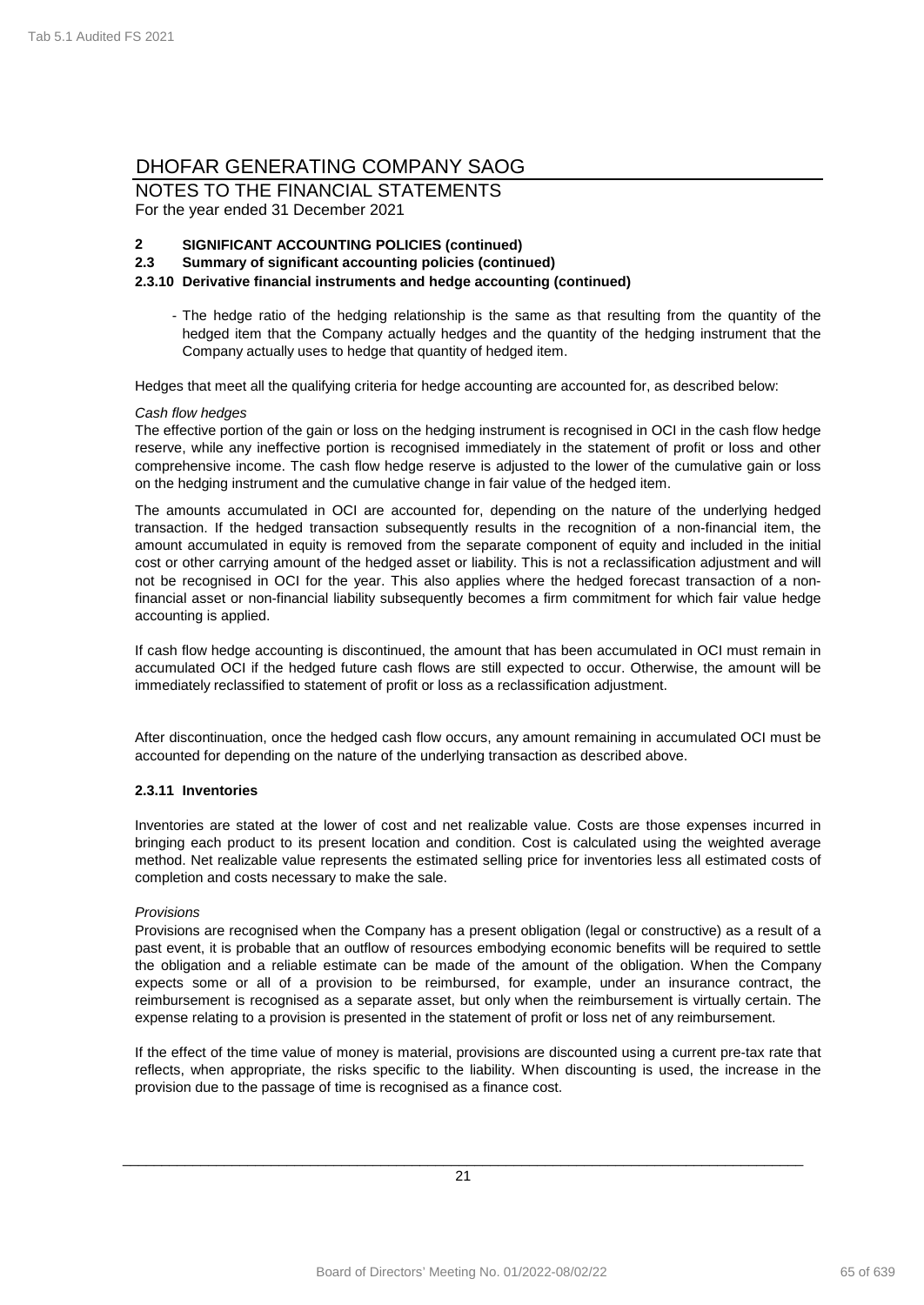NOTES TO THE FINANCIAL STATEMENTS For the year ended 31 December 2021

## **2 SIGNIFICANT ACCOUNTING POLICIES (continued)**

- **2.3 Summary of significant accounting policies (continued)**
- **2.3.10 Derivative financial instruments and hedge accounting (continued)**
	- The hedge ratio of the hedging relationship is the same as that resulting from the quantity of the hedged item that the Company actually hedges and the quantity of the hedging instrument that the Company actually uses to hedge that quantity of hedged item.

Hedges that meet all the qualifying criteria for hedge accounting are accounted for, as described below:

### *Cash flow hedges*

The effective portion of the gain or loss on the hedging instrument is recognised in OCI in the cash flow hedge reserve, while any ineffective portion is recognised immediately in the statement of profit or loss and other comprehensive income. The cash flow hedge reserve is adjusted to the lower of the cumulative gain or loss on the hedging instrument and the cumulative change in fair value of the hedged item.

The amounts accumulated in OCI are accounted for, depending on the nature of the underlying hedged transaction. If the hedged transaction subsequently results in the recognition of a non-financial item, the amount accumulated in equity is removed from the separate component of equity and included in the initial cost or other carrying amount of the hedged asset or liability. This is not a reclassification adjustment and will not be recognised in OCI for the year. This also applies where the hedged forecast transaction of a nonfinancial asset or non-financial liability subsequently becomes a firm commitment for which fair value hedge accounting is applied.

If cash flow hedge accounting is discontinued, the amount that has been accumulated in OCI must remain in accumulated OCI if the hedged future cash flows are still expected to occur. Otherwise, the amount will be immediately reclassified to statement of profit or loss as a reclassification adjustment.

After discontinuation, once the hedged cash flow occurs, any amount remaining in accumulated OCI must be accounted for depending on the nature of the underlying transaction as described above.

## **2.3.11 Inventories**

Inventories are stated at the lower of cost and net realizable value. Costs are those expenses incurred in bringing each product to its present location and condition. Cost is calculated using the weighted average method. Net realizable value represents the estimated selling price for inventories less all estimated costs of completion and costs necessary to make the sale.

## *Provisions*

Provisions are recognised when the Company has a present obligation (legal or constructive) as a result of a past event, it is probable that an outflow of resources embodying economic benefits will be required to settle the obligation and a reliable estimate can be made of the amount of the obligation. When the Company expects some or all of a provision to be reimbursed, for example, under an insurance contract, the reimbursement is recognised as a separate asset, but only when the reimbursement is virtually certain. The expense relating to a provision is presented in the statement of profit or loss net of any reimbursement.

If the effect of the time value of money is material, provisions are discounted using a current pre-tax rate that reflects, when appropriate, the risks specific to the liability. When discounting is used, the increase in the provision due to the passage of time is recognised as a finance cost.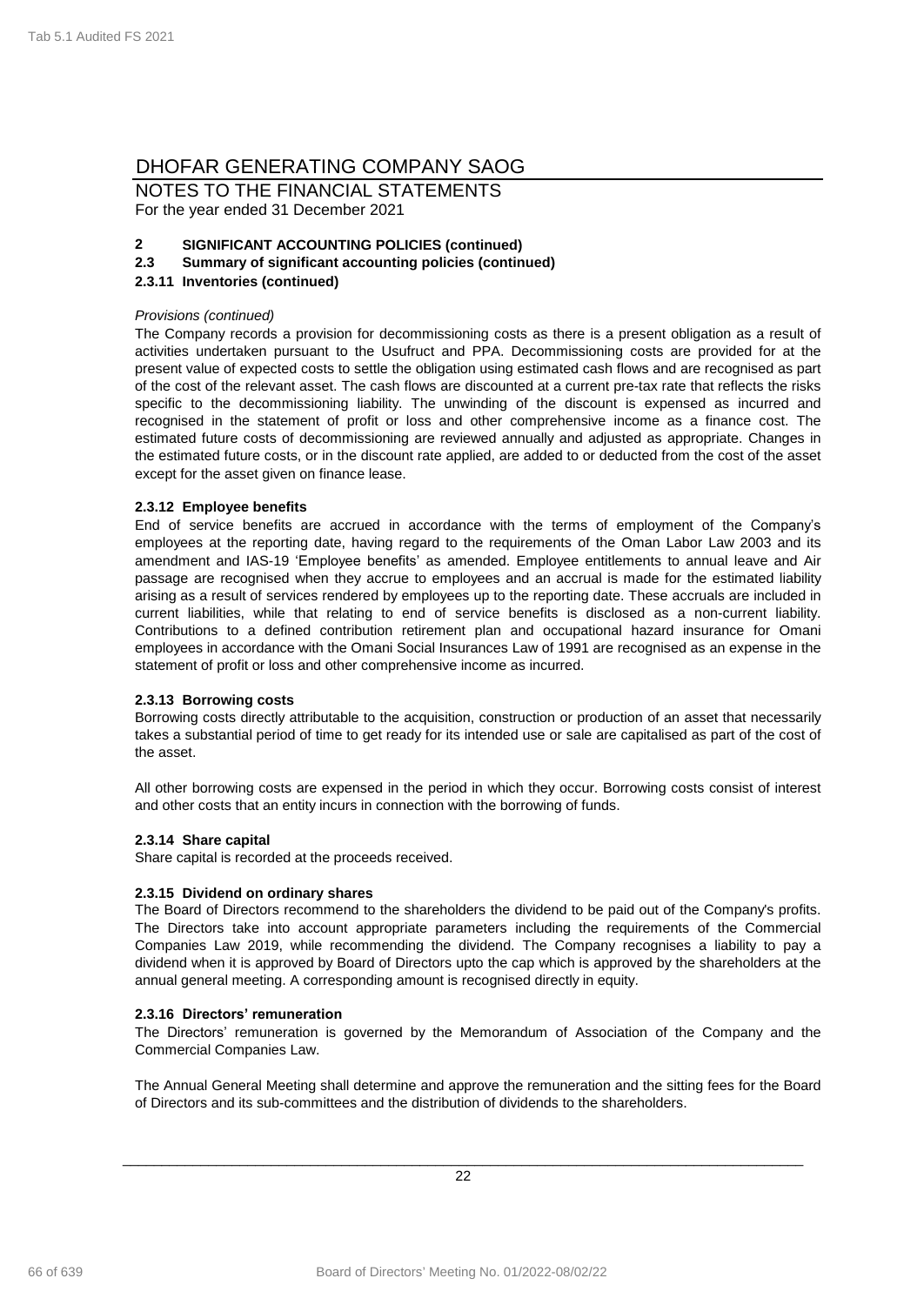NOTES TO THE FINANCIAL STATEMENTS For the year ended 31 December 2021

## **2 SIGNIFICANT ACCOUNTING POLICIES (continued)**

- **2.3 Summary of significant accounting policies (continued)**
- **2.3.11 Inventories (continued)**

## *Provisions (continued)*

The Company records a provision for decommissioning costs as there is a present obligation as a result of activities undertaken pursuant to the Usufruct and PPA. Decommissioning costs are provided for at the present value of expected costs to settle the obligation using estimated cash flows and are recognised as part of the cost of the relevant asset. The cash flows are discounted at a current pre-tax rate that reflects the risks specific to the decommissioning liability. The unwinding of the discount is expensed as incurred and recognised in the statement of profit or loss and other comprehensive income as a finance cost. The estimated future costs of decommissioning are reviewed annually and adjusted as appropriate. Changes in the estimated future costs, or in the discount rate applied, are added to or deducted from the cost of the asset except for the asset given on finance lease.

## **2.3.12 Employee benefits**

End of service benefits are accrued in accordance with the terms of employment of the Company's employees at the reporting date, having regard to the requirements of the Oman Labor Law 2003 and its amendment and IAS-19 'Employee benefits' as amended. Employee entitlements to annual leave and Air passage are recognised when they accrue to employees and an accrual is made for the estimated liability arising as a result of services rendered by employees up to the reporting date. These accruals are included in current liabilities, while that relating to end of service benefits is disclosed as a non-current liability. Contributions to a defined contribution retirement plan and occupational hazard insurance for Omani employees in accordance with the Omani Social Insurances Law of 1991 are recognised as an expense in the statement of profit or loss and other comprehensive income as incurred.

## **2.3.13 Borrowing costs**

Borrowing costs directly attributable to the acquisition, construction or production of an asset that necessarily takes a substantial period of time to get ready for its intended use or sale are capitalised as part of the cost of the asset.

All other borrowing costs are expensed in the period in which they occur. Borrowing costs consist of interest and other costs that an entity incurs in connection with the borrowing of funds.

## **2.3.14 Share capital**

Share capital is recorded at the proceeds received.

## **2.3.15 Dividend on ordinary shares**

The Board of Directors recommend to the shareholders the dividend to be paid out of the Company's profits. The Directors take into account appropriate parameters including the requirements of the Commercial Companies Law 2019, while recommending the dividend. The Company recognises a liability to pay a dividend when it is approved by Board of Directors upto the cap which is approved by the shareholders at the annual general meeting. A corresponding amount is recognised directly in equity.

## **2.3.16 Directors' remuneration**

The Directors' remuneration is governed by the Memorandum of Association of the Company and the Commercial Companies Law.

The Annual General Meeting shall determine and approve the remuneration and the sitting fees for the Board of Directors and its sub-committees and the distribution of dividends to the shareholders.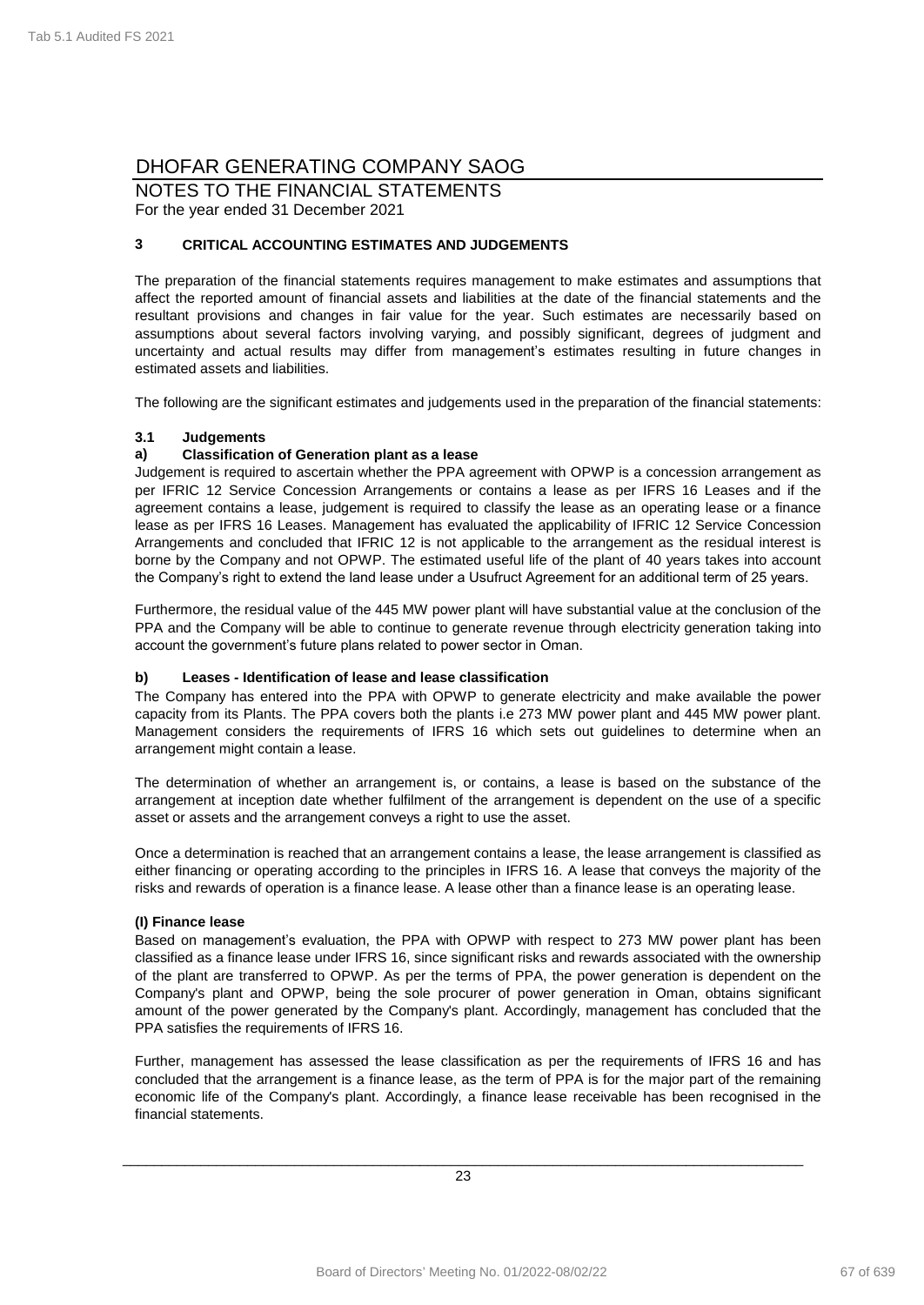NOTES TO THE FINANCIAL STATEMENTS

For the year ended 31 December 2021

## **3 CRITICAL ACCOUNTING ESTIMATES AND JUDGEMENTS**

The preparation of the financial statements requires management to make estimates and assumptions that affect the reported amount of financial assets and liabilities at the date of the financial statements and the resultant provisions and changes in fair value for the year. Such estimates are necessarily based on assumptions about several factors involving varying, and possibly significant, degrees of judgment and uncertainty and actual results may differ from management's estimates resulting in future changes in estimated assets and liabilities.

The following are the significant estimates and judgements used in the preparation of the financial statements:

## **3.1 Judgements**

## **a) Classification of Generation plant as a lease**

Judgement is required to ascertain whether the PPA agreement with OPWP is a concession arrangement as per IFRIC 12 Service Concession Arrangements or contains a lease as per IFRS 16 Leases and if the agreement contains a lease, judgement is required to classify the lease as an operating lease or a finance lease as per IFRS 16 Leases. Management has evaluated the applicability of IFRIC 12 Service Concession Arrangements and concluded that IFRIC 12 is not applicable to the arrangement as the residual interest is borne by the Company and not OPWP. The estimated useful life of the plant of 40 years takes into account the Company's right to extend the land lease under a Usufruct Agreement for an additional term of 25 years.

Furthermore, the residual value of the 445 MW power plant will have substantial value at the conclusion of the PPA and the Company will be able to continue to generate revenue through electricity generation taking into account the government's future plans related to power sector in Oman.

## **b) Leases - Identification of lease and lease classification**

The Company has entered into the PPA with OPWP to generate electricity and make available the power capacity from its Plants. The PPA covers both the plants i.e 273 MW power plant and 445 MW power plant. Management considers the requirements of IFRS 16 which sets out guidelines to determine when an arrangement might contain a lease.

The determination of whether an arrangement is, or contains, a lease is based on the substance of the arrangement at inception date whether fulfilment of the arrangement is dependent on the use of a specific asset or assets and the arrangement conveys a right to use the asset.

Once a determination is reached that an arrangement contains a lease, the lease arrangement is classified as either financing or operating according to the principles in IFRS 16. A lease that conveys the majority of the risks and rewards of operation is a finance lease. A lease other than a finance lease is an operating lease.

## **(I) Finance lease**

Based on management's evaluation, the PPA with OPWP with respect to 273 MW power plant has been classified as a finance lease under IFRS 16, since significant risks and rewards associated with the ownership of the plant are transferred to OPWP. As per the terms of PPA, the power generation is dependent on the Company's plant and OPWP, being the sole procurer of power generation in Oman, obtains significant amount of the power generated by the Company's plant. Accordingly, management has concluded that the PPA satisfies the requirements of IFRS 16.

Further, management has assessed the lease classification as per the requirements of IFRS 16 and has concluded that the arrangement is a finance lease, as the term of PPA is for the major part of the remaining economic life of the Company's plant. Accordingly, a finance lease receivable has been recognised in the financial statements.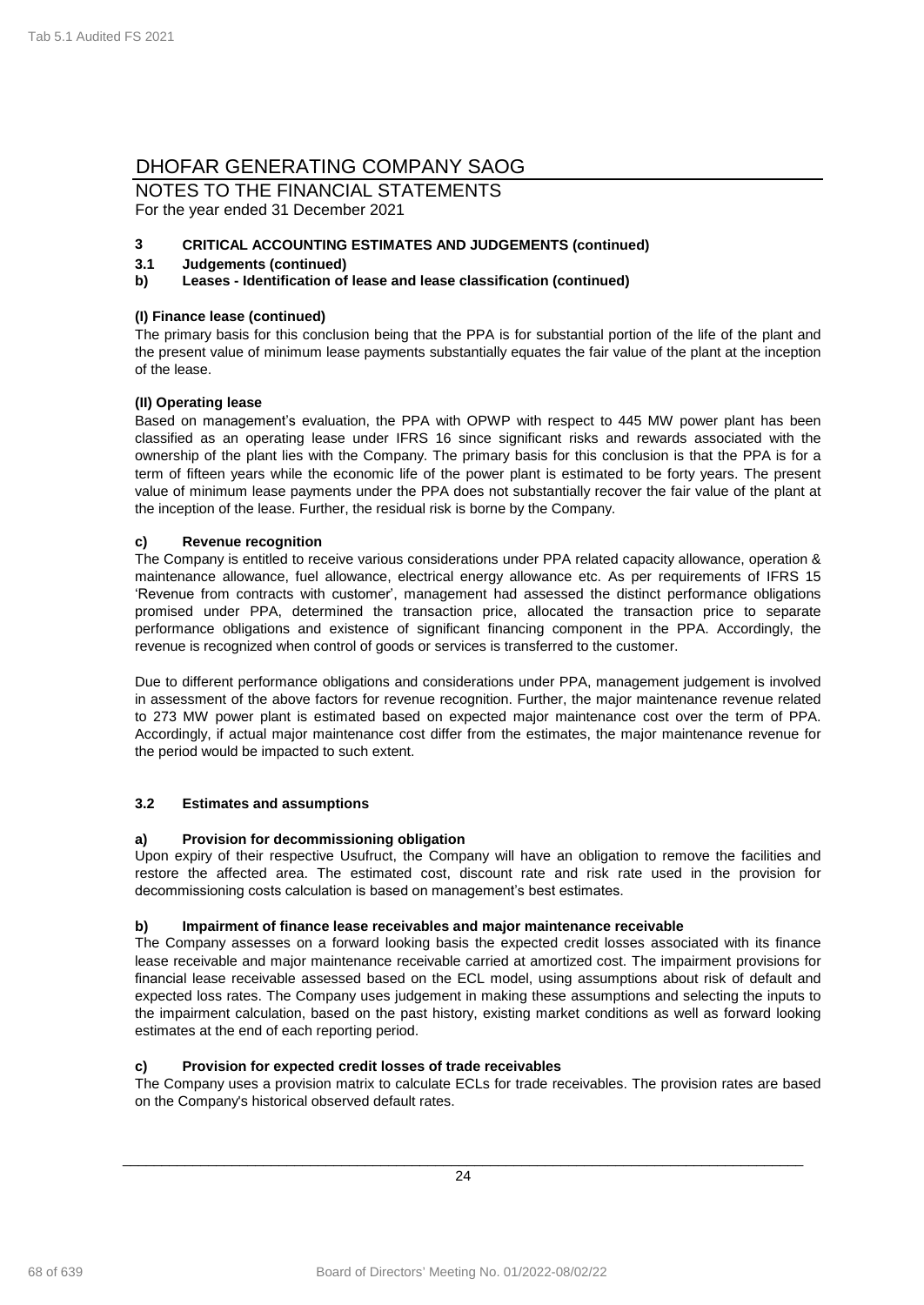NOTES TO THE FINANCIAL STATEMENTS For the year ended 31 December 2021

## **3 CRITICAL ACCOUNTING ESTIMATES AND JUDGEMENTS (continued)**

**3.1 Judgements (continued)**

## **b) Leases - Identification of lease and lease classification (continued)**

## **(I) Finance lease (continued)**

The primary basis for this conclusion being that the PPA is for substantial portion of the life of the plant and the present value of minimum lease payments substantially equates the fair value of the plant at the inception of the lease.

## **(II) Operating lease**

Based on management's evaluation, the PPA with OPWP with respect to 445 MW power plant has been classified as an operating lease under IFRS 16 since significant risks and rewards associated with the ownership of the plant lies with the Company. The primary basis for this conclusion is that the PPA is for a term of fifteen years while the economic life of the power plant is estimated to be forty years. The present value of minimum lease payments under the PPA does not substantially recover the fair value of the plant at the inception of the lease. Further, the residual risk is borne by the Company.

## **c) Revenue recognition**

The Company is entitled to receive various considerations under PPA related capacity allowance, operation & maintenance allowance, fuel allowance, electrical energy allowance etc. As per requirements of IFRS 15 'Revenue from contracts with customer', management had assessed the distinct performance obligations promised under PPA, determined the transaction price, allocated the transaction price to separate performance obligations and existence of significant financing component in the PPA. Accordingly, the revenue is recognized when control of goods or services is transferred to the customer.

Due to different performance obligations and considerations under PPA, management judgement is involved in assessment of the above factors for revenue recognition. Further, the major maintenance revenue related to 273 MW power plant is estimated based on expected major maintenance cost over the term of PPA. Accordingly, if actual major maintenance cost differ from the estimates, the major maintenance revenue for the period would be impacted to such extent.

## **3.2 Estimates and assumptions**

## **a) Provision for decommissioning obligation**

Upon expiry of their respective Usufruct, the Company will have an obligation to remove the facilities and restore the affected area. The estimated cost, discount rate and risk rate used in the provision for decommissioning costs calculation is based on management's best estimates.

## **b) Impairment of finance lease receivables and major maintenance receivable**

The Company assesses on a forward looking basis the expected credit losses associated with its finance lease receivable and major maintenance receivable carried at amortized cost. The impairment provisions for financial lease receivable assessed based on the ECL model, using assumptions about risk of default and expected loss rates. The Company uses judgement in making these assumptions and selecting the inputs to the impairment calculation, based on the past history, existing market conditions as well as forward looking estimates at the end of each reporting period.

## **c) Provision for expected credit losses of trade receivables**

The Company uses a provision matrix to calculate ECLs for trade receivables. The provision rates are based on the Company's historical observed default rates.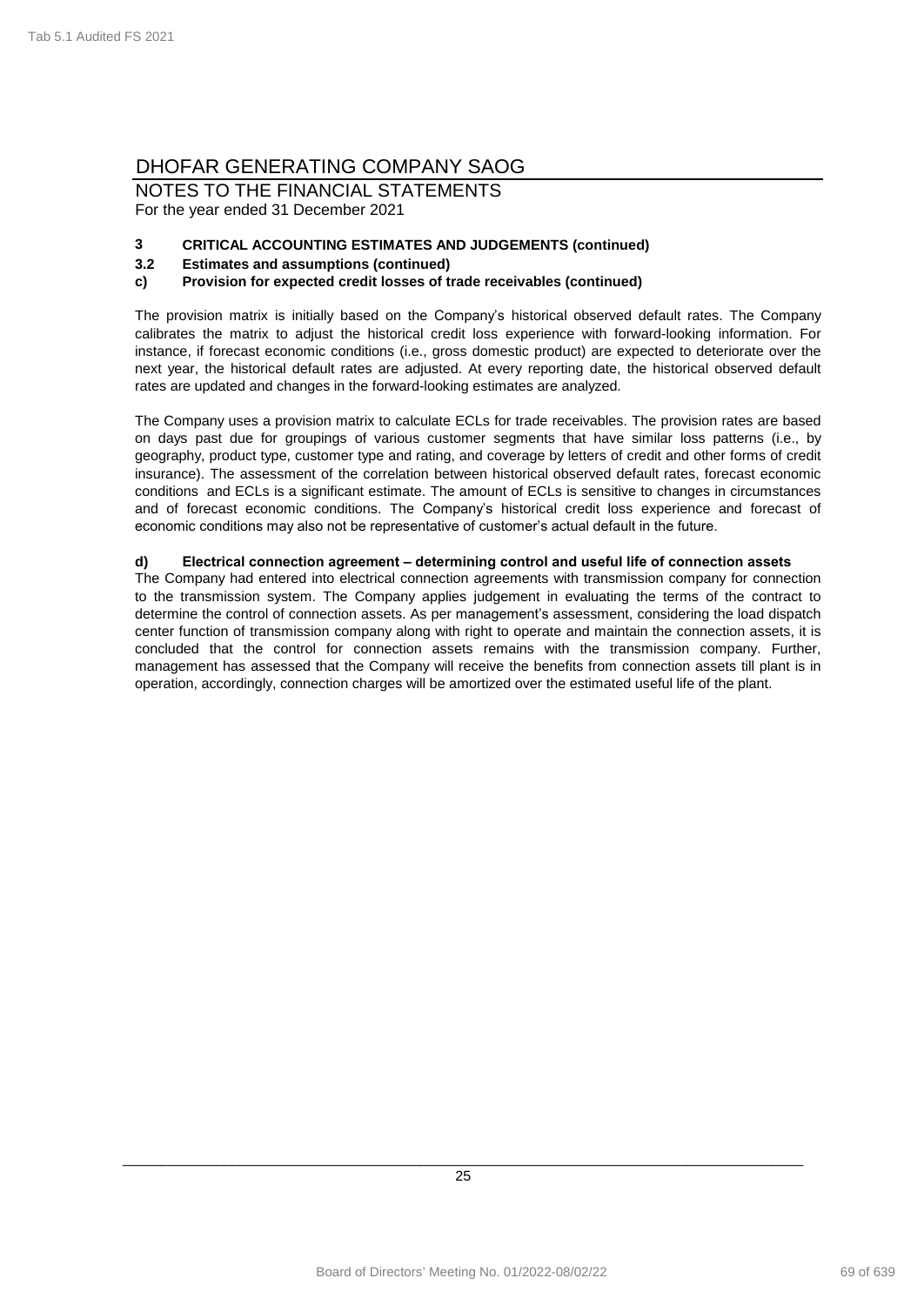NOTES TO THE FINANCIAL STATEMENTS For the year ended 31 December 2021

## **3 CRITICAL ACCOUNTING ESTIMATES AND JUDGEMENTS (continued)**

**3.2 Estimates and assumptions (continued)**

## **c) Provision for expected credit losses of trade receivables (continued)**

The provision matrix is initially based on the Company's historical observed default rates. The Company calibrates the matrix to adjust the historical credit loss experience with forward-looking information. For instance, if forecast economic conditions (i.e., gross domestic product) are expected to deteriorate over the next year, the historical default rates are adjusted. At every reporting date, the historical observed default rates are updated and changes in the forward-looking estimates are analyzed.

The Company uses a provision matrix to calculate ECLs for trade receivables. The provision rates are based on days past due for groupings of various customer segments that have similar loss patterns (i.e., by geography, product type, customer type and rating, and coverage by letters of credit and other forms of credit insurance). The assessment of the correlation between historical observed default rates, forecast economic conditions and ECLs is a significant estimate. The amount of ECLs is sensitive to changes in circumstances and of forecast economic conditions. The Company's historical credit loss experience and forecast of economic conditions may also not be representative of customer's actual default in the future.

## **d) Electrical connection agreement – determining control and useful life of connection assets**

The Company had entered into electrical connection agreements with transmission company for connection to the transmission system. The Company applies judgement in evaluating the terms of the contract to determine the control of connection assets. As per management's assessment, considering the load dispatch center function of transmission company along with right to operate and maintain the connection assets, it is concluded that the control for connection assets remains with the transmission company. Further, management has assessed that the Company will receive the benefits from connection assets till plant is in operation, accordingly, connection charges will be amortized over the estimated useful life of the plant.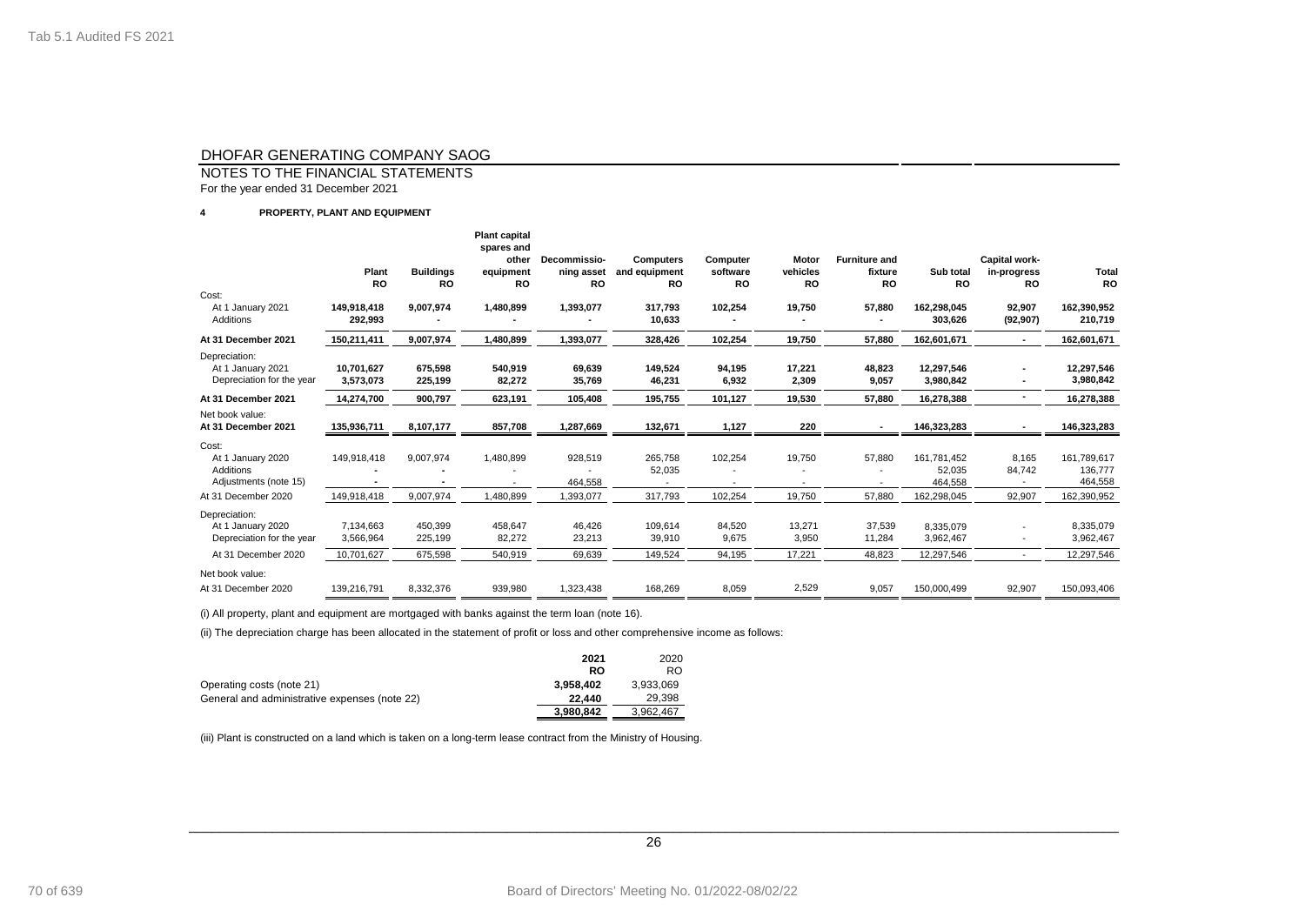NOTES TO THE FINANCIAL STATEMENTS For the year ended 31 December 2021

#### **4 PROPERTY, PLANT AND EQUIPMENT**

|                                                                  |                         |                        | <b>Plant capital</b><br>spares and |                                         |                                                |                            |                                |                                              |                                  |                                                  |                                   |
|------------------------------------------------------------------|-------------------------|------------------------|------------------------------------|-----------------------------------------|------------------------------------------------|----------------------------|--------------------------------|----------------------------------------------|----------------------------------|--------------------------------------------------|-----------------------------------|
|                                                                  | Plant<br><b>RO</b>      | <b>Buildings</b><br>RO | other<br>equipment<br><b>RO</b>    | Decommissio-<br>ning asset<br><b>RO</b> | <b>Computers</b><br>and equipment<br><b>RO</b> | Computer<br>software<br>RO | Motor<br>vehicles<br><b>RO</b> | <b>Furniture and</b><br>fixture<br><b>RO</b> | Sub total<br><b>RO</b>           | <b>Capital work-</b><br>in-progress<br><b>RO</b> | Total<br><b>RO</b>                |
| Cost:<br>At 1 January 2021<br><b>Additions</b>                   | 149,918,418<br>292,993  | 9,007,974              | 1,480,899                          | 1,393,077                               | 317,793<br>10,633                              | 102,254                    | 19,750                         | 57,880                                       | 162.298.045<br>303,626           | 92,907<br>(92, 907)                              | 162,390,952<br>210,719            |
| At 31 December 2021                                              | 150,211,411             | 9,007,974              | 1,480,899                          | 1,393,077                               | 328,426                                        | 102,254                    | 19,750                         | 57.880                                       | 162.601.671                      | ۰                                                | 162,601,671                       |
| Depreciation:<br>At 1 January 2021<br>Depreciation for the year  | 10.701.627<br>3,573,073 | 675,598<br>225,199     | 540,919<br>82,272                  | 69,639<br>35,769                        | 149,524<br>46,231                              | 94,195<br>6,932            | 17,221<br>2,309                | 48,823<br>9,057                              | 12,297,546<br>3,980,842          |                                                  | 12,297,546<br>3,980,842           |
| At 31 December 2021                                              | 14,274,700              | 900,797                | 623,191                            | 105,408                                 | 195,755                                        | 101,127                    | 19,530                         | 57.880                                       | 16,278,388                       |                                                  | 16,278,388                        |
| Net book value:<br>At 31 December 2021                           | 135,936,711             | 8,107,177              | 857,708                            | 1,287,669                               | 132,671                                        | 1,127                      | 220                            |                                              | 146,323,283                      |                                                  | 146,323,283                       |
| Cost:<br>At 1 January 2020<br>Additions<br>Adjustments (note 15) | 149.918.418             | 9,007,974              | 1,480,899                          | 928,519<br>464,558                      | 265,758<br>52,035<br>$\overline{\phantom{a}}$  | 102,254                    | 19,750                         | 57,880                                       | 161.781.452<br>52,035<br>464,558 | 8,165<br>84,742                                  | 161,789,617<br>136,777<br>464,558 |
| At 31 December 2020                                              | 149,918,418             | 9,007,974              | ,480,899                           | 1,393,077                               | 317,793                                        | 102,254                    | 19.750                         | 57.880                                       | 162.298.045                      | 92.907                                           | 162,390,952                       |
| Depreciation:<br>At 1 January 2020<br>Depreciation for the year  | 7.134.663<br>3,566,964  | 450.399<br>225,199     | 458,647<br>82,272                  | 46,426<br>23,213                        | 109.614<br>39,910                              | 84,520<br>9,675            | 13,271<br>3,950                | 37,539<br>11,284                             | 8.335.079<br>3,962,467           |                                                  | 8.335.079<br>3,962,467            |
| At 31 December 2020                                              | 10,701,627              | 675,598                | 540,919                            | 69,639                                  | 149,524                                        | 94,195                     | 17,221                         | 48,823                                       | 12,297,546                       |                                                  | 12,297,546                        |
| Net book value:                                                  |                         |                        |                                    |                                         |                                                |                            |                                |                                              |                                  |                                                  |                                   |
| At 31 December 2020                                              | 139,216,791             | 8,332,376              | 939,980                            | 1,323,438                               | 168,269                                        | 8,059                      | 2,529                          | 9,057                                        | 150,000,499                      | 92,907                                           | 150,093,406                       |

(i) All property, plant and equipment are mortgaged with banks against the term loan (note 16).

(ii) The depreciation charge has been allocated in the statement of profit or loss and other comprehensive income as follows:

|                                               | 2021      | 2020      |
|-----------------------------------------------|-----------|-----------|
|                                               | RO        | RO.       |
| Operating costs (note 21)                     | 3.958.402 | 3.933.069 |
| General and administrative expenses (note 22) | 22.440    | 29.398    |
|                                               | 3.980.842 | 3.962.467 |

(iii) Plant is constructed on a land which is taken on a long-term lease contract from the Ministry of Housing.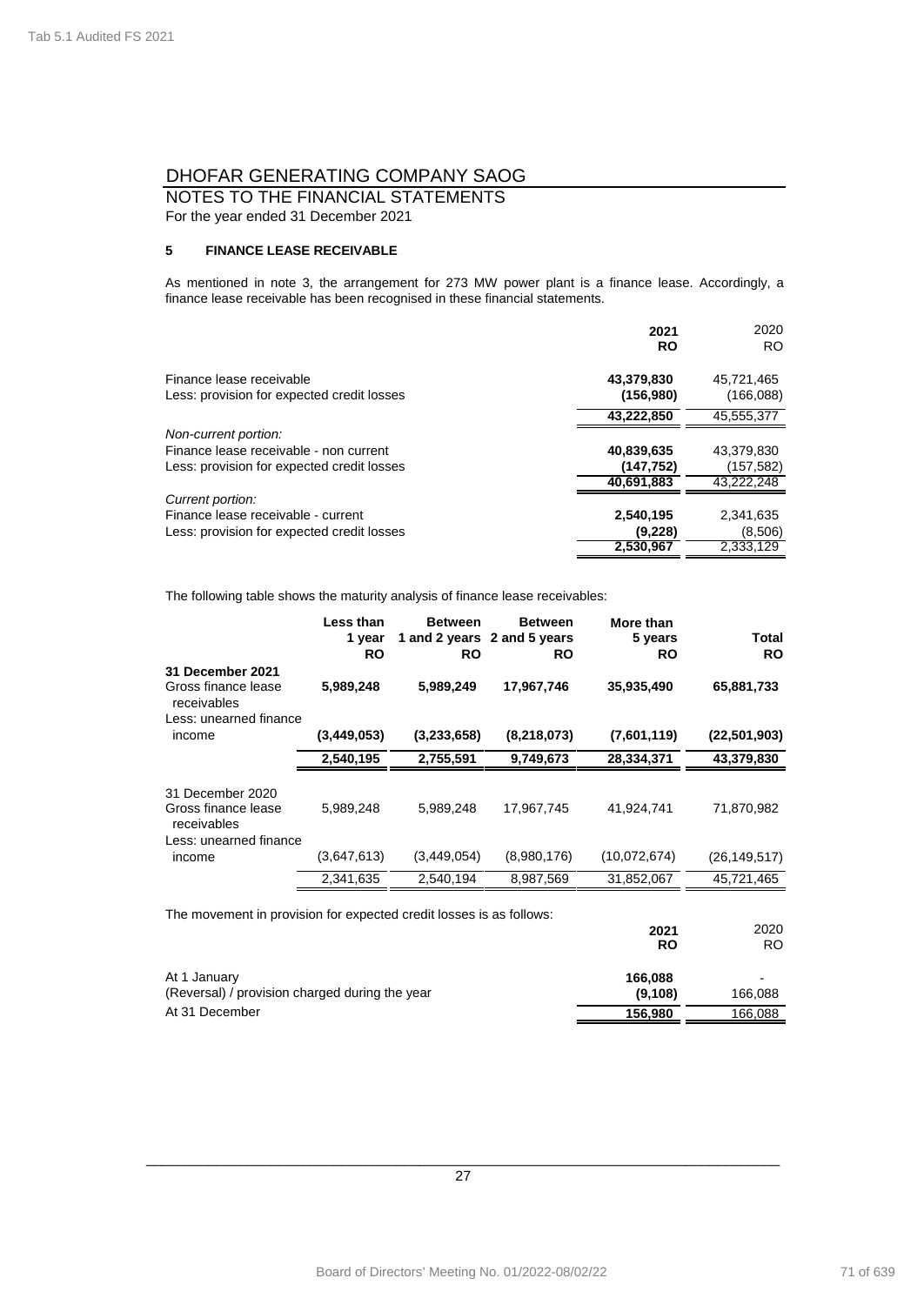NOTES TO THE FINANCIAL STATEMENTS

For the year ended 31 December 2021

## **5 FINANCE LEASE RECEIVABLE**

As mentioned in note 3, the arrangement for 273 MW power plant is a finance lease. Accordingly, a finance lease receivable has been recognised in these financial statements.

|                                            | 2021<br><b>RO</b> | 2020<br><b>RO</b> |
|--------------------------------------------|-------------------|-------------------|
| Finance lease receivable                   | 43,379,830        | 45,721,465        |
| Less: provision for expected credit losses | (156,980)         | (166,088)         |
|                                            | 43.222.850        | 45.555.377        |
| Non-current portion:                       |                   |                   |
| Finance lease receivable - non current     | 40,839,635        | 43.379.830        |
| Less: provision for expected credit losses | (147, 752)        | (157,582)         |
|                                            | 40.691.883        | 43.222.248        |
| Current portion:                           |                   |                   |
| Finance lease receivable - current         | 2,540,195         | 2,341,635         |
| Less: provision for expected credit losses | (9,228)           | (8,506)           |
|                                            | 2,530,967         | 2.333.129         |

The following table shows the maturity analysis of finance lease receivables:

|                                                                                  | Less than<br>1 year<br><b>RO</b> | <b>Between</b><br>RO | <b>Between</b><br>1 and 2 years 2 and 5 years<br>RO | More than<br>5 years<br><b>RO</b> | Total<br><b>RO</b> |
|----------------------------------------------------------------------------------|----------------------------------|----------------------|-----------------------------------------------------|-----------------------------------|--------------------|
| 31 December 2021<br>Gross finance lease<br>receivables<br>Less: unearned finance | 5,989,248                        | 5,989,249            | 17,967,746                                          | 35,935,490                        | 65,881,733         |
| income                                                                           | (3,449,053)                      | (3,233,658)          | (8, 218, 073)                                       | (7,601,119)                       | (22, 501, 903)     |
|                                                                                  | 2,540,195                        | 2,755,591            | 9,749,673                                           | 28,334,371                        | 43,379,830         |
| 31 December 2020<br>Gross finance lease<br>receivables                           | 5,989,248                        | 5,989,248            | 17,967,745                                          | 41,924,741                        | 71,870,982         |
| Less: unearned finance<br>income                                                 | (3,647,613)                      | (3,449,054)          | (8,980,176)                                         | (10,072,674)                      | (26, 149, 517)     |
|                                                                                  | 2,341,635                        | 2,540,194            | 8,987,569                                           | 31,852,067                        | 45,721,465         |

The movement in provision for expected credit losses is as follows:

|                                                | RO      | RO                       |
|------------------------------------------------|---------|--------------------------|
| At 1 January                                   | 166.088 | $\overline{\phantom{0}}$ |
| (Reversal) / provision charged during the year | (9,108) | 166,088                  |
| At 31 December                                 | 156.980 | 166,088                  |

**2021** 2020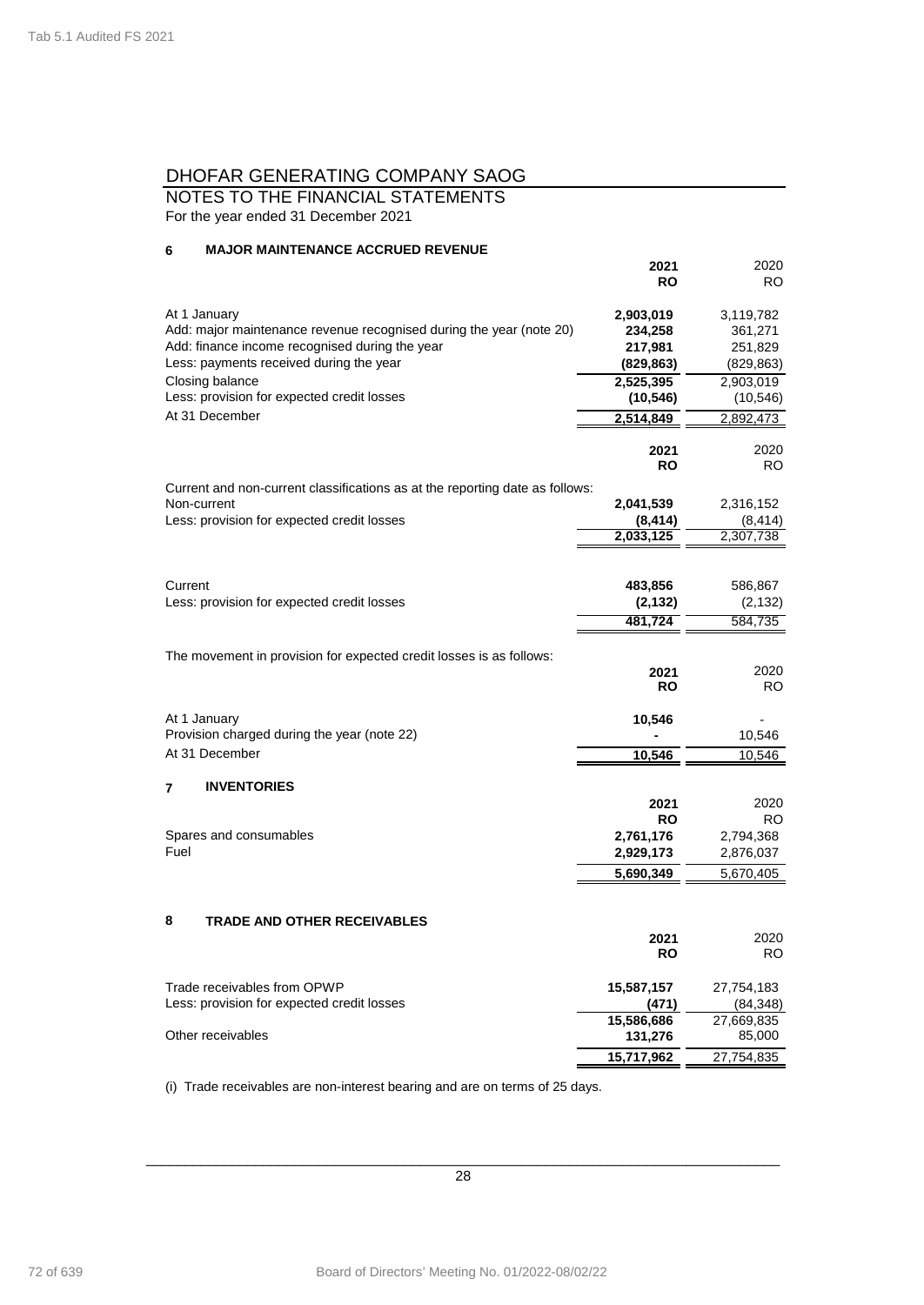NOTES TO THE FINANCIAL STATEMENTS

For the year ended 31 December 2021

## **6 MAJOR MAINTENANCE ACCRUED REVENUE**

|                                                                              | 2021<br>RO          | 2020<br><b>RO</b>   |
|------------------------------------------------------------------------------|---------------------|---------------------|
| At 1 January                                                                 | 2,903,019           | 3,119,782           |
| Add: major maintenance revenue recognised during the year (note 20)          | 234,258             | 361,271             |
| Add: finance income recognised during the year                               | 217,981             | 251,829             |
| Less: payments received during the year                                      | (829, 863)          | (829, 863)          |
| Closing balance                                                              | 2,525,395           | 2,903,019           |
| Less: provision for expected credit losses                                   | (10, 546)           | (10, 546)           |
| At 31 December                                                               | 2,514,849           | 2,892,473           |
|                                                                              | 2021                | 2020                |
|                                                                              | RO                  | <b>RO</b>           |
| Current and non-current classifications as at the reporting date as follows: |                     |                     |
| Non-current                                                                  | 2,041,539           | 2,316,152           |
| Less: provision for expected credit losses                                   | (8, 414)            | (8, 414)            |
|                                                                              | 2,033,125           | 2,307,738           |
|                                                                              |                     |                     |
| Current<br>Less: provision for expected credit losses                        | 483,856<br>(2, 132) | 586,867             |
|                                                                              | 481,724             | (2, 132)<br>584,735 |
|                                                                              |                     |                     |
| The movement in provision for expected credit losses is as follows:          |                     |                     |
|                                                                              | 2021                | 2020                |
|                                                                              | RO                  | RO.                 |
| At 1 January                                                                 | 10,546              |                     |
| Provision charged during the year (note 22)                                  |                     | 10,546              |
| At 31 December                                                               | 10,546              | 10,546              |
| <b>INVENTORIES</b><br>7                                                      |                     |                     |
|                                                                              | 2021                | 2020                |
|                                                                              | RO                  | <b>RO</b>           |
| Spares and consumables<br>Fuel                                               | 2,761,176           | 2,794,368           |
|                                                                              | 2,929,173           | 2,876,037           |
|                                                                              | 5,690,349           | 5,670,405           |
| 8<br><b>TRADE AND OTHER RECEIVABLES</b>                                      |                     |                     |
|                                                                              | 2021                | 2020                |
|                                                                              | RO                  | <b>RO</b>           |
| Trade receivables from OPWP                                                  | 15,587,157          | 27,754,183          |
| Less: provision for expected credit losses                                   | (471)               | (84, 348)           |
|                                                                              | 15,586,686          | 27,669,835          |
| Other receivables                                                            | 131,276             | 85,000              |
|                                                                              | 15,717,962          | 27,754,835          |

(i) Trade receivables are non-interest bearing and are on terms of 25 days.

\_\_\_\_\_\_\_\_\_\_\_\_\_\_\_\_\_\_\_\_\_\_\_\_\_\_\_\_\_\_\_\_\_\_\_\_\_\_\_\_\_\_\_\_\_\_\_\_\_\_\_\_\_\_\_\_\_\_\_\_\_\_\_\_\_\_\_\_\_\_\_\_\_\_\_\_\_\_\_\_\_ 28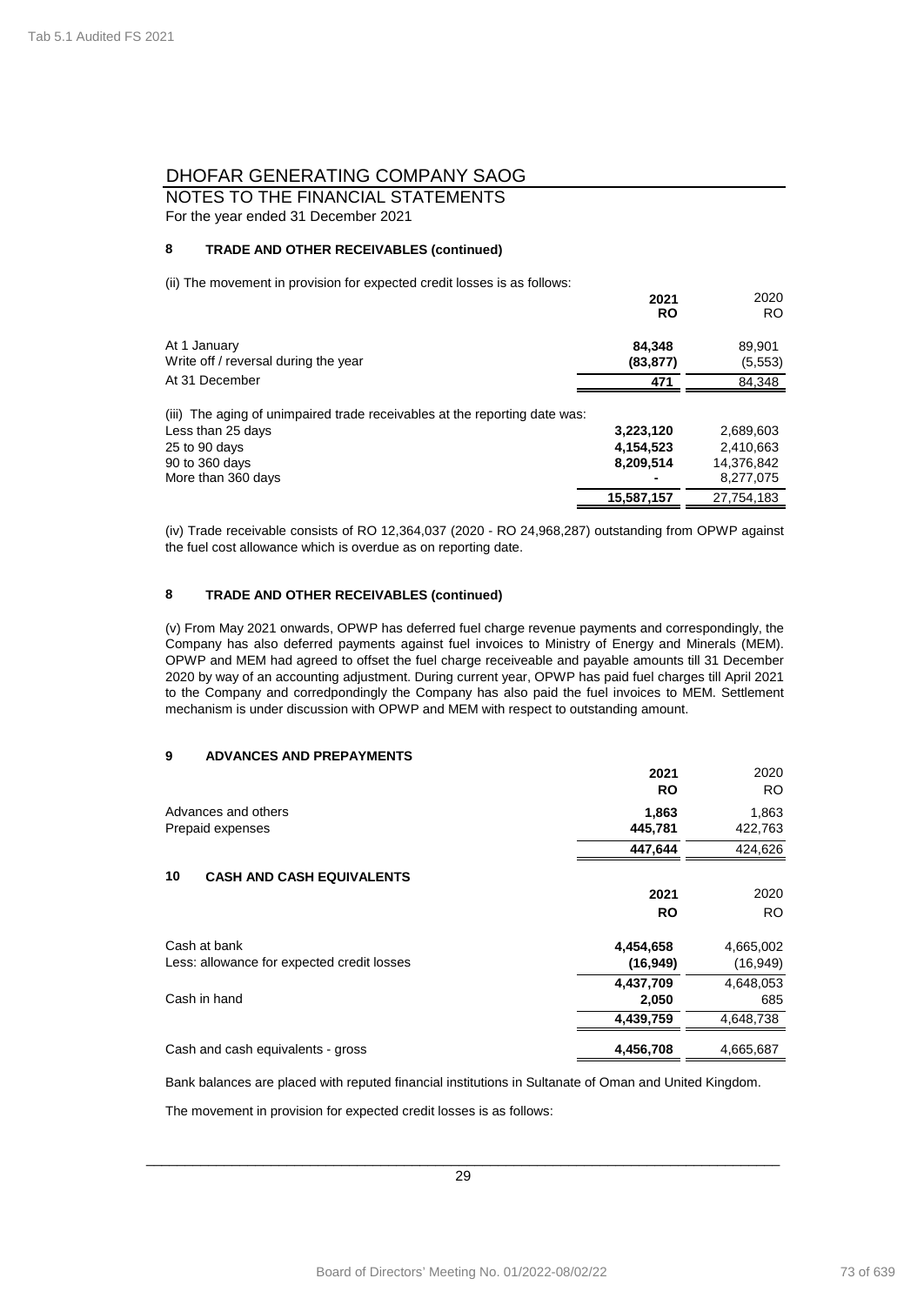NOTES TO THE FINANCIAL STATEMENTS

For the year ended 31 December 2021

## **8 TRADE AND OTHER RECEIVABLES (continued)**

(ii) The movement in provision for expected credit losses is as follows:

|                                                                            | 2021<br>RO          | 2020<br>RO.       |
|----------------------------------------------------------------------------|---------------------|-------------------|
| At 1 January<br>Write off / reversal during the year                       | 84.348<br>(83, 877) | 89.901<br>(5,553) |
| At 31 December                                                             | 471                 | 84,348            |
| (iii) The aging of unimpaired trade receivables at the reporting date was: |                     |                   |
| Less than 25 days                                                          | 3,223,120           | 2,689,603         |
| 25 to 90 days                                                              | 4,154,523           | 2.410.663         |
| 90 to 360 days                                                             | 8,209,514           | 14,376,842        |
| More than 360 days                                                         |                     | 8,277,075         |
|                                                                            | 15,587,157          | 27.754.183        |

(iv) Trade receivable consists of RO 12,364,037 (2020 - RO 24,968,287) outstanding from OPWP against the fuel cost allowance which is overdue as on reporting date.

## **8 TRADE AND OTHER RECEIVABLES (continued)**

(v) From May 2021 onwards, OPWP has deferred fuel charge revenue payments and correspondingly, the Company has also deferred payments against fuel invoices to Ministry of Energy and Minerals (MEM). OPWP and MEM had agreed to offset the fuel charge receiveable and payable amounts till 31 December 2020 by way of an accounting adjustment. During current year, OPWP has paid fuel charges till April 2021 to the Company and corredpondingly the Company has also paid the fuel invoices to MEM. Settlement mechanism is under discussion with OPWP and MEM with respect to outstanding amount.

## **9 ADVANCES AND PREPAYMENTS**

|                                            | 2021<br><b>RO</b> | 2020<br>RO.      |
|--------------------------------------------|-------------------|------------------|
| Advances and others<br>Prepaid expenses    | 1,863<br>445,781  | 1,863<br>422,763 |
|                                            | 447,644           | 424,626          |
| 10<br><b>CASH AND CASH EQUIVALENTS</b>     |                   |                  |
|                                            | 2021              | 2020             |
|                                            | <b>RO</b>         | RO.              |
| Cash at bank                               | 4,454,658         | 4,665,002        |
| Less: allowance for expected credit losses | (16, 949)         | (16, 949)        |
|                                            | 4,437,709         | 4,648,053        |
| Cash in hand                               | 2,050             | 685              |
|                                            | 4,439,759         | 4,648,738        |
| Cash and cash equivalents - gross          | 4,456,708         | 4,665,687        |

Bank balances are placed with reputed financial institutions in Sultanate of Oman and United Kingdom.

The movement in provision for expected credit losses is as follows:

\_\_\_\_\_\_\_\_\_\_\_\_\_\_\_\_\_\_\_\_\_\_\_\_\_\_\_\_\_\_\_\_\_\_\_\_\_\_\_\_\_\_\_\_\_\_\_\_\_\_\_\_\_\_\_\_\_\_\_\_\_\_\_\_\_\_\_\_\_\_\_\_\_\_\_\_\_\_\_\_\_ 29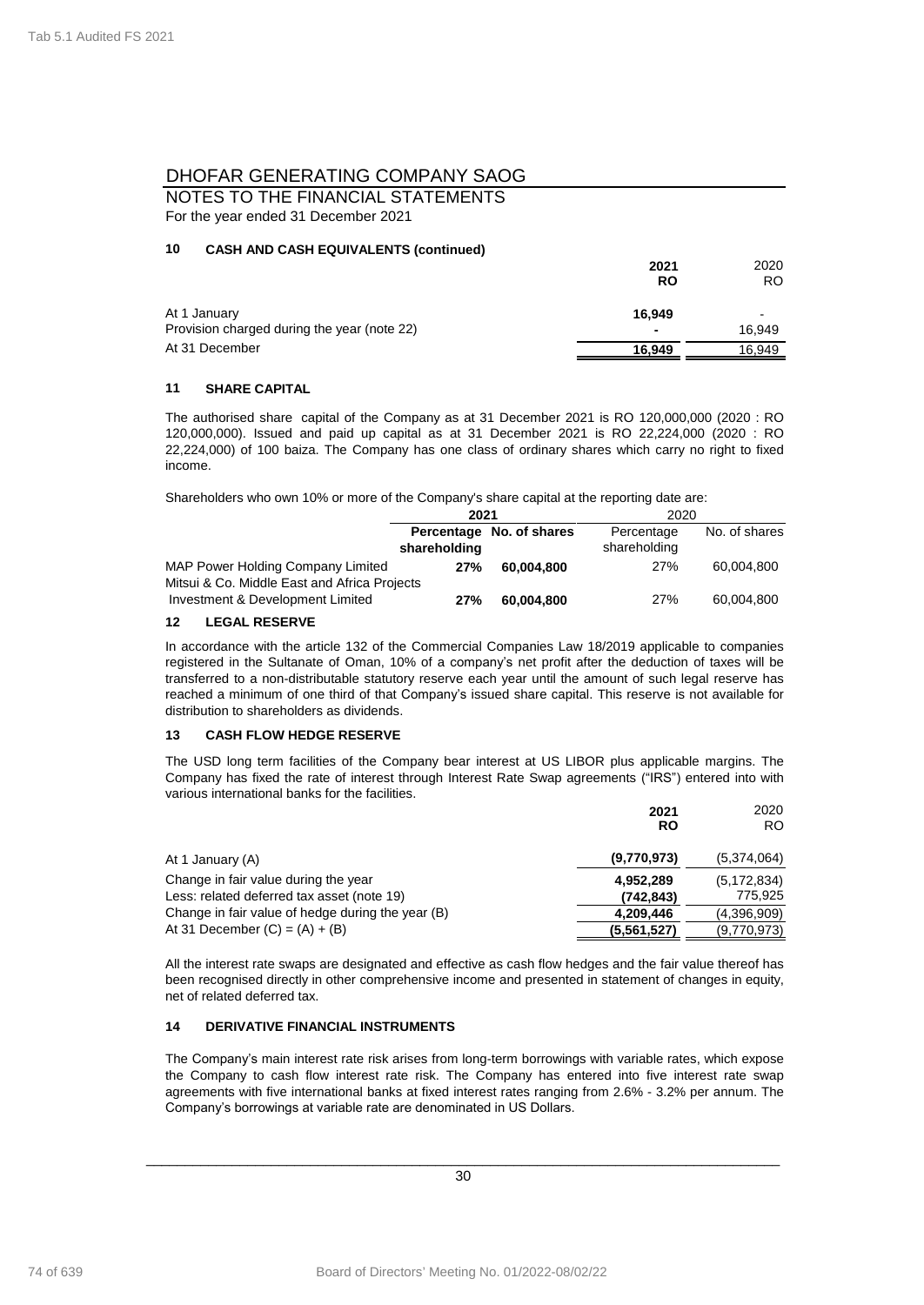NOTES TO THE FINANCIAL STATEMENTS For the year ended 31 December 2021

## **10 CASH AND CASH EQUIVALENTS (continued)**

|                                             | 2021<br><b>RO</b> | 2020<br>RO.              |
|---------------------------------------------|-------------------|--------------------------|
| At 1 January                                | 16.949            | $\overline{\phantom{0}}$ |
| Provision charged during the year (note 22) |                   | 16.949                   |
| At 31 December                              | 16.949            | 16.949                   |

## **11 SHARE CAPITAL**

The authorised share capital of the Company as at 31 December 2021 is RO 120,000,000 (2020 : RO 120,000,000). Issued and paid up capital as at 31 December 2021 is RO 22,224,000 (2020 : RO 22,224,000) of 100 baiza. The Company has one class of ordinary shares which carry no right to fixed income.

Shareholders who own 10% or more of the Company's share capital at the reporting date are:

|                                                                                   | 2021         |                          | 2020                       |               |
|-----------------------------------------------------------------------------------|--------------|--------------------------|----------------------------|---------------|
|                                                                                   | shareholding | Percentage No. of shares | Percentage<br>shareholding | No. of shares |
| MAP Power Holding Company Limited<br>Mitsui & Co. Middle East and Africa Projects | 27%          | 60.004.800               | 27%                        | 60.004.800    |
| Investment & Development Limited                                                  | 27%          | 60.004.800               | 27%                        | 60.004.800    |

## **12 LEGAL RESERVE**

In accordance with the article 132 of the Commercial Companies Law 18/2019 applicable to companies registered in the Sultanate of Oman, 10% of a company's net profit after the deduction of taxes will be transferred to a non-distributable statutory reserve each year until the amount of such legal reserve has reached a minimum of one third of that Company's issued share capital. This reserve is not available for distribution to shareholders as dividends.

## **13 CASH FLOW HEDGE RESERVE**

The USD long term facilities of the Company bear interest at US LIBOR plus applicable margins. The Company has fixed the rate of interest through Interest Rate Swap agreements ("IRS") entered into with various international banks for the facilities.

|                                                                                    | 2021<br>RO              | 2020<br><b>RO</b>        |
|------------------------------------------------------------------------------------|-------------------------|--------------------------|
| At 1 January (A)                                                                   | (9,770,973)             | (5,374,064)              |
| Change in fair value during the year<br>Less: related deferred tax asset (note 19) | 4,952,289               | (5, 172, 834)<br>775,925 |
| Change in fair value of hedge during the year (B)                                  | (742, 843)<br>4,209,446 | (4,396,909)              |
| At 31 December $(C) = (A) + (B)$                                                   | (5,561,527)             | (9,770,973)              |

All the interest rate swaps are designated and effective as cash flow hedges and the fair value thereof has been recognised directly in other comprehensive income and presented in statement of changes in equity, net of related deferred tax.

## **14 DERIVATIVE FINANCIAL INSTRUMENTS**

The Company's main interest rate risk arises from long-term borrowings with variable rates, which expose the Company to cash flow interest rate risk. The Company has entered into five interest rate swap agreements with five international banks at fixed interest rates ranging from 2.6% - 3.2% per annum. The Company's borrowings at variable rate are denominated in US Dollars.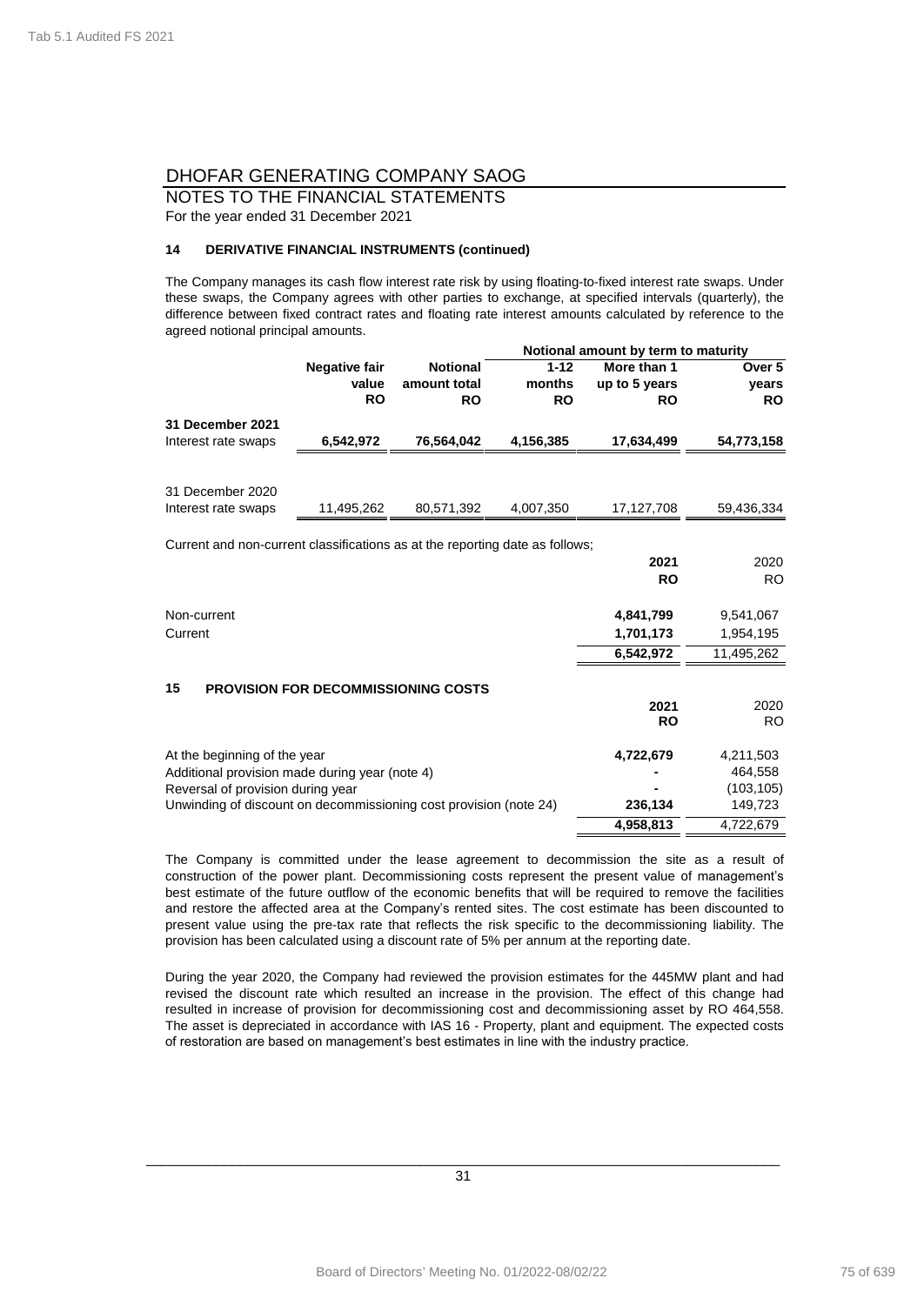NOTES TO THE FINANCIAL STATEMENTS

For the year ended 31 December 2021

## **14 DERIVATIVE FINANCIAL INSTRUMENTS (continued)**

The Company manages its cash flow interest rate risk by using floating-to-fixed interest rate swaps. Under these swaps, the Company agrees with other parties to exchange, at specified intervals (quarterly), the difference between fixed contract rates and floating rate interest amounts calculated by reference to the agreed notional principal amounts.

|                                                                              | Notional amount by term to maturity        |                 |           |               |            |
|------------------------------------------------------------------------------|--------------------------------------------|-----------------|-----------|---------------|------------|
|                                                                              | <b>Negative fair</b>                       | <b>Notional</b> | $1 - 12$  | More than 1   | Over 5     |
|                                                                              | value                                      | amount total    | months    | up to 5 years | years      |
|                                                                              | <b>RO</b>                                  | <b>RO</b>       | <b>RO</b> | <b>RO</b>     | <b>RO</b>  |
| 31 December 2021                                                             |                                            |                 |           |               |            |
| Interest rate swaps                                                          | 6,542,972                                  | 76,564,042      | 4,156,385 | 17,634,499    | 54,773,158 |
|                                                                              |                                            |                 |           |               |            |
| 31 December 2020                                                             |                                            |                 |           |               |            |
| Interest rate swaps                                                          | 11,495,262                                 | 80,571,392      | 4,007,350 | 17,127,708    | 59,436,334 |
|                                                                              |                                            |                 |           |               |            |
| Current and non-current classifications as at the reporting date as follows; |                                            |                 |           | 2021          | 2020       |
|                                                                              |                                            |                 |           | RO            | RO.        |
|                                                                              |                                            |                 |           |               |            |
| Non-current                                                                  |                                            |                 |           | 4,841,799     | 9,541,067  |
| Current                                                                      |                                            |                 |           | 1,701,173     | 1,954,195  |
|                                                                              |                                            |                 |           | 6,542,972     | 11,495,262 |
| 15                                                                           | <b>PROVISION FOR DECOMMISSIONING COSTS</b> |                 |           |               |            |
|                                                                              |                                            |                 |           | 2021          | 2020       |
|                                                                              |                                            |                 |           | RO            | RO         |
|                                                                              |                                            |                 |           |               |            |
| At the beginning of the year                                                 |                                            |                 |           | 4,722,679     | 4,211,503  |
| Additional provision made during year (note 4)                               |                                            |                 |           |               | 464,558    |
| Reversal of provision during year                                            |                                            |                 |           |               | (103, 105) |
| Unwinding of discount on decommissioning cost provision (note 24)            |                                            |                 |           | 236,134       | 149,723    |
|                                                                              |                                            |                 |           | 4,958,813     | 4,722,679  |

The Company is committed under the lease agreement to decommission the site as a result of construction of the power plant. Decommissioning costs represent the present value of management's best estimate of the future outflow of the economic benefits that will be required to remove the facilities and restore the affected area at the Company's rented sites. The cost estimate has been discounted to present value using the pre-tax rate that reflects the risk specific to the decommissioning liability. The provision has been calculated using a discount rate of 5% per annum at the reporting date.

During the year 2020, the Company had reviewed the provision estimates for the 445MW plant and had revised the discount rate which resulted an increase in the provision. The effect of this change had resulted in increase of provision for decommissioning cost and decommissioning asset by RO 464,558. The asset is depreciated in accordance with IAS 16 - Property, plant and equipment. The expected costs of restoration are based on management's best estimates in line with the industry practice.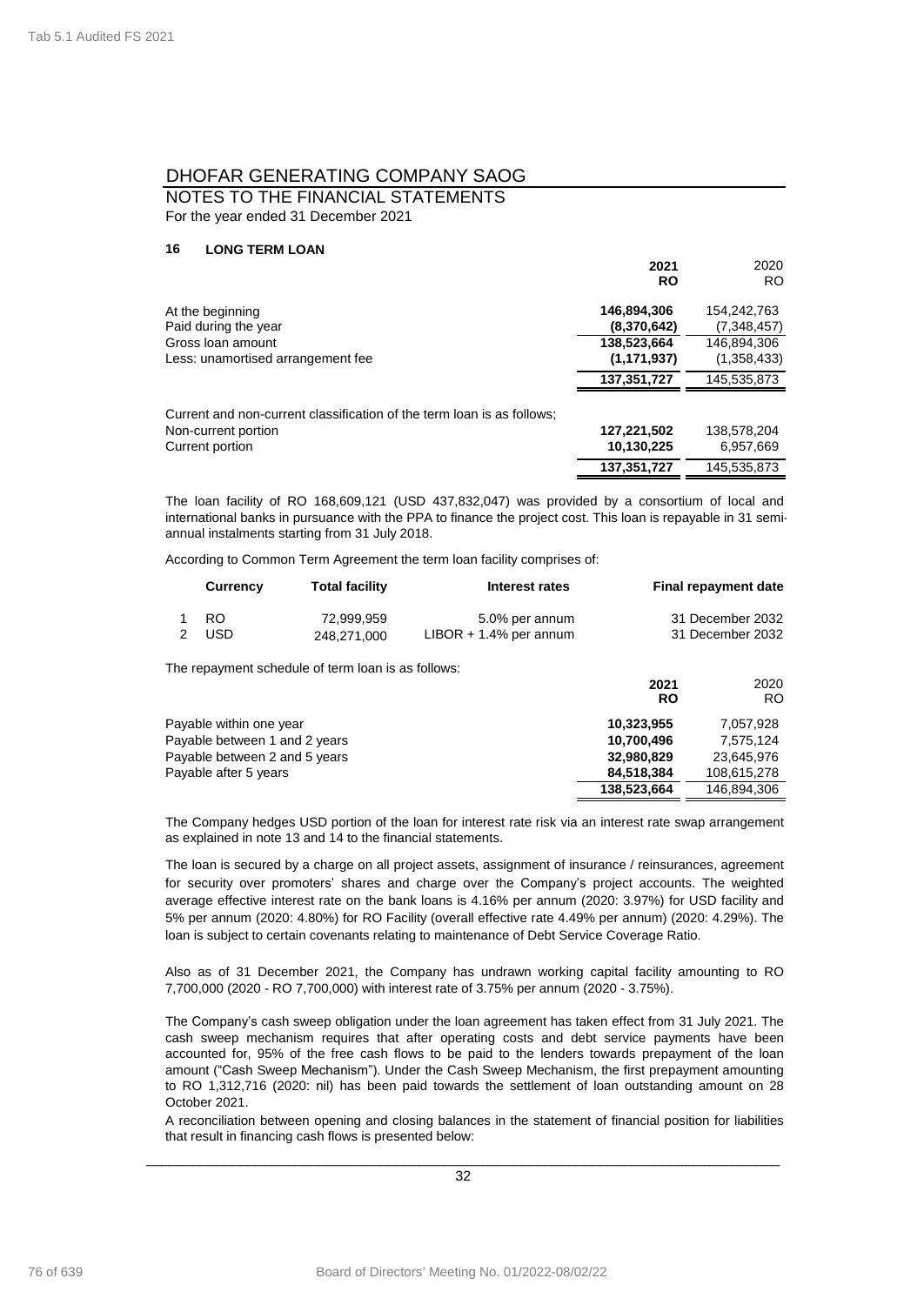NOTES TO THE FINANCIAL STATEMENTS

For the year ended 31 December 2021

## **16 LONG TERM LOAN**

|                                                                        | 2021<br>RO                   | 2020<br>RO.                  |
|------------------------------------------------------------------------|------------------------------|------------------------------|
| At the beginning<br>Paid during the year                               | 146,894,306<br>(8,370,642)   | 154,242,763<br>(7, 348, 457) |
| Gross Ioan amount<br>Less: unamortised arrangement fee                 | 138,523,664<br>(1, 171, 937) | 146,894,306<br>(1,358,433)   |
|                                                                        | 137,351,727                  | 145,535,873                  |
| Current and non-current classification of the term loan is as follows; |                              |                              |
| Non-current portion<br>Current portion                                 | 127,221,502<br>10,130,225    | 138,578,204<br>6,957,669     |
|                                                                        | 137,351,727                  | 145,535,873                  |

The loan facility of RO 168,609,121 (USD 437,832,047) was provided by a consortium of local and international banks in pursuance with the PPA to finance the project cost. This loan is repayable in 31 semiannual instalments starting from 31 July 2018.

According to Common Term Agreement the term loan facility comprises of:

| Currency | <b>Total facility</b> | Interest rates            | <b>Final repayment date</b> |
|----------|-----------------------|---------------------------|-----------------------------|
| RO.      | 72.999.959            | 5.0% per annum            | 31 December 2032            |
| USD      | 248.271.000           | $LIBOR + 1.4\%$ per annum | 31 December 2032            |

The repayment schedule of term loan is as follows:

|                               | 2021<br>RO  | 2020<br>RO. |
|-------------------------------|-------------|-------------|
| Payable within one year       | 10,323,955  | 7.057.928   |
| Payable between 1 and 2 years | 10,700,496  | 7,575,124   |
| Payable between 2 and 5 years | 32,980,829  | 23.645.976  |
| Payable after 5 years         | 84,518,384  | 108.615.278 |
|                               | 138,523,664 | 146,894,306 |

The Company hedges USD portion of the loan for interest rate risk via an interest rate swap arrangement as explained in note 13 and 14 to the financial statements.

The loan is secured by a charge on all project assets, assignment of insurance / reinsurances, agreement for security over promoters' shares and charge over the Company's project accounts. The weighted average effective interest rate on the bank loans is 4.16% per annum (2020: 3.97%) for USD facility and 5% per annum (2020: 4.80%) for RO Facility (overall effective rate 4.49% per annum) (2020: 4.29%). The loan is subject to certain covenants relating to maintenance of Debt Service Coverage Ratio.

Also as of 31 December 2021, the Company has undrawn working capital facility amounting to RO 7,700,000 (2020 - RO 7,700,000) with interest rate of 3.75% per annum (2020 - 3.75%).

The Company's cash sweep obligation under the loan agreement has taken effect from 31 July 2021. The cash sweep mechanism requires that after operating costs and debt service payments have been accounted for, 95% of the free cash flows to be paid to the lenders towards prepayment of the loan amount ("Cash Sweep Mechanism"). Under the Cash Sweep Mechanism, the first prepayment amounting to RO 1,312,716 (2020: nil) has been paid towards the settlement of loan outstanding amount on 28 October 2021.

A reconciliation between opening and closing balances in the statement of financial position for liabilities that result in financing cash flows is presented below: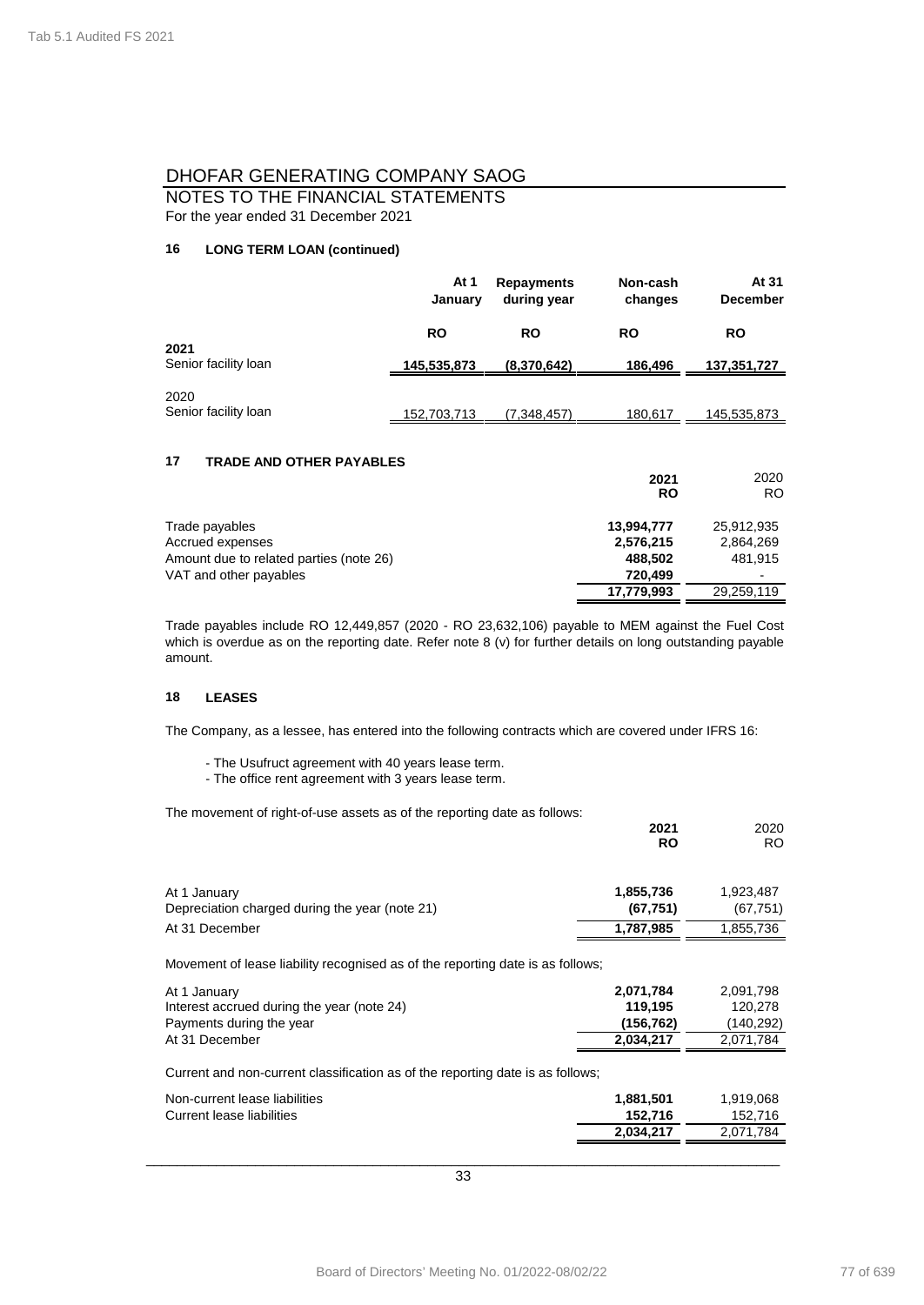NOTES TO THE FINANCIAL STATEMENTS

For the year ended 31 December 2021

## **16 LONG TERM LOAN (continued)**

|                              | At 1<br>January | <b>Repayments</b><br>during year | Non-cash<br>changes | At 31<br><b>December</b> |
|------------------------------|-----------------|----------------------------------|---------------------|--------------------------|
|                              | RO              | <b>RO</b>                        | <b>RO</b>           | <b>RO</b>                |
| 2021<br>Senior facility loan | 145,535,873     | (8,370,642)                      | 186,496             | 137, 351, 727            |
| 2020<br>Senior facility loan | 152,703,713     | (7,348,457)                      | 180,617             | 145,535,873              |

### **17 TRADE AND OTHER PAYABLES**

|                                         | 2021<br>RO | 2020<br>RO. |
|-----------------------------------------|------------|-------------|
| Trade payables                          | 13,994,777 | 25,912,935  |
| Accrued expenses                        | 2,576,215  | 2,864,269   |
| Amount due to related parties (note 26) | 488.502    | 481.915     |
| VAT and other payables                  | 720.499    |             |
|                                         | 17,779,993 | 29,259,119  |
|                                         |            |             |

Trade payables include RO 12,449,857 (2020 - RO 23,632,106) payable to MEM against the Fuel Cost which is overdue as on the reporting date. Refer note 8 (v) for further details on long outstanding payable amount.

## **18 LEASES**

The Company, as a lessee, has entered into the following contracts which are covered under IFRS 16:

- The Usufruct agreement with 40 years lease term.
- The office rent agreement with 3 years lease term.

The movement of right-of-use assets as of the reporting date as follows:

|                                                                | 2021<br><b>RO</b>      | 2020<br><b>RO</b>      |
|----------------------------------------------------------------|------------------------|------------------------|
| At 1 January<br>Depreciation charged during the year (note 21) | 1,855,736<br>(67, 751) | 1,923,487<br>(67, 751) |
| At 31 December                                                 | 1,787,985              | 1,855,736              |
|                                                                |                        |                        |

Movement of lease liability recognised as of the reporting date is as follows;

| At 1 January                               | 2.071.784 | 2.091.798 |
|--------------------------------------------|-----------|-----------|
| Interest accrued during the year (note 24) | 119.195   | 120.278   |
| Payments during the year                   | (156.762) | (140.292) |
| At 31 December                             | 2.034.217 | 2.071.784 |

Current and non-current classification as of the reporting date is as follows;

| Non-current lease liabilities | 1.881.501 | 1,919,068 |
|-------------------------------|-----------|-----------|
| Current lease liabilities     | 152.716   | 152.716   |
|                               | 2.034.217 | 2.071.784 |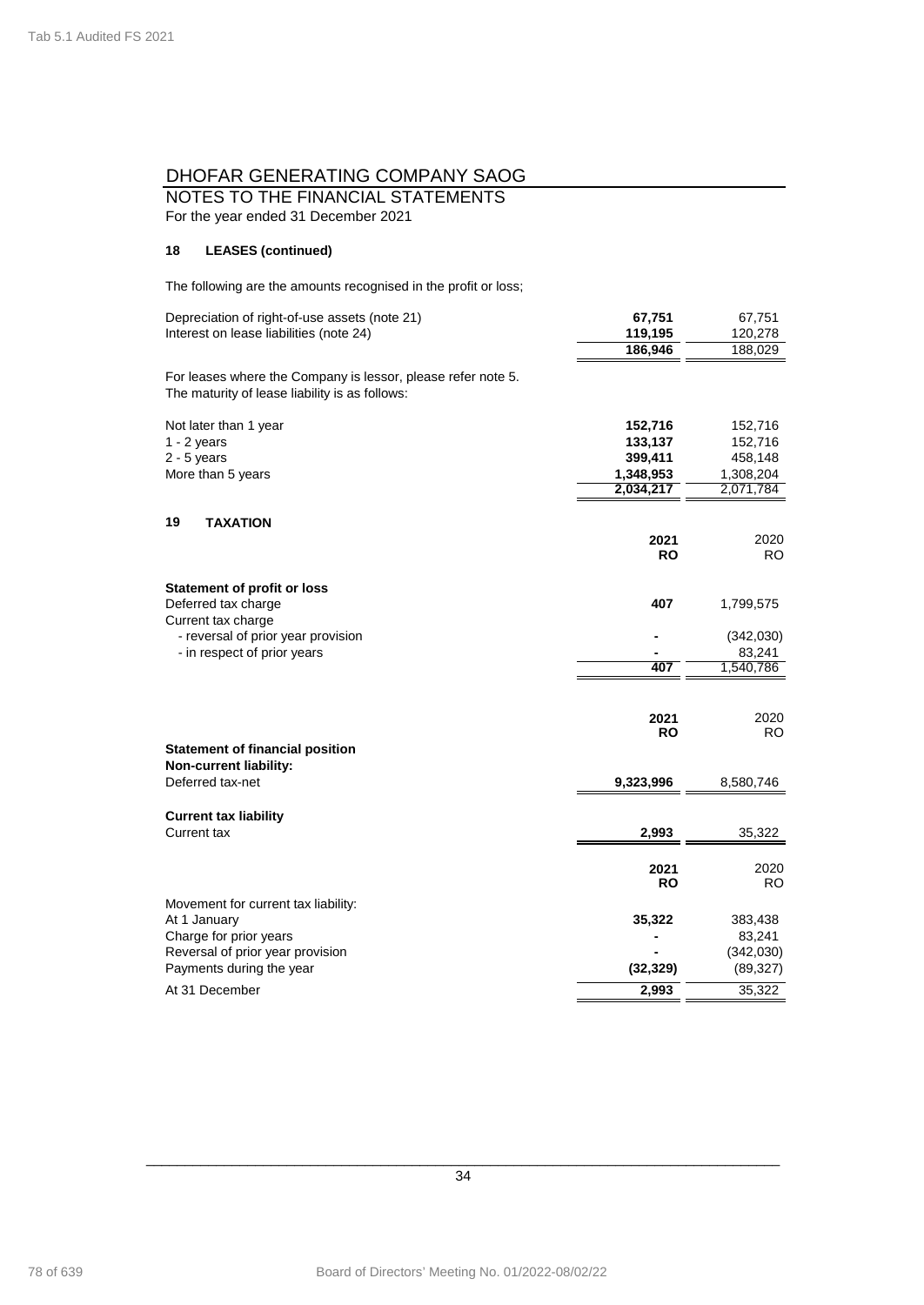NOTES TO THE FINANCIAL STATEMENTS For the year ended 31 December 2021

## **18 LEASES (continued)**

The following are the amounts recognised in the profit or loss;

| Depreciation of right-of-use assets (note 21)                                                                  | 67,751            | 67,751      |
|----------------------------------------------------------------------------------------------------------------|-------------------|-------------|
| Interest on lease liabilities (note 24)                                                                        | 119,195           | 120,278     |
|                                                                                                                | 186,946           | 188,029     |
| For leases where the Company is lessor, please refer note 5.<br>The maturity of lease liability is as follows: |                   |             |
| Not later than 1 year                                                                                          | 152,716           | 152,716     |
| $1 - 2$ years                                                                                                  | 133,137           | 152,716     |
| $2 - 5$ years                                                                                                  | 399,411           | 458,148     |
| More than 5 years                                                                                              | 1,348,953         | 1,308,204   |
|                                                                                                                | 2,034,217         | 2,071,784   |
| 19<br><b>TAXATION</b>                                                                                          |                   |             |
|                                                                                                                | 2021<br><b>RO</b> | 2020<br>RO. |
| <b>Statement of profit or loss</b>                                                                             |                   |             |
| Deferred tax charge<br>Current tax charge                                                                      | 407               | 1,799,575   |
| - reversal of prior year provision                                                                             |                   | (342,030)   |
| - in respect of prior years                                                                                    |                   | 83,241      |
|                                                                                                                | 407               | 1.540.786   |
|                                                                                                                |                   |             |
|                                                                                                                | 2021              | 2020        |
|                                                                                                                | RO                | RO.         |
| <b>Statement of financial position</b>                                                                         |                   |             |
| Non-current liability:<br>Deferred tax-net                                                                     |                   |             |
|                                                                                                                | 9,323,996         | 8,580,746   |
| <b>Current tax liability</b>                                                                                   |                   |             |
| <b>Current tax</b>                                                                                             | 2,993             | 35,322      |
|                                                                                                                |                   |             |
|                                                                                                                | 2021<br>RO        | 2020<br>RO. |
| Movement for current tax liability:                                                                            |                   |             |
| At 1 January                                                                                                   | 35,322            | 383,438     |
| Charge for prior years                                                                                         |                   | 83,241      |
| Reversal of prior year provision                                                                               |                   | (342,030)   |
| Payments during the year                                                                                       | (32, 329)         | (89, 327)   |
| At 31 December                                                                                                 | 2,993             | 35,322      |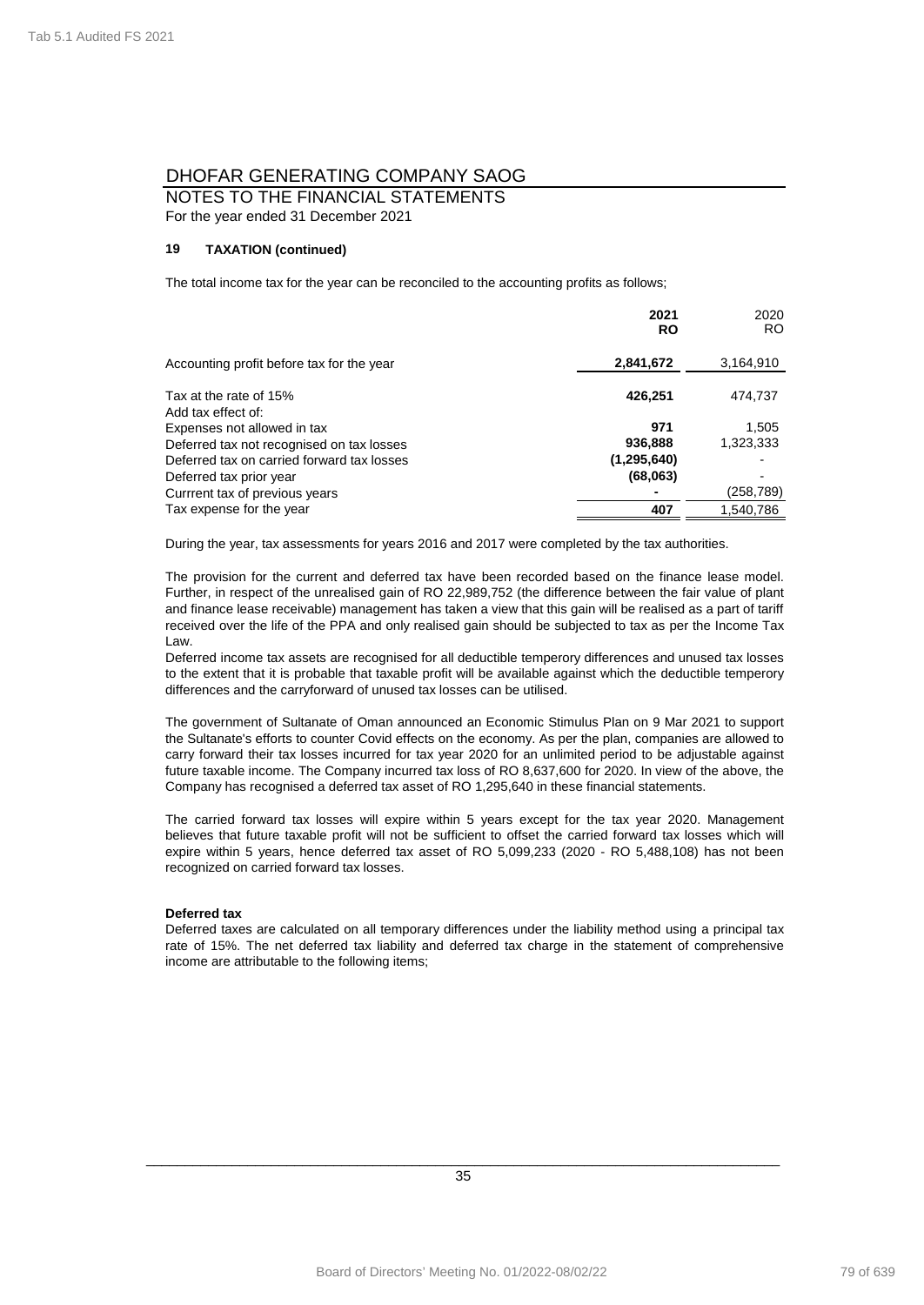NOTES TO THE FINANCIAL STATEMENTS

For the year ended 31 December 2021

## **19 TAXATION (continued)**

The total income tax for the year can be reconciled to the accounting profits as follows;

|                                              | 2021<br>RO    | 2020<br>RO. |
|----------------------------------------------|---------------|-------------|
| Accounting profit before tax for the year    | 2,841,672     | 3,164,910   |
| Tax at the rate of 15%<br>Add tax effect of: | 426,251       | 474,737     |
| Expenses not allowed in tax                  | 971           | 1,505       |
| Deferred tax not recognised on tax losses    | 936,888       | 1,323,333   |
| Deferred tax on carried forward tax losses   | (1, 295, 640) |             |
| Deferred tax prior year                      | (68,063)      |             |
| Currrent tax of previous years               |               | (258,789)   |
| Tax expense for the year                     | 407           | 1.540.786   |

During the year, tax assessments for years 2016 and 2017 were completed by the tax authorities.

The provision for the current and deferred tax have been recorded based on the finance lease model. Further, in respect of the unrealised gain of RO 22,989,752 (the difference between the fair value of plant and finance lease receivable) management has taken a view that this gain will be realised as a part of tariff received over the life of the PPA and only realised gain should be subjected to tax as per the Income Tax Law.

Deferred income tax assets are recognised for all deductible temperory differences and unused tax losses to the extent that it is probable that taxable profit will be available against which the deductible temperory differences and the carryforward of unused tax losses can be utilised.

The government of Sultanate of Oman announced an Economic Stimulus Plan on 9 Mar 2021 to support the Sultanate's efforts to counter Covid effects on the economy. As per the plan, companies are allowed to carry forward their tax losses incurred for tax year 2020 for an unlimited period to be adjustable against future taxable income. The Company incurred tax loss of RO 8,637,600 for 2020. In view of the above, the Company has recognised a deferred tax asset of RO 1,295,640 in these financial statements.

The carried forward tax losses will expire within 5 years except for the tax year 2020. Management believes that future taxable profit will not be sufficient to offset the carried forward tax losses which will expire within 5 years, hence deferred tax asset of RO 5,099,233 (2020 - RO 5,488,108) has not been recognized on carried forward tax losses.

### **Deferred tax**

Deferred taxes are calculated on all temporary differences under the liability method using a principal tax rate of 15%. The net deferred tax liability and deferred tax charge in the statement of comprehensive income are attributable to the following items;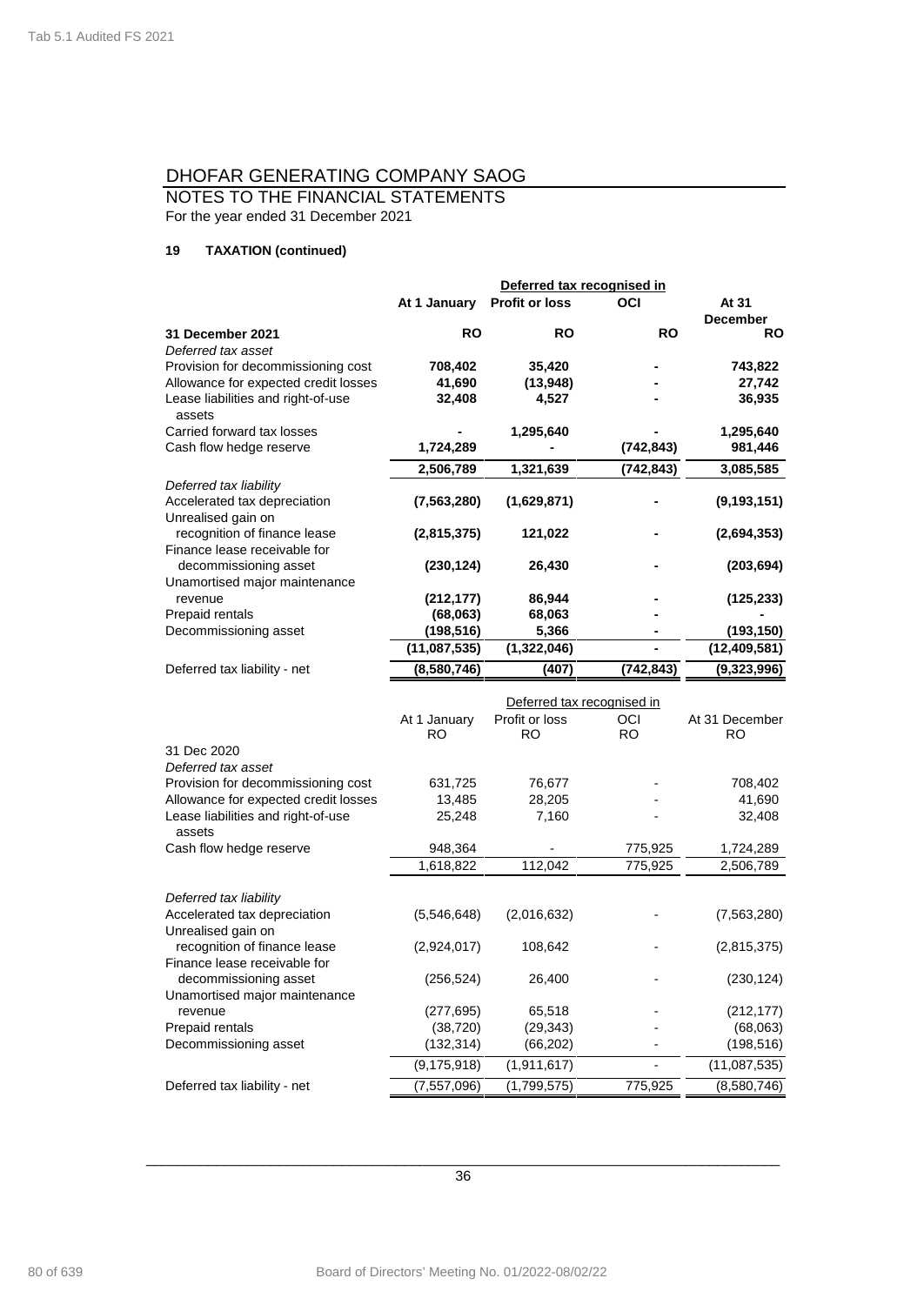NOTES TO THE FINANCIAL STATEMENTS

For the year ended 31 December 2021

## **19 TAXATION (continued)**

|                                      |               | Deferred tax recognised in |                          |                 |
|--------------------------------------|---------------|----------------------------|--------------------------|-----------------|
|                                      | At 1 January  | <b>Profit or loss</b>      | OCI                      | At 31           |
|                                      |               |                            |                          | <b>December</b> |
| 31 December 2021                     | RO            | RO                         | RO                       | RO              |
| Deferred tax asset                   |               |                            |                          |                 |
| Provision for decommissioning cost   | 708,402       | 35,420                     |                          | 743,822         |
| Allowance for expected credit losses | 41,690        | (13,948)                   |                          | 27,742          |
| Lease liabilities and right-of-use   | 32,408        | 4,527                      |                          | 36,935          |
| assets                               |               |                            |                          |                 |
| Carried forward tax losses           |               | 1,295,640                  |                          | 1,295,640       |
| Cash flow hedge reserve              | 1,724,289     |                            | (742, 843)               | 981,446         |
|                                      |               |                            |                          |                 |
|                                      | 2,506,789     | 1,321,639                  | (742, 843)               | 3,085,585       |
| Deferred tax liability               |               |                            |                          |                 |
| Accelerated tax depreciation         | (7, 563, 280) | (1,629,871)                |                          | (9, 193, 151)   |
| Unrealised gain on                   |               |                            |                          |                 |
| recognition of finance lease         | (2,815,375)   | 121,022                    |                          | (2,694,353)     |
| Finance lease receivable for         |               |                            |                          |                 |
| decommissioning asset                | (230, 124)    | 26,430                     |                          | (203, 694)      |
| Unamortised major maintenance        |               |                            |                          |                 |
| revenue                              | (212, 177)    | 86,944                     |                          | (125, 233)      |
| Prepaid rentals                      | (68,063)      | 68,063                     |                          |                 |
| Decommissioning asset                | (198, 516)    | 5,366                      |                          | (193, 150)      |
|                                      | (11,087,535)  | (1,322,046)                |                          | (12, 409, 581)  |
| Deferred tax liability - net         | (8,580,746)   | (407)                      | (742, 843)               | (9,323,996)     |
|                                      |               |                            |                          |                 |
|                                      |               | Deferred tax recognised in |                          |                 |
|                                      | At 1 January  | Profit or loss             | OCI                      | At 31 December  |
|                                      | RO            | RO                         | <b>RO</b>                | RO              |
| 31 Dec 2020                          |               |                            |                          |                 |
| Deferred tax asset                   |               |                            |                          |                 |
| Provision for decommissioning cost   | 631,725       | 76,677                     |                          | 708,402         |
| Allowance for expected credit losses | 13,485        | 28,205                     |                          | 41,690          |
| Lease liabilities and right-of-use   | 25,248        | 7,160                      |                          | 32,408          |
| assets                               |               |                            |                          |                 |
| Cash flow hedge reserve              | 948,364       |                            | 775,925                  | 1,724,289       |
|                                      | 1,618,822     | 112,042                    | 775,925                  | 2,506,789       |
|                                      |               |                            |                          |                 |
| Deferred tax liability               |               |                            |                          |                 |
| Accelerated tax depreciation         | (5,546,648)   | (2,016,632)                |                          | (7, 563, 280)   |
| Unrealised gain on                   |               |                            |                          |                 |
| recognition of finance lease         | (2,924,017)   | 108,642                    |                          | (2,815,375)     |
| Finance lease receivable for         |               |                            |                          |                 |
|                                      |               |                            |                          |                 |
| decommissioning asset                | (256, 524)    | 26,400                     |                          | (230, 124)      |
| Unamortised major maintenance        |               |                            |                          |                 |
| revenue                              | (277, 695)    | 65,518                     |                          | (212, 177)      |
| Prepaid rentals                      | (38, 720)     | (29, 343)                  |                          | (68,063)        |
| Decommissioning asset                | (132, 314)    | (66, 202)                  |                          | (198,516)       |
|                                      |               |                            |                          |                 |
|                                      | (9, 175, 918) | (1, 911, 617)              | $\overline{\phantom{a}}$ | (11,087,535)    |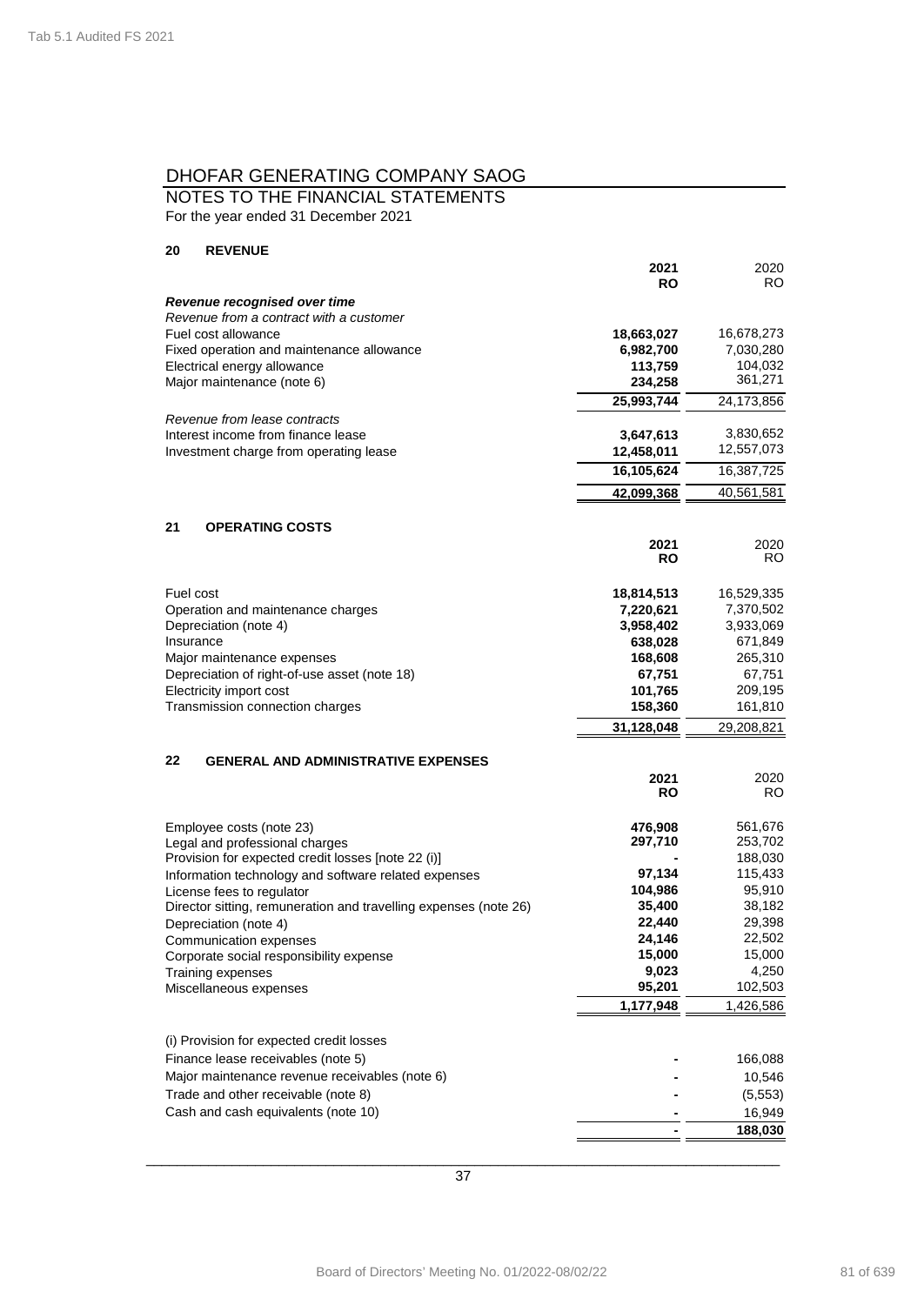NOTES TO THE FINANCIAL STATEMENTS

For the year ended 31 December 2021

## **20 REVENUE**

|                                                                   | 2021<br>RO              | 2020<br>RO.             |
|-------------------------------------------------------------------|-------------------------|-------------------------|
| Revenue recognised over time                                      |                         |                         |
| Revenue from a contract with a customer<br>Fuel cost allowance    |                         |                         |
| Fixed operation and maintenance allowance                         | 18,663,027<br>6,982,700 | 16,678,273<br>7,030,280 |
| Electrical energy allowance                                       | 113,759                 | 104,032                 |
| Major maintenance (note 6)                                        | 234,258                 | 361,271                 |
|                                                                   | 25,993,744              | 24,173,856              |
| Revenue from lease contracts                                      |                         |                         |
| Interest income from finance lease                                | 3,647,613               | 3,830,652<br>12,557,073 |
| Investment charge from operating lease                            | 12,458,011              |                         |
|                                                                   | 16,105,624              | 16,387,725              |
|                                                                   | 42,099,368              | 40,561,581              |
| 21<br><b>OPERATING COSTS</b>                                      |                         |                         |
|                                                                   | 2021<br>RO.             | 2020<br>RO.             |
| Fuel cost                                                         | 18,814,513              | 16,529,335              |
| Operation and maintenance charges                                 | 7,220,621               | 7,370,502               |
| Depreciation (note 4)                                             | 3,958,402               | 3,933,069               |
| Insurance                                                         | 638,028                 | 671,849                 |
| Major maintenance expenses                                        | 168,608                 | 265,310                 |
| Depreciation of right-of-use asset (note 18)                      | 67,751                  | 67,751                  |
| Electricity import cost                                           | 101,765                 | 209,195                 |
| Transmission connection charges                                   | 158,360                 | 161,810                 |
|                                                                   | 31,128,048              | 29,208,821              |
| 22<br><b>GENERAL AND ADMINISTRATIVE EXPENSES</b>                  |                         |                         |
|                                                                   | 2021                    | 2020                    |
|                                                                   | RO                      | RO                      |
| Employee costs (note 23)                                          | 476,908                 | 561,676                 |
| Legal and professional charges                                    | 297,710                 | 253,702                 |
| Provision for expected credit losses [note 22 (i)]                |                         | 188,030                 |
| Information technology and software related expenses              | 97,134                  | 115,433                 |
| License fees to regulator                                         | 104,986                 | 95,910                  |
| Director sitting, remuneration and travelling expenses (note 26)  | 35,400                  | 38,182                  |
| Depreciation (note 4)                                             | 22,440<br>24,146        | 29,398<br>22,502        |
| Communication expenses<br>Corporate social responsibility expense | 15,000                  | 15,000                  |
| Training expenses                                                 | 9,023                   | 4,250                   |
| Miscellaneous expenses                                            | 95,201                  | 102,503                 |
|                                                                   | 1,177,948               | 1,426,586               |
| (i) Provision for expected credit losses                          |                         |                         |
| Finance lease receivables (note 5)                                |                         | 166,088                 |
| Major maintenance revenue receivables (note 6)                    |                         | 10,546                  |
| Trade and other receivable (note 8)                               |                         | (5, 553)                |
| Cash and cash equivalents (note 10)                               |                         | 16,949                  |
|                                                                   |                         | <u>188,030</u>          |

Board of Directors' Meeting No. 01/2022-08/02/22 81 81 06 839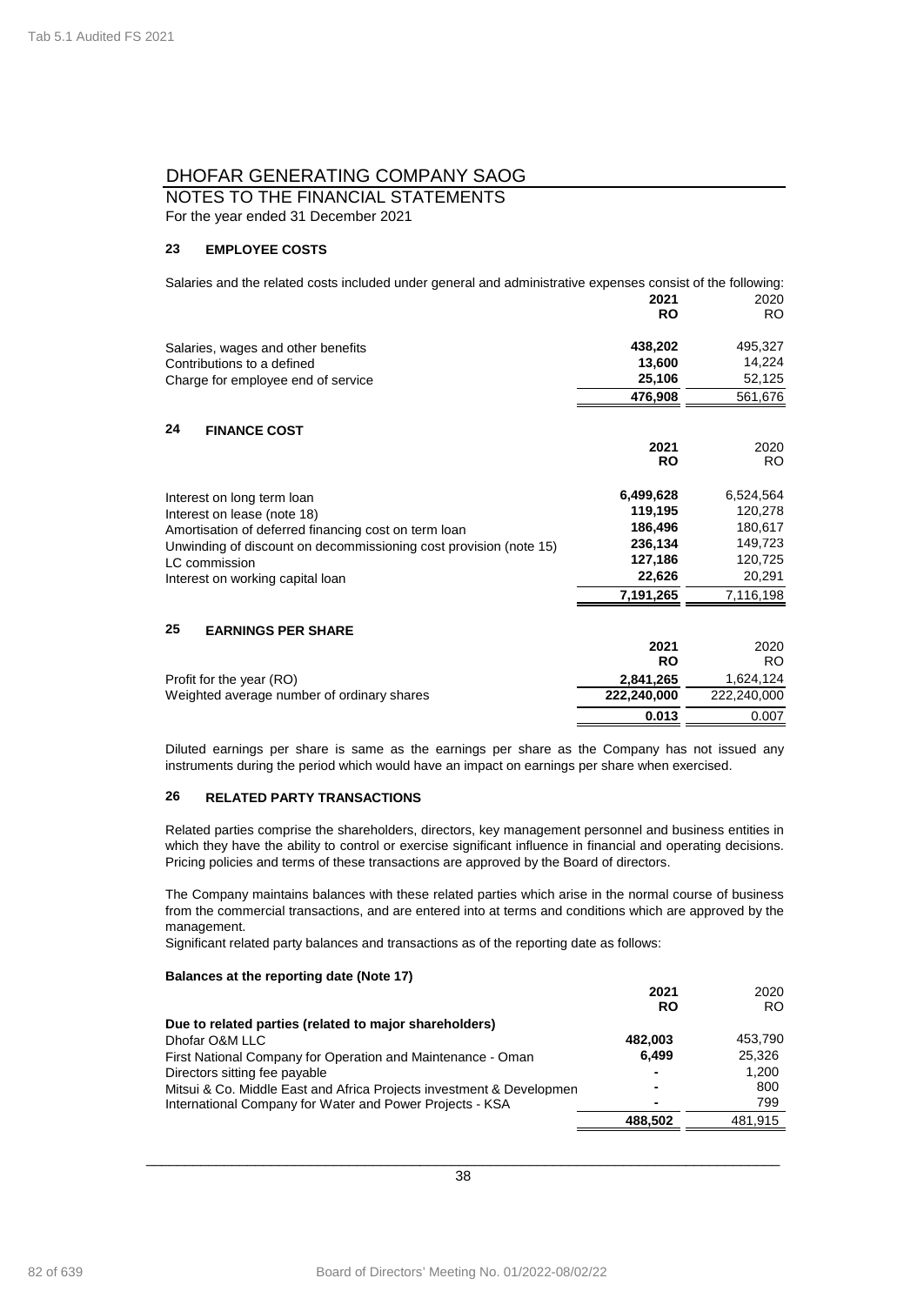NOTES TO THE FINANCIAL STATEMENTS

For the year ended 31 December 2021

## **23 EMPLOYEE COSTS**

| Salaries and the related costs included under general and administrative expenses consist of the following: |             |             |
|-------------------------------------------------------------------------------------------------------------|-------------|-------------|
|                                                                                                             | 2021        | 2020        |
|                                                                                                             | <b>RO</b>   | RO.         |
| Salaries, wages and other benefits                                                                          | 438,202     | 495,327     |
| Contributions to a defined                                                                                  | 13,600      | 14,224      |
| Charge for employee end of service                                                                          | 25,106      | 52,125      |
|                                                                                                             | 476,908     | 561,676     |
| 24<br><b>FINANCE COST</b>                                                                                   |             |             |
|                                                                                                             | 2021        | 2020        |
|                                                                                                             | <b>RO</b>   | RO.         |
| Interest on long term loan                                                                                  | 6,499,628   | 6,524,564   |
| Interest on lease (note 18)                                                                                 | 119,195     | 120,278     |
| Amortisation of deferred financing cost on term loan                                                        | 186,496     | 180,617     |
| Unwinding of discount on decommissioning cost provision (note 15)                                           | 236,134     | 149,723     |
| LC commission                                                                                               | 127,186     | 120,725     |
| Interest on working capital loan                                                                            | 22,626      | 20,291      |
|                                                                                                             | 7,191,265   | 7,116,198   |
| 25<br><b>EARNINGS PER SHARE</b>                                                                             |             |             |
|                                                                                                             | 2021        | 2020        |
|                                                                                                             | <b>RO</b>   | RO.         |
| Profit for the year (RO)                                                                                    | 2,841,265   | 1,624,124   |
| Weighted average number of ordinary shares                                                                  | 222,240,000 | 222,240,000 |
|                                                                                                             | 0.013       | 0.007       |
|                                                                                                             |             |             |

Diluted earnings per share is same as the earnings per share as the Company has not issued any instruments during the period which would have an impact on earnings per share when exercised.

#### **26 RELATED PARTY TRANSACTIONS**

Related parties comprise the shareholders, directors, key management personnel and business entities in which they have the ability to control or exercise significant influence in financial and operating decisions. Pricing policies and terms of these transactions are approved by the Board of directors.

The Company maintains balances with these related parties which arise in the normal course of business from the commercial transactions, and are entered into at terms and conditions which are approved by the management.

**2021** 2020

Significant related party balances and transactions as of the reporting date as follows:

## **Balances at the reporting date (Note 17)**

|                                                                      | <u>LUL 1</u> | LULU    |
|----------------------------------------------------------------------|--------------|---------|
|                                                                      | RO           | RO.     |
| Due to related parties (related to major shareholders)               |              |         |
| Dhofar O&M LLC                                                       | 482,003      | 453.790 |
| First National Company for Operation and Maintenance - Oman          | 6.499        | 25.326  |
| Directors sitting fee payable                                        |              | 1.200   |
| Mitsui & Co. Middle East and Africa Projects investment & Developmen |              | 800     |
| International Company for Water and Power Projects - KSA             |              | 799     |
|                                                                      | 488.502      | 481.915 |
|                                                                      |              |         |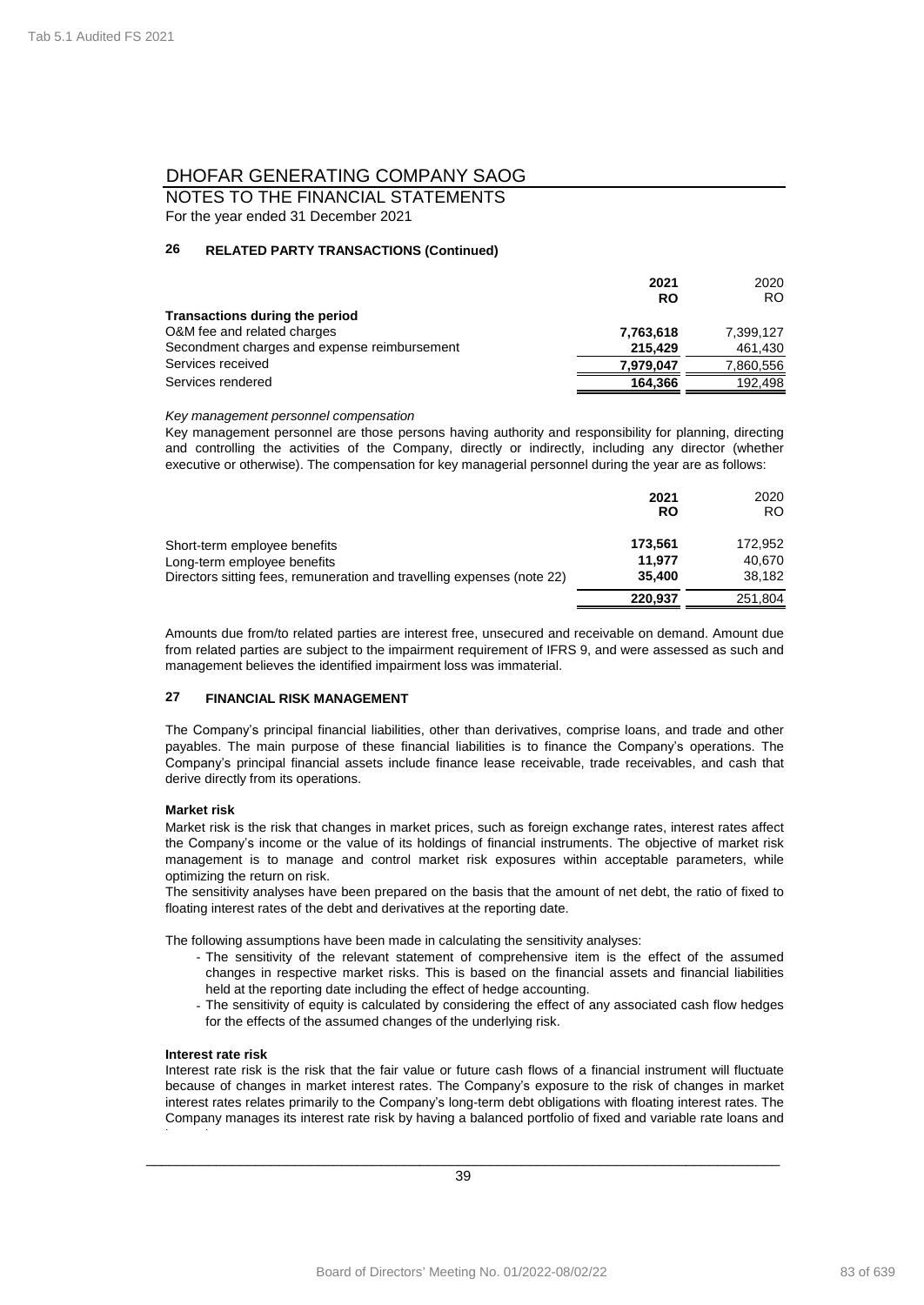NOTES TO THE FINANCIAL STATEMENTS For the year ended 31 December 2021

## **26 RELATED PARTY TRANSACTIONS (Continued)**

|                                              | 2021<br>RO | 2020<br>RO |
|----------------------------------------------|------------|------------|
| Transactions during the period               |            |            |
| O&M fee and related charges                  | 7,763,618  | 7.399.127  |
| Secondment charges and expense reimbursement | 215.429    | 461,430    |
| Services received                            | 7.979.047  | 7,860,556  |
| Services rendered                            | 164.366    | 192.498    |

*Key management personnel compensation*

Key management personnel are those persons having authority and responsibility for planning, directing and controlling the activities of the Company, directly or indirectly, including any director (whether executive or otherwise). The compensation for key managerial personnel during the year are as follows:

|                                                                        | 2021<br>RO | 2020<br>RO. |
|------------------------------------------------------------------------|------------|-------------|
| Short-term employee benefits                                           | 173,561    | 172.952     |
| Long-term employee benefits                                            | 11.977     | 40,670      |
| Directors sitting fees, remuneration and travelling expenses (note 22) | 35.400     | 38,182      |
|                                                                        | 220,937    | 251,804     |

Amounts due from/to related parties are interest free, unsecured and receivable on demand. Amount due from related parties are subject to the impairment requirement of IFRS 9, and were assessed as such and management believes the identified impairment loss was immaterial.

#### **27 FINANCIAL RISK MANAGEMENT**

The Company's principal financial liabilities, other than derivatives, comprise loans, and trade and other payables. The main purpose of these financial liabilities is to finance the Company's operations. The Company's principal financial assets include finance lease receivable, trade receivables, and cash that derive directly from its operations.

### **Market risk**

Market risk is the risk that changes in market prices, such as foreign exchange rates, interest rates affect the Company's income or the value of its holdings of financial instruments. The objective of market risk management is to manage and control market risk exposures within acceptable parameters, while optimizing the return on risk.

The sensitivity analyses have been prepared on the basis that the amount of net debt, the ratio of fixed to floating interest rates of the debt and derivatives at the reporting date.

The following assumptions have been made in calculating the sensitivity analyses:

- The sensitivity of the relevant statement of comprehensive item is the effect of the assumed changes in respective market risks. This is based on the financial assets and financial liabilities held at the reporting date including the effect of hedge accounting.
- The sensitivity of equity is calculated by considering the effect of any associated cash flow hedges for the effects of the assumed changes of the underlying risk.

#### **Interest rate risk**

Interest rate risk is the risk that the fair value or future cash flows of a financial instrument will fluctuate because of changes in market interest rates. The Company's exposure to the risk of changes in market interest rates relates primarily to the Company's long-term debt obligations with floating interest rates. The Company manages its interest rate risk by having a balanced portfolio of fixed and variable rate loans and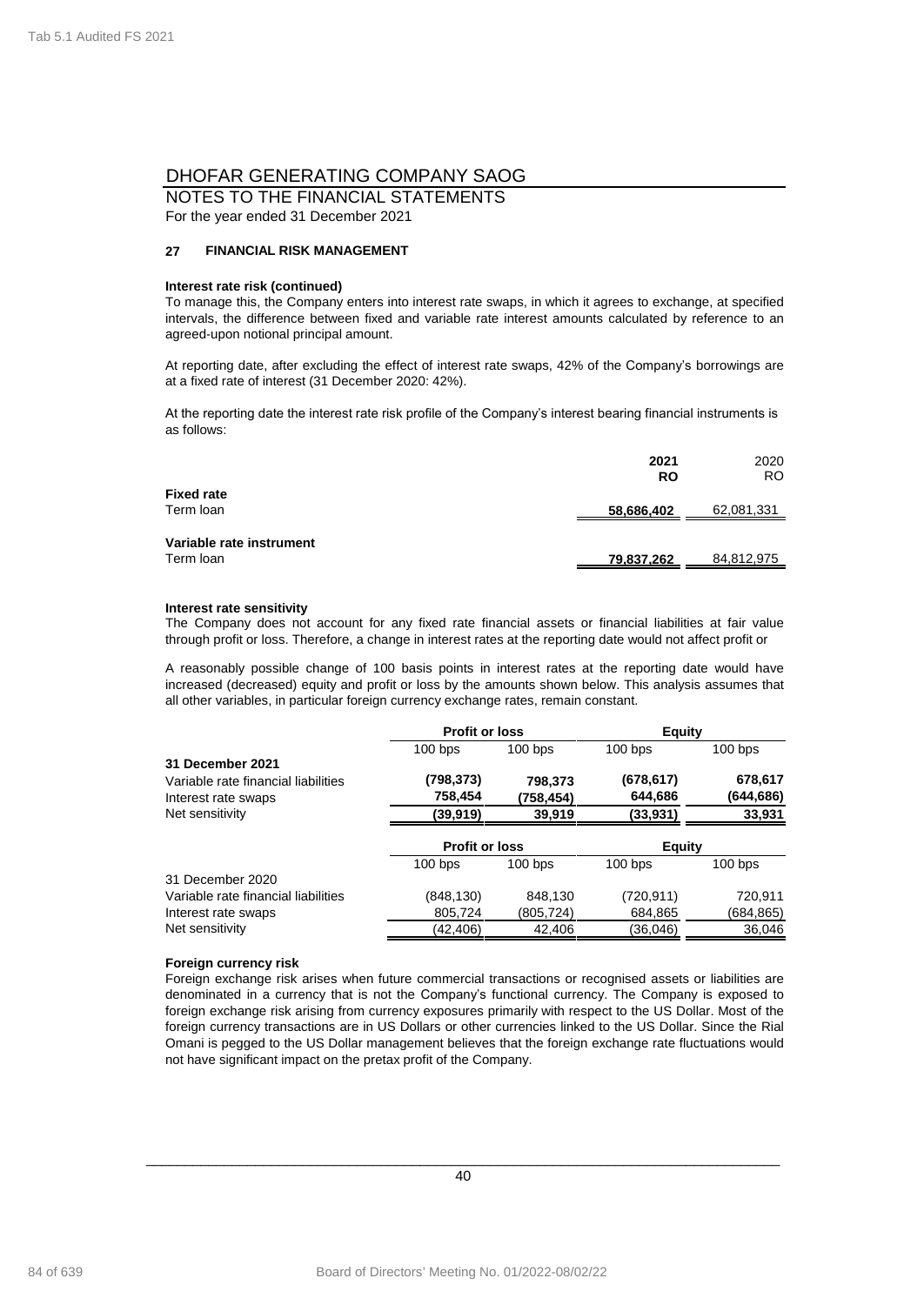NOTES TO THE FINANCIAL STATEMENTS

For the year ended 31 December 2021

#### **27 FINANCIAL RISK MANAGEMENT**

## **Interest rate risk (continued)**

To manage this, the Company enters into interest rate swaps, in which it agrees to exchange, at specified intervals, the difference between fixed and variable rate interest amounts calculated by reference to an agreed-upon notional principal amount.

At reporting date, after excluding the effect of interest rate swaps, 42% of the Company's borrowings are at a fixed rate of interest (31 December 2020: 42%).

At the reporting date the interest rate risk profile of the Company's interest bearing financial instruments is as follows:

|                          | 2021<br><b>RO</b> | 2020<br>RO. |
|--------------------------|-------------------|-------------|
| <b>Fixed rate</b>        |                   |             |
| Term Ioan                | 58,686,402        | 62,081,331  |
| Variable rate instrument |                   |             |
| Term loan                | 79,837,262        | 84,812,975  |
|                          |                   |             |

#### **Interest rate sensitivity**

The Company does not account for any fixed rate financial assets or financial liabilities at fair value through profit or loss. Therefore, a change in interest rates at the reporting date would not affect profit or

A reasonably possible change of 100 basis points in interest rates at the reporting date would have increased (decreased) equity and profit or loss by the amounts shown below. This analysis assumes that all other variables, in particular foreign currency exchange rates, remain constant.

|                                                            | <b>Profit or loss</b> |                      | <b>Equity</b>         |                      |
|------------------------------------------------------------|-----------------------|----------------------|-----------------------|----------------------|
| 31 December 2021                                           | $100$ bps             | $100$ bps            | $100$ bps             | $100$ bps            |
| Variable rate financial liabilities<br>Interest rate swaps | (798,373)<br>758,454  | 798,373<br>(758,454) | (678, 617)<br>644,686 | 678,617<br>(644,686) |
| Net sensitivity                                            | (39,919)              | 39,919               | (33, 931)             | 33,931               |
|                                                            | <b>Profit or loss</b> |                      | <b>Equity</b>         |                      |
|                                                            | $100$ bps             | $100$ bps            | $100$ bps             | $100$ bps            |
| 31 December 2020                                           |                       |                      |                       |                      |
| Variable rate financial liabilities                        | (848, 130)            | 848,130              | (720,911)             | 720,911              |
| Interest rate swaps                                        | 805,724               | (805,724)            | 684,865               | (684,865)            |
| Net sensitivity                                            | (42.406)              | 42.406               | (36,046)              | 36.046               |

### **Foreign currency risk**

Foreign exchange risk arises when future commercial transactions or recognised assets or liabilities are denominated in a currency that is not the Company's functional currency. The Company is exposed to foreign exchange risk arising from currency exposures primarily with respect to the US Dollar. Most of the foreign currency transactions are in US Dollars or other currencies linked to the US Dollar. Since the Rial Omani is pegged to the US Dollar management believes that the foreign exchange rate fluctuations would not have significant impact on the pretax profit of the Company.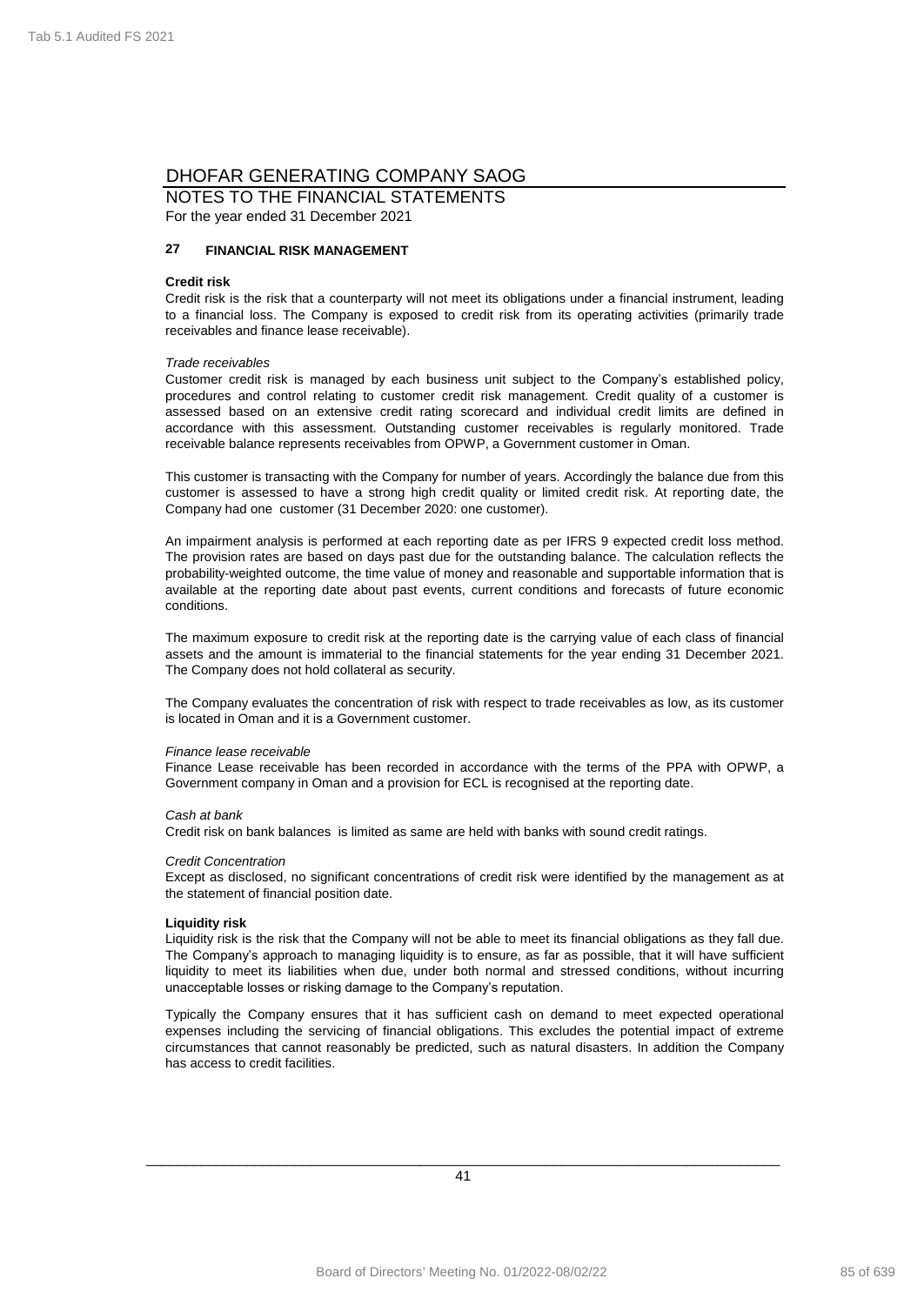NOTES TO THE FINANCIAL STATEMENTS For the year ended 31 December 2021

#### **27 FINANCIAL RISK MANAGEMENT**

#### **Credit risk**

Credit risk is the risk that a counterparty will not meet its obligations under a financial instrument, leading to a financial loss. The Company is exposed to credit risk from its operating activities (primarily trade receivables and finance lease receivable).

#### *Trade receivables*

Customer credit risk is managed by each business unit subject to the Company's established policy, procedures and control relating to customer credit risk management. Credit quality of a customer is assessed based on an extensive credit rating scorecard and individual credit limits are defined in accordance with this assessment. Outstanding customer receivables is regularly monitored. Trade receivable balance represents receivables from OPWP, a Government customer in Oman.

This customer is transacting with the Company for number of years. Accordingly the balance due from this customer is assessed to have a strong high credit quality or limited credit risk. At reporting date, the Company had one customer (31 December 2020: one customer).

An impairment analysis is performed at each reporting date as per IFRS 9 expected credit loss method. The provision rates are based on days past due for the outstanding balance. The calculation reflects the probability-weighted outcome, the time value of money and reasonable and supportable information that is available at the reporting date about past events, current conditions and forecasts of future economic conditions.

The maximum exposure to credit risk at the reporting date is the carrying value of each class of financial assets and the amount is immaterial to the financial statements for the year ending 31 December 2021. The Company does not hold collateral as security.

The Company evaluates the concentration of risk with respect to trade receivables as low, as its customer is located in Oman and it is a Government customer.

#### *Finance lease receivable*

Finance Lease receivable has been recorded in accordance with the terms of the PPA with OPWP, a Government company in Oman and a provision for ECL is recognised at the reporting date.

#### *Cash at bank*

Credit risk on bank balances is limited as same are held with banks with sound credit ratings.

#### *Credit Concentration*

Except as disclosed, no significant concentrations of credit risk were identified by the management as at the statement of financial position date.

#### **Liquidity risk**

Liquidity risk is the risk that the Company will not be able to meet its financial obligations as they fall due. The Company's approach to managing liquidity is to ensure, as far as possible, that it will have sufficient liquidity to meet its liabilities when due, under both normal and stressed conditions, without incurring unacceptable losses or risking damage to the Company's reputation.

Typically the Company ensures that it has sufficient cash on demand to meet expected operational expenses including the servicing of financial obligations. This excludes the potential impact of extreme circumstances that cannot reasonably be predicted, such as natural disasters. In addition the Company has access to credit facilities.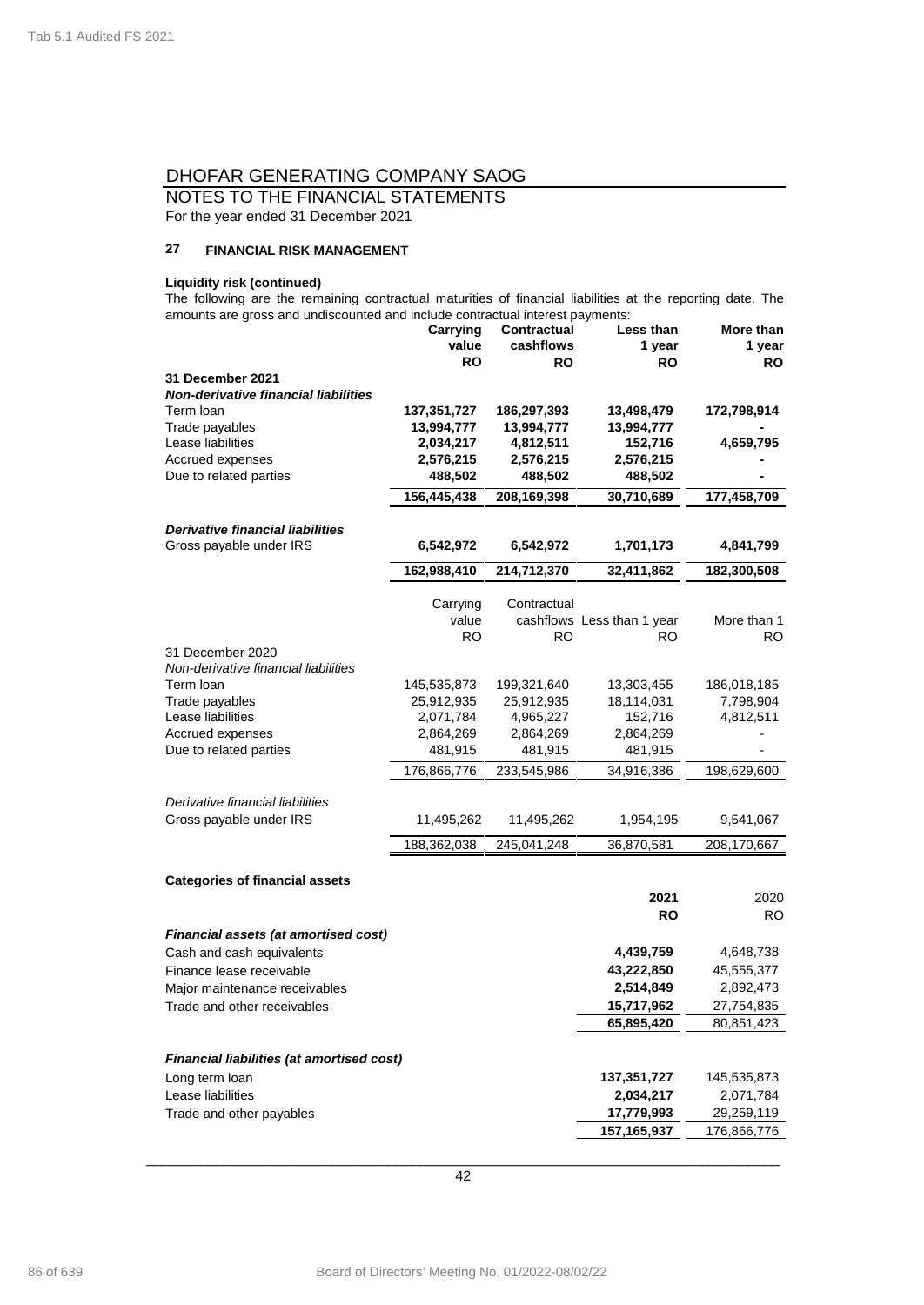NOTES TO THE FINANCIAL STATEMENTS

For the year ended 31 December 2021

#### **27 FINANCIAL RISK MANAGEMENT**

#### **Liquidity risk (continued)**

The following are the remaining contractual maturities of financial liabilities at the reporting date. The amounts are gross and undiscounted and include contractual interest payments:

|                                                          | Carrying      | <b>Contractual</b> | Less than                  | More than   |
|----------------------------------------------------------|---------------|--------------------|----------------------------|-------------|
|                                                          | value         | cashflows          | 1 year                     | 1 year      |
|                                                          | RO            | <b>RO</b>          | RO                         | <b>RO</b>   |
| <b>31 December 2021</b>                                  |               |                    |                            |             |
| <b>Non-derivative financial liabilities</b>              |               |                    |                            |             |
| Term Ioan                                                | 137, 351, 727 | 186,297,393        | 13,498,479                 | 172,798,914 |
| Trade payables                                           | 13,994,777    | 13,994,777         | 13,994,777                 |             |
| Lease liabilities                                        | 2,034,217     | 4,812,511          | 152,716                    | 4,659,795   |
| Accrued expenses                                         | 2,576,215     | 2,576,215          | 2,576,215                  |             |
| Due to related parties                                   | 488,502       | 488,502            | 488,502                    |             |
|                                                          | 156,445,438   | 208,169,398        | 30,710,689                 | 177,458,709 |
|                                                          |               |                    |                            |             |
| <b>Derivative financial liabilities</b>                  |               |                    |                            |             |
| Gross payable under IRS                                  | 6,542,972     | 6,542,972          | 1,701,173                  | 4,841,799   |
|                                                          | 162,988,410   | 214,712,370        | 32,411,862                 | 182,300,508 |
|                                                          |               |                    |                            |             |
|                                                          | Carrying      | Contractual        |                            |             |
|                                                          | value         |                    | cashflows Less than 1 year | More than 1 |
|                                                          | RO.           | RO                 | RO.                        | RO.         |
| 31 December 2020<br>Non-derivative financial liabilities |               |                    |                            |             |
| Term Ioan                                                | 145,535,873   | 199,321,640        | 13,303,455                 | 186,018,185 |
| Trade payables                                           | 25,912,935    | 25,912,935         | 18,114,031                 | 7,798,904   |
| Lease liabilities                                        | 2,071,784     | 4,965,227          | 152,716                    | 4,812,511   |
| Accrued expenses                                         | 2,864,269     | 2,864,269          | 2,864,269                  |             |
| Due to related parties                                   | 481,915       | 481,915            | 481,915                    |             |
|                                                          | 176,866,776   | 233,545,986        | 34,916,386                 | 198,629,600 |
|                                                          |               |                    |                            |             |
| Derivative financial liabilities                         |               |                    |                            |             |
| Gross payable under IRS                                  | 11,495,262    | 11,495,262         | 1,954,195                  | 9,541,067   |
|                                                          |               |                    |                            |             |
|                                                          | 188,362,038   | 245,041,248        | 36,870,581                 | 208,170,667 |
| <b>Categories of financial assets</b>                    |               |                    |                            |             |
|                                                          |               |                    | 2021                       | 2020        |
|                                                          |               |                    | RO                         | RO.         |
| Financial assets (at amortised cost)                     |               |                    |                            |             |
| Cash and cash equivalents                                |               |                    | 4,439,759                  | 4,648,738   |
| Finance lease receivable                                 |               |                    | 43,222,850                 |             |
|                                                          |               |                    |                            | 45,555,377  |
| Major maintenance receivables                            |               |                    | 2,514,849                  | 2,892,473   |
| Trade and other receivables                              |               |                    | 15,717,962                 | 27,754,835  |
|                                                          |               |                    | <u>65,895,420</u>          | 80,851,423  |
| Financial liabilities (at amortised cost)                |               |                    |                            |             |
| Long term loan                                           |               |                    | 137, 351, 727              | 145,535,873 |
| Lease liabilities                                        |               |                    | 2,034,217                  | 2,071,784   |
| Trade and other payables                                 |               |                    | 17,779,993                 | 29,259,119  |
|                                                          |               |                    | 157, 165, 937              | 176,866,776 |
|                                                          |               |                    |                            |             |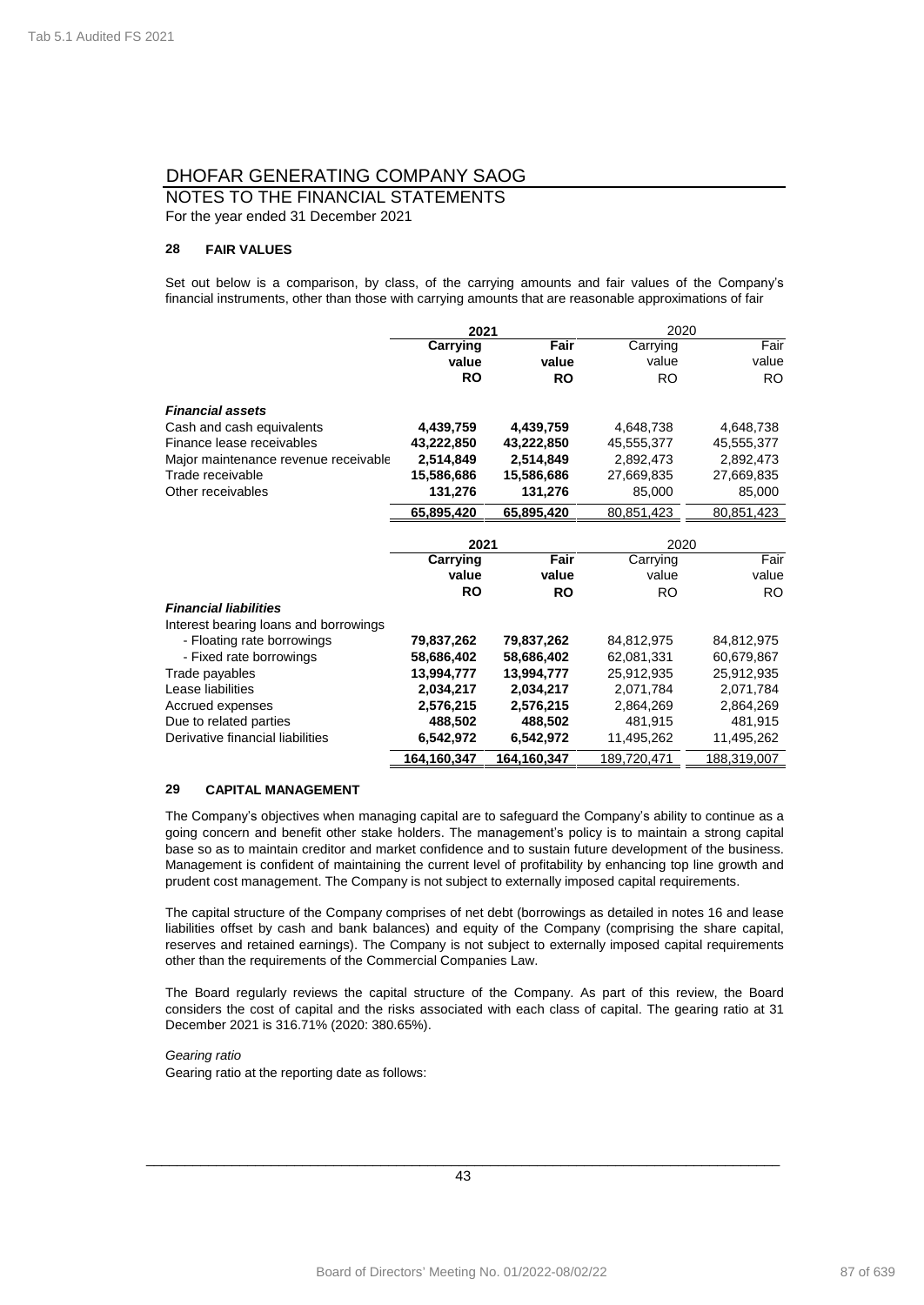NOTES TO THE FINANCIAL STATEMENTS

For the year ended 31 December 2021

## **28 FAIR VALUES**

Set out below is a comparison, by class, of the carrying amounts and fair values of the Company's financial instruments, other than those with carrying amounts that are reasonable approximations of fair

|                                       | 2021            |             | 2020        |             |
|---------------------------------------|-----------------|-------------|-------------|-------------|
|                                       | Carrying        | Fair        | Carrying    | Fair        |
|                                       | value           | value       | value       | value       |
|                                       | <b>RO</b>       | <b>RO</b>   | <b>RO</b>   | RO.         |
| <b>Financial assets</b>               |                 |             |             |             |
| Cash and cash equivalents             | 4,439,759       | 4,439,759   | 4,648,738   | 4,648,738   |
| Finance lease receivables             | 43,222,850      | 43,222,850  | 45,555,377  | 45,555,377  |
| Major maintenance revenue receivable  | 2,514,849       | 2,514,849   | 2,892,473   | 2,892,473   |
| Trade receivable                      | 15,586,686      | 15,586,686  | 27,669,835  | 27,669,835  |
| Other receivables                     | 131,276         | 131,276     | 85,000      | 85,000      |
|                                       | 65,895,420      | 65,895,420  | 80,851,423  | 80,851,423  |
|                                       | 2021            |             | 2020        |             |
|                                       | <b>Carrying</b> | Fair        | Carrying    | Fair        |
|                                       | value           | value       | value       | value       |
|                                       | <b>RO</b>       | <b>RO</b>   | <b>RO</b>   | RO.         |
| <b>Financial liabilities</b>          |                 |             |             |             |
| Interest bearing loans and borrowings |                 |             |             |             |
| - Floating rate borrowings            | 79,837,262      | 79,837,262  | 84,812,975  | 84,812,975  |
| - Fixed rate borrowings               | 58,686,402      | 58,686,402  | 62,081,331  | 60,679,867  |
| Trade payables                        | 13,994,777      | 13,994,777  | 25,912,935  | 25,912,935  |
| Lease liabilities                     | 2,034,217       | 2,034,217   | 2,071,784   | 2,071,784   |
| Accrued expenses                      | 2,576,215       | 2,576,215   | 2,864,269   | 2,864,269   |
| Due to related parties                | 488,502         | 488,502     | 481,915     | 481,915     |
| Derivative financial liabilities      | 6,542,972       | 6,542,972   | 11,495,262  | 11,495,262  |
|                                       | 164,160,347     | 164.160.347 | 189,720,471 | 188,319,007 |

## **29 CAPITAL MANAGEMENT**

The Company's objectives when managing capital are to safeguard the Company's ability to continue as a going concern and benefit other stake holders. The management's policy is to maintain a strong capital base so as to maintain creditor and market confidence and to sustain future development of the business. Management is confident of maintaining the current level of profitability by enhancing top line growth and prudent cost management. The Company is not subject to externally imposed capital requirements.

The capital structure of the Company comprises of net debt (borrowings as detailed in notes 16 and lease liabilities offset by cash and bank balances) and equity of the Company (comprising the share capital, reserves and retained earnings). The Company is not subject to externally imposed capital requirements other than the requirements of the Commercial Companies Law.

The Board regularly reviews the capital structure of the Company. As part of this review, the Board considers the cost of capital and the risks associated with each class of capital. The gearing ratio at 31 December 2021 is 316.71% (2020: 380.65%).

*Gearing ratio* Gearing ratio at the reporting date as follows: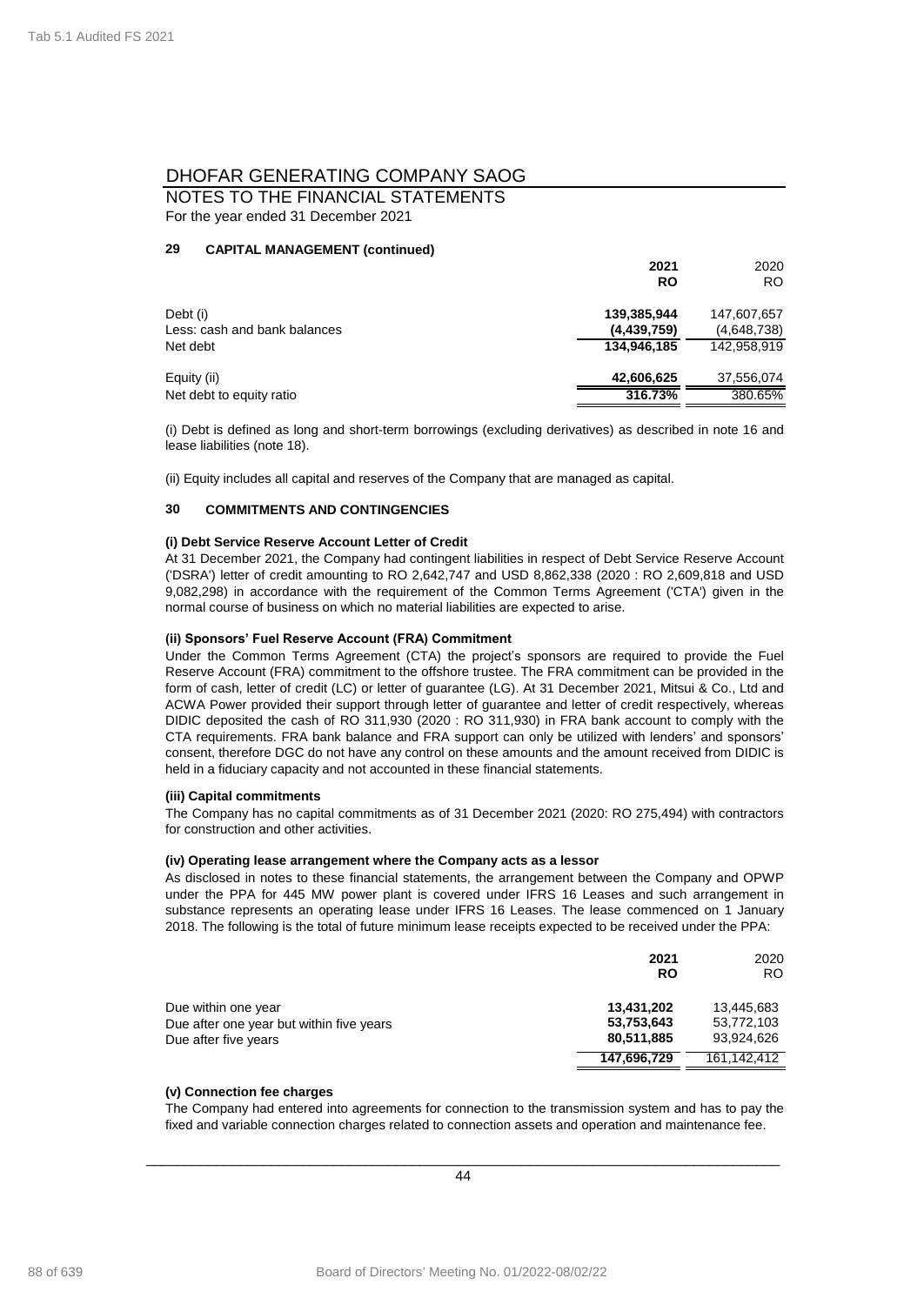NOTES TO THE FINANCIAL STATEMENTS For the year ended 31 December 2021

## **29 CAPITAL MANAGEMENT (continued)**

|                              | 2021          | 2020        |
|------------------------------|---------------|-------------|
|                              | RO            | <b>RO</b>   |
| Debt (i)                     | 139,385,944   | 147,607,657 |
| Less: cash and bank balances | (4, 439, 759) | (4,648,738) |
| Net debt                     | 134.946.185   | 142.958.919 |
| Equity (ii)                  | 42.606.625    | 37,556,074  |
| Net debt to equity ratio     | 316.73%       | 380.65%     |

(i) Debt is defined as long and short-term borrowings (excluding derivatives) as described in note 16 and lease liabilities (note 18).

(ii) Equity includes all capital and reserves of the Company that are managed as capital.

## **30 COMMITMENTS AND CONTINGENCIES**

### **(i) Debt Service Reserve Account Letter of Credit**

At 31 December 2021, the Company had contingent liabilities in respect of Debt Service Reserve Account ('DSRA') letter of credit amounting to RO 2,642,747 and USD 8,862,338 (2020 : RO 2,609,818 and USD 9,082,298) in accordance with the requirement of the Common Terms Agreement ('CTA') given in the normal course of business on which no material liabilities are expected to arise.

#### **(ii) Sponsors' Fuel Reserve Account (FRA) Commitment**

Under the Common Terms Agreement (CTA) the project's sponsors are required to provide the Fuel Reserve Account (FRA) commitment to the offshore trustee. The FRA commitment can be provided in the form of cash, letter of credit (LC) or letter of guarantee (LG). At 31 December 2021, Mitsui & Co., Ltd and ACWA Power provided their support through letter of guarantee and letter of credit respectively, whereas DIDIC deposited the cash of RO 311,930 (2020 : RO 311,930) in FRA bank account to comply with the CTA requirements. FRA bank balance and FRA support can only be utilized with lenders' and sponsors' consent, therefore DGC do not have any control on these amounts and the amount received from DIDIC is held in a fiduciary capacity and not accounted in these financial statements.

### **(iii) Capital commitments**

The Company has no capital commitments as of 31 December 2021 (2020: RO 275,494) with contractors for construction and other activities.

#### **(iv) Operating lease arrangement where the Company acts as a lessor**

As disclosed in notes to these financial statements, the arrangement between the Company and OPWP under the PPA for 445 MW power plant is covered under IFRS 16 Leases and such arrangement in substance represents an operating lease under IFRS 16 Leases. The lease commenced on 1 January 2018. The following is the total of future minimum lease receipts expected to be received under the PPA:

|                                                                                         | 2021<br>RO                             | 2020<br>RO.                            |
|-----------------------------------------------------------------------------------------|----------------------------------------|----------------------------------------|
| Due within one year<br>Due after one year but within five years<br>Due after five years | 13,431,202<br>53,753,643<br>80,511,885 | 13,445,683<br>53,772,103<br>93,924,626 |
|                                                                                         | 147,696,729                            | 161, 142, 412                          |

#### **(v) Connection fee charges**

The Company had entered into agreements for connection to the transmission system and has to pay the fixed and variable connection charges related to connection assets and operation and maintenance fee.